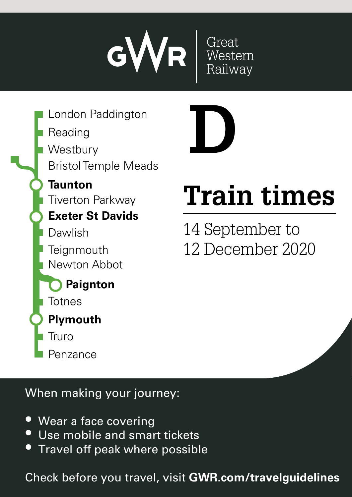

**D**

Penzance **Plymouth Paignton Reading** London Paddington Bristol Temple Meads **Totnes Exeter St Davids Teignmouth** Newton Abbot Dawlish **Westbury Taunton** Tiverton Parkway **Truro** 

# **Train times**

14 September to 12 December 2020

## When making your journey:

- Wear a face covering
- Use mobile and smart tickets
- Travel off peak where possible

Check before you travel, visit **GWR.com/travelguidelines**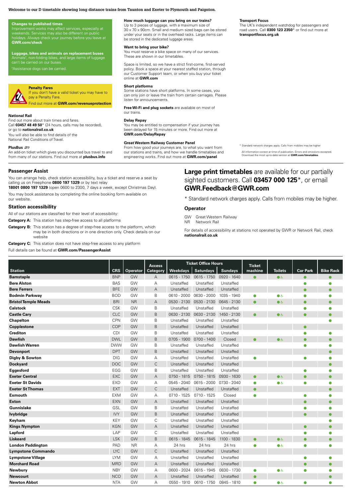#### **Welcome to our D timetable showing long distance trains from Taunton and Exeter to Plymouth and Paignton.**

**Changes to published times**  Improvement works may affect services, especially at weekends. Services may also be different on public holidays. Always check your journey before you leave at **GWR.com/check** 

**Luggage, bikes and animals on replacement buses**<br>Animals†, non-folding bikes, and large items of luggage<br>can't be carried on our buses.



#### If you don't have a valid ticket you may have to

pay a Penalty Fare. Find out more at **GWR.com/revenueprotection**

#### **National Rail**

Find out more about train times and fares. Call **03457 48 49 50**\* (24 hours, calls may be recorded), or go to **nationalrail.co.uk** You will also be able to find details of the National Rail Conditions of Travel.

**PlusBus** ¬

An add-on ticket which gives you discounted bus travel to and from many of our stations. Find out more at **plusbus.info**

#### **Passenger Assist**

You can arrange help, check station accessibility, buy a ticket and reserve a seat by calling us on Freephone **0800 197 1329** or by text relay

**18001 0800 197 1329** (open 0600 to 2300, 7 days a week, except Christmas Day). You may book assistance by completing the online booking form available on

#### our website.

**Station accessibility**

All of our stations are classified for their level of accessibility:

**Category A:** This station has step-free access to all platforms

**Category B:** This station has a degree of step-free access to the platform, which may be in both directions or in one direction only. Check details on our website

**Category C:** This station does not have step-free access to any platform

Full details can be found at **GWR.com/PassengerAssist**

#### **How much luggage can you bring on our trains?**

Up to 3 pieces of luggage, with a maximum size of 30 x 70 x 90cm. Small and medium sized bags can be stored under your seats or in the overhead racks. Large items can be stored in the dedicated luggage areas.

#### **Want to bring your bike?**

You must reserve a bike space on many of our services. These are shown in our timetables.

Space is limited, so we have a strict first-come, first-served policy. Book a space at your nearest staffed station, through our Customer Support team, or when you buy your ticket online at **GWR.com**

#### **Short platforms**

Some stations have short platforms. In some cases, you can only join or leave the train from certain carriages. Please listen for announcements.

**Free Wi-Fi and plug sockets** are available on most of our trains.

#### **Delay Repay**

You may be entitled to compensation if your journey has been delayed for 15 minutes or more. Find out more at **GWR.com/DelayRepay**

#### **Great Western Railway Customer Panel**

From how good your journeys are, to what you want from our stations and trains, and how we handle timetables and engineering works. Find out more at **GWR.com/panel**

#### **Transport Focus**

The UK's independent watchdog for passengers and<br>road users. Call **0300 123 2350**\* or find out more at **transportfocus.org.uk**

dard network charges apply. Calls from mobiles may be highe All information correct at time of publication. Errors and omissions excepted. Download the most up-to-date version at **GWR.com/timetables**.

#### **Large print timetables** are available for our partially sighted customers. Call **03457 000 125**\*, or email **GWR.Feedback@GWR.com**

\* Standard network charges apply. Calls from mobiles may be higher.

#### **Operator**

- GW Great Western Railway<br>NR Network Rail
- Network Rail

For details of accessibility at stations not operated by GWR or Network Rail, check **nationalrail.co.uk**

|                             |            |                 |                           |               | <b>Ticket Office Hours</b> |                |                          |                |                 |                  |
|-----------------------------|------------|-----------------|---------------------------|---------------|----------------------------|----------------|--------------------------|----------------|-----------------|------------------|
| <b>Station</b>              | <b>CRS</b> | <b>Operator</b> | <b>Access</b><br>Category | Weekdays      | <b>Saturdays</b>           | <b>Sundays</b> | <b>Ticket</b><br>machine | <b>Toilets</b> | <b>Car Park</b> | <b>Bike Rack</b> |
| <b>Barnstaple</b>           | <b>BNP</b> | GW              | $\overline{A}$            | $0615 - 1750$ | $0615 - 1750$              | 0920 - 1640    |                          | $\bullet$      | $\bullet$       |                  |
| <b>Bere Alston</b>          | <b>BAS</b> | GW              | A                         | Unstaffed     | Unstaffed                  | Unstaffed      |                          |                | $\bullet$       |                  |
| <b>Bere Ferrers</b>         | <b>BFE</b> | GW              | $\overline{A}$            | Unstaffed     | Unstaffed                  | Unstaffed      |                          |                | $\bullet$       | ٠                |
| <b>Bodmin Parkway</b>       | <b>BOD</b> | GW              | B                         | $0610 - 2000$ | 0630 - 2000                | 1035 - 1940    | $\bullet$                | $\bullet$      | $\bullet$       | e                |
| <b>Bristol Temple Meads</b> | <b>BRI</b> | <b>NR</b>       | $\overline{A}$            | 0530 - 2130   | 0530 - 2130                | $0645 - 2130$  | $\bullet$                | $\bullet$      | $\bullet$       |                  |
| <b>Calstock</b>             | <b>CSK</b> | GW              | B                         | Unstaffed     | Unstaffed                  | Unstaffed      |                          |                | $\bullet$       |                  |
| <b>Castle Cary</b>          | CLC        | GW              | B                         | 0630 - 2130   | 0630 - 2130                | 1450 - 2130    |                          | $\bullet$      | $\bullet$       |                  |
| Chapelton                   | <b>CPN</b> | GW              | B                         | Unstaffed     | Unstaffed                  | Unstaffed      |                          |                |                 |                  |
| Copplestone                 | COP        | GW              | B                         | Unstaffed     | Unstaffed                  | Unstaffed      |                          |                |                 |                  |
| <b>Crediton</b>             | CDI        | GW              | B                         | Unstaffed     | Unstaffed                  | Unstaffed      |                          |                | $\bullet$       |                  |
| <b>Dawlish</b>              | <b>DWL</b> | GW              | B                         | 0705 - 1900   |                            | Closed         |                          |                | $\bullet$       | e                |
|                             | <b>DWW</b> | GW              |                           | Unstaffed     | 0700 - 1400<br>Unstaffed   | Unstaffed      |                          | $\bullet$      | $\bullet$       |                  |
| <b>Dawlish Warren</b>       | <b>DPT</b> | GW              | B<br>B                    |               |                            |                |                          |                | 0               | ۰                |
| <b>Devonport</b>            |            |                 |                           | Unstaffed     | Unstaffed                  | Unstaffed      |                          |                |                 |                  |
| Digby & Sowton              | DIG        | GW              | A                         | Unstaffed     | Unstaffed                  | Unstaffed      |                          |                | 0               | ۰                |
| <b>Dockyard</b>             | <b>DOC</b> | GW              | $\mathsf{C}$              | Unstaffed     | Unstaffed                  | Unstaffed      |                          |                |                 |                  |
| Eggesford                   | EGG        | GW              | B                         | Unstaffed     | Unstaffed                  | Unstaffed      |                          |                | $\bullet$       |                  |
| <b>Exeter Central</b>       | <b>EXC</b> | GW              | Α                         | $0750 - 1815$ | 0750 - 1815                | 0930 - 1630    | $\bullet$                | $\bullet$      | $\bullet$       | Ċ                |
| <b>Exeter St Davids</b>     | <b>EXD</b> | GW              | A                         | 0545 - 2040   | $0615 - 2000$              | 0730 - 2040    | $\bullet$                | $\bullet$      | $\bullet$       |                  |
| <b>Exeter St Thomas</b>     | EXT        | GW              | C                         | Unstaffed     | Unstaffed                  | Unstaffed      | $\bullet$                |                |                 | ●                |
| <b>Exmouth</b>              | <b>EXM</b> | GW              | A                         | $0710 - 1525$ | 0710 - 1525                | Closed         | ٠                        |                | $\bullet$       | ●                |
| <b>Exton</b>                | <b>EXN</b> | GW              | Α                         | Unstaffed     | Unstaffed                  | Unstaffed      |                          |                | $\bullet$       | $\bullet$        |
| <b>Gunnislake</b>           | GSL        | GW              | B                         | Unstaffed     | Unstaffed                  | Unstaffed      |                          |                | $\bullet$       | ●                |
| <b>Ivybridge</b>            | <b>IVY</b> | GW              | B                         | Unstaffed     | Unstaffed                  | Unstaffed      |                          |                | $\bullet$       | $\bullet$        |
| Keyham                      | <b>KEY</b> | GW              | C                         | Unstaffed     | Unstaffed                  | Unstaffed      |                          |                |                 | ●                |
| <b>Kings Nympton</b>        | <b>KGN</b> | GW              | A                         | Unstaffed     | Unstaffed                  | Unstaffed      |                          |                | $\bullet$       | $\bullet$        |
| Lapford                     | LAP        | GW              | C                         | Unstaffed     | Unstaffed                  | Unstaffed      |                          |                | $\bullet$       | $\bullet$        |
| <b>Liskeard</b>             | <b>LSK</b> | GW              | B                         | 0615 - 1845   | 0615 - 1845                | 1100 - 1830    |                          | $\bullet$      | $\bullet$       | Ċ                |
| <b>London Paddington</b>    | PAD        | <b>NR</b>       | А                         | 24 hrs        | 24 hrs                     | 24 hrs         | Ω                        | $\bullet$      | $\bullet$       | $\bullet$        |
| <b>Lympstone Commando</b>   | <b>LYC</b> | GW              | C                         | Unstaffed     | Unstaffed                  | Unstaffed      |                          |                |                 |                  |
| <b>Lympstone Village</b>    | <b>LYM</b> | GW              | Α                         | Unstaffed     | Unstaffed                  | Unstaffed      |                          |                | $\bullet$       |                  |
| <b>Morchard Road</b>        | <b>MRD</b> | GW              | A                         | Unstaffed     | Unstaffed                  | Unstaffed      |                          |                | $\bullet$       | Ċ                |
| <b>Newbury</b>              | <b>NBY</b> | GW              | А                         | 0600 - 2024   | 0615 - 1945                | 0830 - 1730    | $\bullet$                | $\bullet$      | $\bullet$       | e                |
| <b>Newcourt</b>             | <b>NCO</b> | GW              | A                         | Unstaffed     | Unstaffed                  | Unstaffed      | $\bullet$                |                |                 | ∙                |
| <b>Newton Abbot</b>         | <b>NTA</b> | GW              | А                         | 0550 - 1910   | 0610 - 1750                | 0845 - 1810    | $\bullet$                | ی ک            | $\bullet$       | ●                |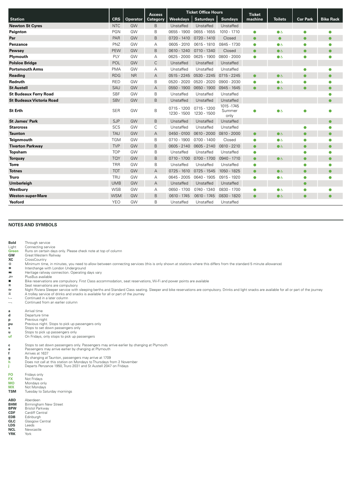|                                 |            |                 | <b>Access</b>  |                              | <b>Ticket Office Hours</b> |                             | <b>Ticket</b> |                |                 |                  |
|---------------------------------|------------|-----------------|----------------|------------------------------|----------------------------|-----------------------------|---------------|----------------|-----------------|------------------|
| <b>Station</b>                  | <b>CRS</b> | <b>Operator</b> | Category       | <b>Weekdays</b>              | <b>Saturdays</b>           | <b>Sundays</b>              | machine       | <b>Toilets</b> | <b>Car Park</b> | <b>Bike Rack</b> |
| <b>Newton St Cyres</b>          | <b>NTC</b> | GW              | B              | Unstaffed                    | Unstaffed                  | Unstaffed                   |               |                |                 |                  |
| Paignton                        | PGN        | GW              | B              | 0655 - 1900                  | 0655 - 1655                | 1010 - 1710                 | $\bullet$     | $\bullet$      | $\bullet$       | e                |
| Par                             | PAR        | GW              | B              | 0720 - 1410                  | 0720 - 1410                | Closed                      | $\bullet$     | $\bullet$      | $\bullet$       |                  |
| Penzance                        | PNZ        | GW              | А              | $0605 - 2010$                | $0615 - 1810$              | 0845 - 1730                 | $\bullet$     | $\bullet$      | $\bullet$       | e                |
| Pewsey                          | <b>PEW</b> | GW              | B              | $0610 - 1240$                | 0710 - 1340                | Closed                      | $\bullet$     | $\bullet$      | $\bullet$       | $\bullet$        |
| Plymouth                        | PLY        | GW              | А              | 0625 - 2000                  | 0625 - 1900                | 0800 - 2000                 | 0             | ی ●            | 0               |                  |
| <b>Polsloe Bridge</b>           | <b>POL</b> | GW              | $\mathsf{C}$   | Unstaffed                    | Unstaffed                  | Unstaffed                   |               |                |                 |                  |
| <b>Portsmouth Arms</b>          | <b>PMA</b> | GW              | A              | Unstaffed                    | Unstaffed                  | Unstaffed                   |               |                | $\bullet$       |                  |
| Reading                         | <b>RDG</b> | <b>NR</b>       | A              | $0515 - 2245$                | 0530 - 2245                | 0715 - 2245                 | $\bullet$     | $\bullet$      | $\bullet$       | ė                |
| <b>Redruth</b>                  | <b>RED</b> | GW              | B              | $0520 - 2020$                | 0520 - 2020                | 0900 - 2030                 | $\bullet$     | ی ک            | $\bullet$       | e                |
| <b>St Austell</b>               | SAU        | GW              | A              | 0550 - 1900                  | 0650 - 1900                | 0945 - 1645                 | $\bullet$     | $\bullet$      | $\bullet$       | ●                |
| <b>St Budeaux Ferry Road</b>    | <b>SBF</b> | GW              | B              | Unstaffed                    | Unstaffed                  | Unstaffed                   |               |                |                 |                  |
| <b>St Budeaux Victoria Road</b> | SBV        | GW              | B              | Unstaffed                    | Unstaffed                  | Unstaffed                   |               |                |                 | $\bullet$        |
| <b>St Erth</b>                  | <b>SER</b> | GW              | B              | $0715 - 1200$<br>1230 - 1500 | 0715 - 1200<br>1230 - 1500 | 1015-1745<br>Summer<br>only | ●             | $\bullet$      | $\bullet$       |                  |
| <b>St James' Park</b>           | <b>SJP</b> | GW              | B              | Unstaffed                    | Unstaffed                  | Unstaffed                   |               |                |                 | e                |
| <b>Starcross</b>                | SCS        | GW              | C              | Unstaffed                    | Unstaffed                  | Unstaffed                   |               |                | $\bullet$       |                  |
| <b>Taunton</b>                  | <b>TAU</b> | GW              | $\overline{A}$ | 0450 - 0100                  | $0610 - 2000$              | 0810 - 2000                 | $\bullet$     | $\bullet$      | $\bullet$       | $\bullet$        |
| <b>Teignmouth</b>               | <b>TGM</b> | GW              | B              | 0710 - 1900                  | 0700 - 1400                | Closed                      | $\bullet$     | ی ⊜            | Ο               |                  |
| <b>Tiverton Parkway</b>         | <b>TVP</b> | GW              | B              | $0605 - 2140$                | 0605 - 2140                | $0810 - 2210$               | $\bullet$     | $\bullet$      | $\bullet$       | $\bullet$        |
| <b>Topsham</b>                  | <b>TOP</b> | GW              | B              | Unstaffed                    | Unstaffed                  | Unstaffed                   | $\bullet$     |                | $\bullet$       |                  |
| <b>Torquay</b>                  | <b>TQY</b> | GW              | B              | 0710 - 1700                  | $0700 - 1700$              | 0940 - 1710                 | $\bullet$     | $\bullet$      | $\bullet$       |                  |
| <b>Torre</b>                    | <b>TRR</b> | GW              | B              | Unstaffed                    | Unstaffed                  | Unstaffed                   | $\bullet$     |                | $\bullet$       |                  |
| <b>Totnes</b>                   | <b>TOT</b> | GW              | A              | $0725 - 1610$                | $0725 - 1545$              | 1050 - 1825                 | $\bullet$     | $\bullet$      | $\bullet$       | ٠                |
| <b>Truro</b>                    | <b>TRU</b> | GW              | А              | 0645 - 2005                  | 0640 - 1905                | 0915 - 1920                 | $\bullet$     | ی ک            | $\bullet$       |                  |
| Umberleigh                      | <b>UMB</b> | GW              | A              | Unstaffed                    | Unstaffed                  | Unstaffed                   |               |                | $\bullet$       |                  |
| Westbury                        | <b>WSB</b> | GW              | А              | 0650 - 1700                  | 0740 - 1340                | 0830 - 1700                 | $\bullet$     | $\bullet$      | $\bullet$       |                  |
| <b>Weston-super-Mare</b>        | <b>WSM</b> | GW              | B              | 0610 - 1745                  | 0610 - 1745                | 0830 - 1820                 | $\bullet$     | $\bullet$      | $\bullet$       |                  |
| Yeoford                         | <b>YEO</b> | GW              | B              | Unstaffed                    | Unstaffed                  | Unstaffed                   |               |                |                 |                  |
|                                 |            |                 |                |                              |                            |                             |               |                |                 |                  |

#### **NOTES AND SYMBOLS**

**Bold** Through service<br>
Light Connecting serv Light Connecting service

- **Green** Runs on certain days only. Please check note at top of column **GW** Great Western Railway **GW** Great Western Railway<br> **XC** CrossCountry
- 
- **XC** CrossCountry<br>④ Minimum time, in minutes, you need to allow between connecting services (this is only shown at stations where this differs from the standard 5 minute allowance)
- <table>\n<tbody>\n<tr>\n<td>④</td>\n<td>Minimum time, in minutes, you need to<br/>Interchange with London Understanding</td>\n</tr>\n<tr>\n<td>★</td>\n<td>Heritage railway connection. Operating</td>\n</tr>\n</tbody>\n</table>
- > Heritage railway connection. Operating days vary ¬ PlusBus available
- s Bike reservations are compulsory. First Class accommodation, seat reservations, Wi-Fi and power points are available<br> **s Bike reservations are compulsory**. First Class accommodation, seat reservations, Wi-Fi and power po
- 
- ⊠ Seat reservations are compulsory<br>ء Night Riviera Sleeper service with sleeping berths and Standard Class seating. Sleeper and bike reservations are compulsory. Drinks and light snacks are available for all or part of
- $\overline{x}$  A trolley service of drinks and snacks is available for all or part of the journey<br>  $\overline{y}$  Continued in a later column
- experience of the column<br>Continued from an earlier co
- f Continued from an earlier column
	-
- **a** Arrival time **d** Departure time
	-
- **p** Previous night **pu** Previous night. Stops to pick up passengers only **pu** Previous night. Stops to pick up pass<br>
Stops to set down passengers only<br> **u** Stops to pick up passengers only<br> **uf** On Fridays, only stops to pick up pa
- 
- 
- **u** Stops to pick up passengers only **uf** On Fridays, only stops to pick up passengers
- **c** Stops to set down passengers only. Passengers may arrive earlier by changing at Plymouth<br> **e** Passengers may arrive earlier by changing at Plymouth<br> **f** Arrives at 1637
- **e** Passengers may arrive earlier by changing at Plymouth **f** Arrives at 1637
- 
- **g** By changing at Taunton, passengers may arrive at 1709
- **h** Does not call at this station on Mondays to Thursdays from 2 November **j** Departs Penzance 1950, Truro 2031 and St Austell 2047 on Fridays
- 
- **FO** Fridays only<br> **FX** Not Fridays
- **FX** Not Fridays<br>**MO** Mondays o
- **MO** Mondays only<br>**MX** Not Mondays
- **MX** Not Mondays **TSM** Tuesday to Saturday mornings
- 
- **ABD** Aberdeen **BHM** Birmingham New Street
- **BPW** Bristol Parkway<br> **CDF** Cardiff Central
- **CDF** Cardiff Central<br> **EDB** Edinburgh **EDB** Edinburgh<br>**GLC** Glasgow (
- **GLC** Glasgow Central
- **LDS** Leeds
- **NCL** Newcastle<br>**YRK** York
- York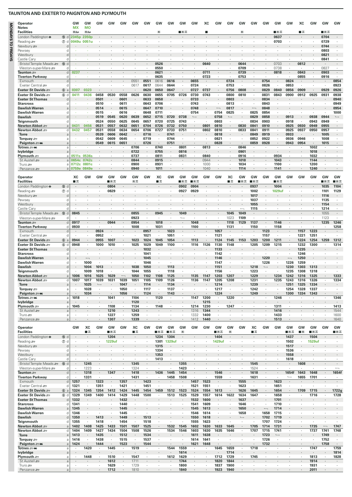| Operator                                         |                             | GW              | GW                 | GW                 | GW              | GW                       | GW                   | GW                              | GW                 | GW                 | GW                       | GW                   | ХC                  | GW                       | GW                       | GW                       | GW               | GW                               | GW                               | GW                       | xс                       | GW                 | GW                       | GW                       |
|--------------------------------------------------|-----------------------------|-----------------|--------------------|--------------------|-----------------|--------------------------|----------------------|---------------------------------|--------------------|--------------------|--------------------------|----------------------|---------------------|--------------------------|--------------------------|--------------------------|------------------|----------------------------------|----------------------------------|--------------------------|--------------------------|--------------------|--------------------------|--------------------------|
| <b>Notes</b><br><b>Facilities</b>                |                             | <b>MX</b><br>日中 | <b>MO</b><br>国向    |                    |                 |                          |                      |                                 | $\mathbf R$        |                    | ■Вक्                     |                      | п                   |                          |                          | $\blacksquare$           |                  |                                  | ■Вᠼ                              |                          | ■ま                       |                    | ■Вᠼ                      |                          |
| London Paddington $\Theta$                       | 15 d                        | 2345p           | 2350p              |                    |                 |                          |                      |                                 |                    |                    |                          |                      |                     |                          |                          |                          |                  |                                  | 0637                             |                          |                          |                    | 0704                     |                          |
| Reading                                          | 7 d                         |                 | 0049u 0051u        |                    |                 |                          |                      |                                 |                    |                    |                          |                      |                     |                          |                          |                          |                  |                                  | 0703                             |                          |                          |                    | 0729                     |                          |
| Newbury s<br>Pewsey                              | d<br>d                      |                 |                    |                    |                 |                          |                      |                                 |                    |                    |                          |                      |                     |                          |                          |                          |                  |                                  |                                  |                          |                          |                    | 0744<br>0803             |                          |
| Westbury                                         | d                           |                 |                    |                    |                 |                          |                      |                                 |                    |                    |                          |                      |                     |                          |                          |                          |                  |                                  |                                  |                          |                          |                    | 0821                     |                          |
| Castle Cary                                      | d                           |                 |                    |                    |                 |                          |                      |                                 |                    |                    |                          |                      |                     |                          |                          |                          |                  |                                  |                                  |                          |                          |                    | 0841                     |                          |
| Bristol Temple Meads<br>Weston-super-Mare 2      | $\circledR$<br>d<br>d       |                 |                    |                    |                 |                          |                      |                                 | 0526<br>0550       |                    |                          |                      | 0640<br>$\cdot$     |                          |                          | 0644<br>0709             |                  | ٠                                | 0703<br>0738                     |                          | 0812<br>$\cdot$          |                    | 0827                     | $\cdot$<br>٠             |
| Taunton $\equiv$                                 | d                           | 0237            | ×.                 |                    |                 |                          | $\ddot{\phantom{0}}$ |                                 | 0621               | ÷                  |                          | $\ddot{\phantom{0}}$ | 0711                |                          | $\cdot$                  | 0739                     |                  | $\cdot$                          | 0818                             | $\cdot$                  | 0843                     | $\cdot$            | 0903                     | $\epsilon$               |
| <b>Tiverton Parkway</b>                          | d                           |                 |                    |                    |                 |                          |                      |                                 | 0635               |                    |                          |                      | 0723                |                          |                          | 0753                     |                  |                                  |                                  |                          | 0855                     |                    | 0916                     |                          |
| Exmouth<br>Exeter Central s                      | d<br>d                      |                 |                    |                    |                 | ٠                        | 0551<br>0617         | 0551<br>0617                    | 0616<br>0644       | 0616<br>0644       | ٠                        | 0655<br>0724         | $\cdot$             | ٠                        | 0724<br>0753             | ٠                        | ٠                | 0754<br>0826                     | $\cdot$<br>٠                     | 0824<br>0853             | $\cdot$                  |                    | $\cdot$                  | 0854<br>0923             |
| Exeter St Davids                                 | 6a                          | 0307            | 0323               |                    |                 |                          |                      | 0620                            | 0650               | 0647               |                          | 0727                 | 0737                |                          | 0756                     | 0808                     |                  | 0829                             | 0840                             | 0856                     | 0909                     |                    | 0929                     | 0926                     |
| Exeter St Davids                                 | $^{\circ}$<br>d             | 0411            | 0436               | 0458               | 0530            | 0558                     | 0626                 | 0630                            | 0655               | 0705               | 0726                     | 0730                 | 0743                |                          | 0800                     | 0810                     |                  | 0831                             | 0843                             | 0900                     | 0912                     | 0925               | 0931                     | 0938                     |
| <b>Exeter St Thomas</b>                          | d                           |                 |                    | 0501               |                 | 0601                     |                      | 0633                            | 0658               |                    |                          | 0733                 |                     |                          | 0803                     |                          |                  | 0834                             |                                  |                          |                          |                    |                          | 0940                     |
| <b>Starcross</b><br><b>Dawlish Warren</b>        | d<br>a                      |                 |                    | 0510<br>0514       |                 | 0611<br>0615             | ٠                    | 0643<br>0647                    | 0706<br>0710       | ٠                  |                          | 0743<br>0748         | ٠                   | $\overline{\phantom{0}}$ | 0813<br>0817             | ٠                        | $\longleftarrow$ | 0843<br>0848                     | ٠                                |                          |                          | ٠                  |                          | 0949<br>0954             |
| <b>Dawlish Warren</b>                            | d                           |                 |                    | 0515               |                 | 0616                     | ٠                    | 0648                            | 0711               |                    | $\cdot$                  | 0754                 | ٠                   | 0754                     | 0825                     | ٠                        | 0825             | 0854                             | ٠                                | $\cdot$                  |                          | ٠                  | $\cdot$                  | 1000                     |
| <b>Dawlish</b>                                   | d                           |                 |                    | 0519               | 0545            | 0620                     | 0639                 | 0652                            | 0715               | 0720               | 0738                     | $\overline{a}$       |                     | 0758                     | $\overline{\phantom{a}}$ |                          | 0829             | 0858                             |                                  | 0913                     |                          | 0938               | 0944                     | $\overline{\phantom{a}}$ |
| Teignmouth<br><b>Newton Abbot</b>                | d                           | 0431            | ×<br>0456          | 0524<br>0531       | 0550<br>0557    | 0625<br>0632             | 0645<br>0651         | 0657<br>0704                    | 0720<br>0726       | 0725<br>0732       | 0743<br>0750             | ٠<br>$\cdot$         | ٠<br>0801           | 0803<br>0810             | ٠<br>$\cdot$             | ٠<br>0830                | 0834<br>0841     | 0903<br>0910                     | $\epsilon$                       | 0918<br>0925             | ٠<br>0930                | 0943<br>0949       | 0949<br>0955             | ٠                        |
| Newton Abbot æ                                   | a<br>d                      | 0432            | 0457               | 0531               | 0558            | 0634                     | 0654                 | 0706                            | 0727               | 0733               | 0751                     | $\cdot$              | 0802                | 0810                     | $\cdot$                  | 0833                     | 0841             | 0911                             | $\cdot$                          | 0925                     | 0937                     | 0950               | 0957                     | ٠                        |
| <b>Torre</b>                                     | a                           |                 |                    | 0539               | 0606            | 0642                     |                      | 0716                            |                    | 0741               |                          |                      |                     | 0818                     |                          |                          | 0849             | 0919                             |                                  | 0933                     | $\cdot$                  |                    | 1005                     |                          |
| Torquay $\equiv$                                 | a                           |                 | ×                  | 0542               | 0609            | 0645                     | ٠                    | 0719                            | $\cdot$            | 0744               | ٠                        | ٠                    | ٠                   | 0821                     | $\cdot$                  | ٠                        | 0852             | 0922                             | ٠                                | 0936                     | 0946                     | $\cdot$            | 1008                     | ٠                        |
| Paignton = Wi<br>Totnes = Mi                     | a<br>a                      |                 | ×                  | 0549               | 0615            | 0651                     | 0706                 | 0726                            | 0740               | 0751<br>$\cdot$    | 0801                     |                      | 0813                | 0828                     | $\cdot$                  | 0846                     | 0859             | 0928<br>٠                        |                                  | 0943                     | 0954                     | 1002               | 1015                     | $\blacksquare$           |
| lvybridge                                        | a                           |                 |                    |                    |                 |                          | 0722                 |                                 | 0755               |                    | 0816                     |                      |                     |                          |                          | 0901                     |                  |                                  | $\cdot$                          |                          |                          | 1018               |                          |                          |
| Plymouth $\equiv$<br>St Austell                  | a                           | 0511s           | 0536s<br>0742c     |                    | $\cdot$         | $\cdot$                  | 0737<br>0844         | $\cdot$                         | 0811<br>0915       | $\cdot$            | 0831                     | $\cdot$              | 0840<br>0944        | $\cdot$                  | $\cdot$                  | 0916<br>1018             | $\cdot$          | $\cdot$                          | 0934<br>1043                     | $\cdot$                  | $\cdot$                  | 1032<br>1144       | $\cdot$                  | ٠                        |
| Truro se                                         | $\mathsf{a}$<br>a           | 0654c<br>0712c  | 0801 <sub>c</sub>  |                    |                 | ٠                        | 0900                 |                                 | 0931               |                    |                          | ٠                    | 1000                |                          | ٠                        | 1034                     |                  | $\cdot$                          | 1100                             |                          | $\cdot$                  | 1200               |                          |                          |
| Penzance s                                       | a                           | 0759e           | 0849e              |                    |                 |                          | 0940                 |                                 | 1011               |                    |                          |                      | 1040                |                          |                          | 1114                     |                  |                                  | 1141                             |                          |                          | 1240               |                          |                          |
|                                                  |                             | XC              | GW                 | GW                 | <b>GW</b>       | GW                       | GW                   | GW                              | XC                 | GW                 | <b>GW</b>                | GW                   | GW                  | <b>GW</b>                | XC                       | GW                       | GW               | GW                               | GW                               | GW                       | <b>GW</b>                | GW                 | GW                       | GW                       |
| Operator<br><b>Facilities</b>                    |                             | ■≖              |                    |                    | $R\overline{A}$ |                          | 国志                   |                                 | ■天                 |                    | ■R工                      | <b>IR</b> क          |                     |                          | ■品                       | ∎R⊼                      | <b>IR</b> क      |                                  | ∎R⊼                              |                          |                          |                    | ■国美                      | ∎R⊼                      |
| London Paddington $\bullet$                      | (fi) d                      |                 |                    |                    | 0804            |                          |                      |                                 |                    |                    | 0902                     | 0904                 |                     |                          |                          |                          | 0937             |                                  | 1004                             |                          |                          |                    | 1035                     | 1104                     |
| Reading                                          | 7 d                         |                 |                    |                    | 0829            |                          |                      |                                 |                    |                    | 0927                     | 0929                 |                     |                          |                          |                          | 1002             | $\cdot$                          | 1029uf                           |                          |                          |                    | 1101                     | 1129                     |
| Newbury s                                        | d<br>d                      |                 |                    |                    |                 |                          |                      |                                 |                    |                    |                          |                      |                     |                          |                          |                          | 1017<br>1037     | $\cdot$                          |                                  |                          |                          |                    | 1116<br>1135             | ٠                        |
| Pewsey<br>Westbury                               | d                           |                 |                    |                    |                 |                          |                      |                                 |                    |                    |                          |                      |                     |                          |                          |                          | 1055             |                                  |                                  |                          |                          |                    | 1154                     |                          |
| Castle Cary                                      | d                           |                 |                    |                    |                 |                          |                      |                                 |                    |                    |                          |                      |                     |                          | ٠                        | $\overline{\phantom{0}}$ | 1115             | $\cdot$                          |                                  |                          |                          |                    | 1214                     | ٠                        |
| Bristol Temple Meads                             | $10$<br>d                   | 0845            |                    |                    |                 |                          | 0855                 |                                 | 0945               |                    | 1049                     |                      |                     |                          | 1045                     | 1049                     |                  |                                  |                                  |                          |                          |                    | 1055                     | $\bullet$                |
| Weston-super-Mare =                              | d                           |                 | ٠                  |                    |                 | ٠                        | 0923                 | $\cdot$                         | $\cdot$            | $\mathbf{r}$       | $\overline{\phantom{a}}$ | $\cdot$              |                     | $\cdot$                  | 1023                     | 1109                     | $\cdot$          | $\cdot$                          | ٠                                |                          | $\overline{\phantom{a}}$ |                    | 1123                     | $\cdot$                  |
| Taunton <b>Strate</b><br><b>Tiverton Parkway</b> | d<br>d                      | 0917<br>0930    | $\cdot$<br>$\cdot$ | ٠<br>$\cdot$       | 0944            | $\cdot$<br>$\cdot$       | 0954<br>1008         | $\cdot$<br>$\cdot$              | 1018<br>1031       | $\cdot$<br>$\cdot$ | $\cdot$                  | 1048<br>1100         | $\cdot$<br>$\cdot$  | $\cdot$                  | 1118<br>1131             | 1129                     | 1137<br>1150     | $\cdot$<br>$\sim$                | 1146<br>1158                     | $\overline{\phantom{a}}$ | $\cdot$                  | $\cdot$<br>$\cdot$ | 1235                     | 1246<br>1258             |
| Exmouth                                          | d                           |                 |                    | 0924               |                 |                          |                      | 0957                            | $\cdot$            | 1023               |                          |                      |                     | 1057                     |                          |                          |                  | 1123                             | ٠                                |                          | 1157                     | 1223               |                          |                          |
| Exeter Central                                   | d                           |                 | ٠                  | 0952               |                 | ٠                        | ٠                    | 1021                            | $\cdot$            | 1051               |                          | ٠                    |                     | 1121                     | ٠                        |                          |                  | 1157                             | ٠                                |                          | 1221                     | 1251               |                          |                          |
| Exeter St Davids                                 | 6a                          | 0944            | ٠                  | 0955               | 1007            | $\bullet$                | 1023                 | 1024                            | 1045               | 1054               |                          | 1113                 |                     | 1124                     | 1145                     | 1153                     | 1203             | 1200                             | 1211                             |                          | 1224                     | 1254               | 1259                     | 1312                     |
| Exeter St Davids<br><b>Exeter St Thomas</b>      | 6d<br>d                     | 0948            | ٠                  | 1000               | 1010            | $\cdot$                  | 1025                 | 1029<br>1032                    | 1049               | 1100               | ٠                        | 1116                 | 1126                | 1130<br>1133             | 1148                     | ٠                        | 1205             | 1209                             | 1215                             |                          | 1232<br>1235             | 1300               |                          | 1314                     |
| <b>Starcross</b>                                 | d                           | $\cdot$         | ٠                  |                    |                 |                          |                      | 1041                            | $\cdot$            |                    |                          |                      |                     | 1142                     | $\cdot$                  |                          |                  | $\cdot$                          |                                  | ٠                        | 1246                     |                    |                          |                          |
| <b>Dawlish Warren</b>                            | a                           |                 | $\longleftarrow$   |                    |                 |                          |                      | 1045                            |                    |                    |                          |                      |                     | 1146                     |                          |                          |                  | 1220                             |                                  |                          | 1250                     |                    |                          |                          |
| <b>Dawlish Warren</b>                            | d                           |                 | 1000               | ٠                  |                 |                          | ٠                    | 1046                            | ٠                  | $\cdot$            |                          |                      | ï                   | 1147                     |                          |                          | $\cdot$          | 1226<br>$\overline{\phantom{a}}$ | ٠                                | 1226                     | 1259                     | $\cdot$            |                          |                          |
| <b>Dawlish</b><br>Teignmouth                     | d<br>d                      |                 | 1004<br>1009       | 1013<br>1018       |                 |                          | 1038<br>1044         | 1050<br>1055                    | $\cdot$            | 1113<br>1118       |                          |                      |                     | 1151<br>1156             |                          |                          | 1218<br>1223     | $\cdot$                          | ٠                                | 1230<br>1235             | 1303<br>1308             | 1313<br>1318       |                          |                          |
| <b>Newton Abbot</b>                              | $\mathsf{a}$                | 1006            | 1016               | 1025               | 1029            | $\overline{\phantom{0}}$ | 1050                 | 1102                            | 1108               | 1125               |                          | 1135                 | 1147                | 1203                     | 1207                     | $\cdot$                  | 1229             | $\cdot$                          | 1234                             | 1242                     | 1316                     | 1325               |                          | 1333                     |
| <b>Newton Abbot</b>                              | d                           | 1007            | 1017               | 1039               | 1031            | 1039                     | 1051                 | 1105                            | 1109               | 1126               |                          | 1136                 | 1147                | 1205                     | 1208                     |                          | 1231             | $\cdot$                          | 1235                             | 1243                     | 1316                     | 1326               |                          | 1334                     |
| Torre                                            | a                           |                 | 1025               |                    |                 | 1047                     |                      | 1114                            |                    | 1134               |                          |                      |                     | 12'                      |                          |                          | 1239             |                                  |                                  | 125                      | 1325                     | 1334               |                          |                          |
| Torquay =<br>Paignton = mi                       | a<br>a                      | $\cdot$         | 1028<br>1034       | $\cdot$<br>$\cdot$ | $\cdot$         | 1050<br>1056             | ٠<br>$\cdot$         | 1117<br>1124                    | ٠<br>٠             | 1137<br>1143       | ٠                        |                      | $\blacksquare$<br>٠ | 1217<br>1224             | $\cdot$<br>$\cdot$       | ٠                        | 1242<br>1249     | $\cdot$<br>$\cdot$               | ٠                                | 1254<br>1300             | 1328<br>1334             | 1337<br>1343       | $\cdot$<br>$\cdot$       | ٠                        |
| Totnes = Mi                                      | a                           | 1018            | $\cdot$            |                    | 1041            | $\cdot$                  | 1104                 |                                 | 1120               | $\blacksquare$     | $\cdot$                  | 1147                 | 1200                |                          | 1220                     | ٠                        |                  | $\cdot$                          | 1246                             |                          | $\cdot$                  | $\cdot$            | $\cdot$                  | 1346                     |
| lvybridge                                        | $\rm{a}$                    |                 | ٠                  |                    |                 |                          | 1120                 |                                 | ٠                  | ٠                  |                          |                      | 1215                |                          |                          |                          |                  |                                  | ٠                                |                          |                          | ٠                  |                          | $\blacksquare$           |
| Plymouth $\equiv$<br>St Austell s                | $\rm{a}$<br>$\rm{a}$        | 1045            | ٠<br>$\cdot$       | $\cdot$<br>$\cdot$ | 1108<br>1210    | ٠<br>$\cdot$             | 1134<br>1243         | $\epsilon$<br>$\epsilon$        | 1148               | $\epsilon$         | $\cdot$<br>ä,            | 1214<br>1316         | 1230<br>1344        | $\sim$<br>×.             | 1247                     | $\cdot$                  | $\cdot$          | $\cdot$                          | 1311<br>1416                     | $\cdot$                  | $\cdot$                  | $\cdot$            | $\cdot$                  | 1413<br>1544             |
| Truro $\equiv$                                   | $\rm{a}$                    |                 | ٠                  |                    | 1227            | ٠                        | 1259                 | $\cdot$                         | ٠                  | ï                  |                          | 1332                 | 1400                | ٠                        | ٠                        |                          | ٠                | ٠                                | 1433                             | ٠                        | ٠                        | ٠                  |                          | 1600                     |
| Penzance s                                       | $\mathsf{a}$                |                 |                    |                    | 1307            |                          | 1339                 | $\cdot$                         |                    |                    |                          | 1412                 | 1440                |                          |                          |                          |                  |                                  | 1513                             |                          |                          | $\blacksquare$     |                          | 1640                     |
| Operator                                         |                             | GW              | XC                 | GW                 | GW              | GW                       | XC                   | <b>GW</b>                       | GW                 | GW                 | GW                       | GW                   | GW                  | GW                       | GW                       | GW                       | XC               | GW                               | GW                               | GW                       | GW                       | GW                 | GW                       | GW                       |
| <b>Facilities</b>                                |                             |                 | ∎ ऊ                |                    | ■R‰             |                          | ∎ѫ                   |                                 | ∎R⊼                | <b>B</b> ⊼         | $\overline{\mathbf{R}}$  |                      |                     | ■R‰                      | $\blacksquare$           |                          | ∎≖               |                                  |                                  | ∎R⊼                      | R                        | ∎R∓                |                          | ∎R‰                      |
| London Paddington $\bullet$                      | 15 d                        |                 |                    |                    | 1204            |                          |                      |                                 | 1234               | 1304               |                          |                      |                     | 1404                     |                          |                          |                  |                                  |                                  | 1437                     |                          | 1504               |                          |                          |
| Reading s                                        | $\circledcirc$ d            |                 | ٠                  |                    | 1229uf          | ٠                        |                      |                                 | 1301<br>1315       | 1329uf             | $\cdot$                  | ٠                    |                     | 1429uf                   | $\cdot$                  |                          |                  |                                  |                                  | 1502                     | $\cdot$                  | 1529uf             |                          |                          |
| Newbury s<br>Pewsey                              | d<br>d                      |                 | ٠                  |                    |                 |                          | ٠                    | ٠                               | 1334               | $\cdot$            |                          |                      |                     |                          |                          |                          |                  | ٠                                |                                  | 1517<br>1536             | $\cdot$                  |                    |                          | ٠                        |
| Westbury                                         | d                           |                 |                    |                    |                 |                          |                      |                                 | 1353               |                    |                          |                      |                     |                          |                          |                          |                  |                                  |                                  | 1558                     |                          |                    |                          |                          |
| Castle Cary                                      | d                           |                 | ٠                  | ٠                  |                 | ٠                        | $\cdot$              | $\cdot$                         | 1413               | $\blacksquare$     |                          | ٠                    | ï                   |                          |                          | ï                        |                  | $\cdot$                          | ï                                | 1618                     | $\cdot$                  | ٠                  |                          | ٠                        |
| Bristol Temple Meads<br>Weston-super-Mare        | <b>10</b><br>d<br>d         | $\cdot$         | 1245<br>1223       | $\cdot$            | $\cdot$         | ٠                        | 1345<br>1324         | $\ddot{\phantom{0}}$<br>$\cdot$ | $\cdot$            | $\cdot$            | 1355<br>1423             | $\cdot$              | $\cdot$             | $\sim$                   | $\cdot$                  | $\cdot$                  | 1545<br>1524     | $\cdot$                          | ٠                                | $\cdot$                  | 1608<br>$\cdot$          | $\cdot$            | $\cdot$                  | $\overline{\phantom{0}}$ |
| Taunton <b>27</b>                                | $\operatorname{\mathsf{d}}$ |                 | 1318               | $\cdot$            | 1347            | $\cdot$                  | 1418                 | $\cdot$                         | 1436               | 1445               | 1454                     | $\cdot$              | $\cdot$             | 1546                     | $\cdot$                  | $\cdot$                  | 1618             | $\cdot$                          | $\cdot$                          | 1654f                    | 1643                     | 1648               | $\cdot$                  | 1654f                    |
| <b>Tiverton Parkway</b>                          | d                           | $\cdot$         | 1331               | $\cdot$            | $\cdot$         | ٠                        | 1431                 | $\cdot$                         | ٠                  | 1458               | 1508                     | $\cdot$              | $\cdot$             | 1559                     | $\cdot$                  | $\cdot$                  | 1631             | $\cdot$                          | $\cdot$                          | $\longmapsto$            | 1655                     | 1701               | $\cdot$                  | $\cdot$                  |
| Exmouth                                          | d                           | 1257            | $\cdot$            | 1323               | $\cdot$         | 1357                     | $\cdot$              | 1423                            | $\cdot$            |                    | ×.                       | 1457                 | 1523                | ä,                       | $\cdot$                  | 1555                     | $\cdot$          | $\cdot$                          | 1623                             | $\cdot$                  |                          |                    |                          | $\sim$                   |
| Exeter Central<br>Exeter St Davids               | d<br>6a                     | 1321<br>1324    | $\cdot$<br>1345    | 1351<br>1354       | ٠<br>1412       | 1421<br>1424             | 1445                 | 1451<br>1454                    | ٠<br>1459          | ٠<br>1512          | ٠<br>1523                | 1521<br>1524         | 1551<br>1554        | $\cdot$<br>1613          | $\cdot$                  | 1623<br>1626             | $\cdot$<br>1645  | $\cdot$<br>$\blacksquare$        | 1651<br>1654                     | ٠<br>$\cdot$             | ٠<br>1709                | ٠<br>1715          | $\cdot$                  | ٠<br>1722g               |
| Exeter St Davids                                 | $^{\circ}$<br>d             | 1329            | 1349               | 1400               | 1414            | 1429                     | 1448                 | 1500                            |                    | 1513               | 1525                     | 1529                 | 1557                | 1614                     | 1622                     | 1634                     | 1647             | $\cdot$                          | 1658                             | $\cdot$                  |                          | 1716               |                          | 1728                     |
| <b>Exeter St Thomas</b>                          | d                           | 1332            | ٠                  |                    |                 | 1432                     |                      |                                 |                    |                    |                          | 1532                 | 1600                |                          |                          | 1637                     |                  |                                  | 1701                             |                          |                          |                    |                          |                          |
| <b>Starcross</b>                                 | d                           | 1341            | $\cdot$            | $\cdot$            | $\cdot$         | 1440                     | ٠                    | $\cdot$                         |                    | $\cdot$            | ٠                        | 1541                 | 1609                | $\cdot$                  | $\cdot$                  | 1646                     | $\cdot$          | $\cdot$                          | 1710                             | $\cdot$                  | $\cdot$                  | ٠                  | $\cdot$                  | ٠                        |
| <b>Dawlish Warren</b><br><b>Dawlish Warren</b>   | a                           | 1345            | $\cdot$            |                    | ×,              | 1445                     |                      | $\blacksquare$                  |                    |                    | ×.                       | 1545                 | 1613<br>1614        |                          |                          | 1650<br>1658             |                  | $\longleftarrow$<br>1658         | 1714<br>1715                     |                          |                          |                    |                          |                          |
| <b>Dawlish</b>                                   | d<br>d                      | 1346<br>1350    | $\cdot$            | $\cdot$<br>1413    |                 | 1445<br>1449             | $\cdot$<br>$\cdot$   | 1513                            |                    |                    |                          | 1546<br>1550         | 1618                | ٠                        |                          | $\overline{\phantom{a}}$ | $\cdot$          | 1702                             | 1719                             | $\cdot$                  |                          |                    |                          |                          |
| Teignmouth                                       | d                           | 1355            | $\cdot$            | 1418               | $\cdot$         | 1454                     | $\cdot$              | 1518                            | ٠                  | $\cdot$            | ٠                        | 1555                 | 1623                | ٠                        | ٠                        | $\cdot$                  | $\cdot$          | 1707                             | 1724                             | $\cdot$                  |                          | ٠                  | $\cdot$                  | $\cdot$                  |
| Newton Abbot =                                   | $\mathsf{a}$                | 1402            | 1408               | 1425               | 1433            | 1501                     | 1507                 | 1525                            | $\cdot$            | 1532               | 1545                     | 1602                 | 1630                | 1633                     | 1645                     | ٠                        | 1705             | 1714                             | 1731                             | $\cdot$                  | $\cdot$                  | 1735               | $\overline{\phantom{0}}$ | 1747                     |
| Newton Abbot =                                   | d                           | 1404            | 1409               | 1427               | 1434            | 1504                     | 1508                 | 1526                            | $\cdot$            | 1534               | 1546                     | 1603                 | 1630                | 1635                     | 1646                     | $\cdot$                  | 1707             | 1715                             | 1741<br>$\overline{\phantom{a}}$ | $\cdot$                  | $\cdot$                  | 1737               | 1741                     | 1748                     |
| <b>Torre</b><br>Torquay $\mathcal{F}$            | a<br>a                      | 1413<br>1416    | $\cdot$<br>$\cdot$ | 1435<br>1438       | $\cdot$         | 1512<br>1515             | $\cdot$<br>$\cdot$   | 1534<br>1537                    | $\cdot$<br>$\cdot$ | $\cdot$            | ٠                        | 1611<br>1614         | 1638<br>1641        | ٠                        | $\cdot$                  | ٠                        |                  | 1723<br>1726                     | $\cdot$                          | ٠                        | $\cdot$                  | $\cdot$            | 1749<br>1752             | $\cdot$<br>$\cdot$       |
| Paignton = Mi                                    | a                           | 1424            | $\cdot$            | 1444               |                 | 1523                     | $\cdot$              | 1544                            | $\cdot$            | $\bullet$          |                          | 1621                 | 1648                |                          | $\cdot$                  | ٠                        |                  | 1732                             | ٠                                |                          | $\cdot$                  | ٠                  | 1758                     | $\epsilon$               |
| Totnes = mi                                      | $\rm{a}$                    |                 | 1420               | $\cdot$            | 1445            | $\cdot$                  | 1519                 | ٠                               | ٠                  | 1544               | 1559                     | ٠                    | $\cdot$             | 1645                     | 1659                     | $\cdot$                  | 1718             | $\cdot$                          | ٠                                |                          |                          | 1747               |                          | 1759                     |
| lvybridge                                        | $\rm{a}$                    | $\cdot$         | ٠<br>1448          | ٠<br>$\cdot$       | 1510            | $\cdot$<br>٠             | $\cdot$<br>1547      | $\epsilon$                      | $\cdot$<br>٠       | 1612               | 1614<br>1629             | $\cdot$<br>٠         | $\cdot$<br>$\cdot$  | 1712                     | 1714<br>1729             | ٠<br>$\epsilon$          | 1745             | $\blacksquare$                   | $\cdot$                          | $\cdot$                  | ٠                        | $\blacksquare$     | $\cdot$                  | 1814                     |
| Plymouth $\equiv$<br>St Austell s                | $\rm{a}$<br>$\rm{a}$        |                 |                    |                    | 1612            | $\cdot$                  | 1711                 | ä,                              |                    |                    | 1744                     | $\cdot$              |                     | 1820                     | 1844                     | $\cdot$                  |                  |                                  |                                  |                          |                          | 1813<br>1914       |                          | 1828                     |
| Truro $\equiv$                                   | a                           |                 | ٠                  |                    | 1629            | $\cdot$                  | 1729                 |                                 |                    | ï                  | 1800                     | ٠                    | ï                   | 1837                     | 1900                     | ï                        |                  |                                  |                                  |                          |                          | 1931               |                          | ٠                        |
| Penzance s                                       | a                           |                 |                    |                    | 1712            | $\cdot$                  | 1810                 |                                 |                    |                    | 1840                     |                      |                     | 1923                     | 1940                     | $\cdot$                  |                  |                                  |                                  |                          |                          | 2011               |                          |                          |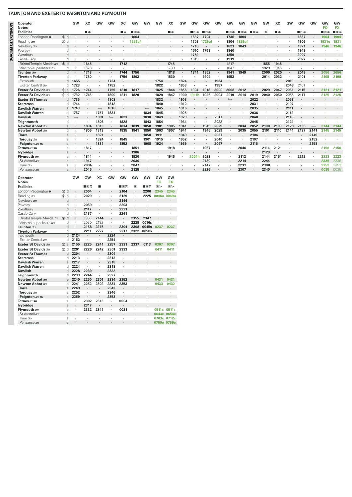| <b>OL SAVGINOM</b> | Operator<br><b>Notes</b>   |              | GW                | XC      | GW      | GW            | XC   | GW            | GW   | GW   | XC        | <b>GW</b> | GW               | GW        | GW   | GW                       | GW            | GW                       | GW                       | XC   | GW      | GW      | <b>GW</b> | GW<br>F <sub>O</sub> | GW<br><b>FX</b> |
|--------------------|----------------------------|--------------|-------------------|---------|---------|---------------|------|---------------|------|------|-----------|-----------|------------------|-----------|------|--------------------------|---------------|--------------------------|--------------------------|------|---------|---------|-----------|----------------------|-----------------|
|                    | <b>Facilities</b>          |              |                   | ■天      |         |               | ■≖   | ■R工           |      |      | ■≖        |           | ∎R⊼              | ■日本       |      | ■RIJ                     | ■Rᄍ           | ▉Rᠼ                      | <b>R</b>                 | ■≖   |         | ■Rᠼ     |           | ■Rエ                  | <b>ER</b>       |
|                    | London Paddington $\Theta$ | <b>15 d</b>  |                   |         |         |               |      | 1604          |      |      |           |           | 1637             | 1704      |      | 1736                     | 1804          |                          |                          |      |         | 1837    |           | 1904                 | 1904            |
|                    | Reading $\equiv$           | $①$ d        |                   |         |         |               |      | <b>1629uf</b> |      |      |           |           | 1703             | 1729uf    |      | 1804                     | <b>1829uf</b> |                          |                          |      |         | 1906    |           | 1931u                | 1931            |
|                    | Newbury s                  | $\sqrt{2}$   |                   |         |         |               |      |               |      |      |           |           | 1718             |           |      | 1821                     | 1843          |                          |                          |      |         | 1921    |           | 1946                 | 1946            |
| <b>FRIDAYS</b>     | Pewsev                     | d            |                   |         |         |               |      |               |      |      |           |           | 1740             | 1758      |      | 1840                     |               |                          |                          |      |         | 1949    |           |                      |                 |
|                    | Westbury                   |              |                   |         |         |               |      |               |      |      |           |           | 1759             | $\bullet$ |      | 1859                     |               |                          |                          |      |         | 2007    |           |                      | <b>A</b>        |
|                    | Castle Carv                | d            |                   |         |         |               |      |               |      |      |           |           | 1819             |           |      | 1919                     |               |                          |                          |      |         | 2027    |           |                      |                 |
|                    | Bristol Temple Meads       | 60d          |                   | 1645    |         |               | 1712 |               |      |      | 1745      |           |                  |           |      | 1817                     |               |                          | 1855                     | 1948 | $\cdot$ |         |           |                      |                 |
|                    | Weston-super-Mare          | d            |                   | 1626    |         |               |      |               |      |      | 1730      |           |                  |           |      | 1847                     |               |                          | 1929                     | 1946 |         |         |           |                      |                 |
|                    | Taunton so                 | <sub>d</sub> |                   | 1718    | $\cdot$ |               | 1744 | 1750          |      |      | 1818      |           | 1841             | 1852      |      | 1941                     | 1949          |                          | 2000                     | 2020 | $\cdot$ | 2049    |           | 2056                 | 2056            |
|                    | <b>Tiverton Parkway</b>    | d            |                   | 1730    | $\cdot$ |               | 1756 | 1803          |      |      | 1830      | ٠         | $\cdot$          | 1904      |      | 1953                     | ٠             |                          | 2014                     | 2032 | $\cdot$ | 2101    |           | 2108                 | 2108            |
|                    | Exmouth                    |              | 1655              |         |         | 1724          |      |               |      | 1754 | $\cdot$   | 1824      | $\cdot$          |           | 1924 | $\cdot$                  |               |                          |                          |      | 2019    | $\cdot$ |           |                      |                 |
|                    | Exeter Central             |              | 1723              |         |         | 1752          |      |               |      | 1822 |           | 1853      | $\cdot$          |           | 1957 |                          |               |                          |                          |      | 2048    | 2101    |           |                      |                 |
|                    | Exeter St Davids           | 6 a          | 1726              | 1744    | $\cdot$ | 1755          | 1810 | 1817          |      | 1825 | 1844      | 1856      | 1904             | 1918      | 2000 | 2008                     | 2012          | $\overline{\phantom{0}}$ | 2029                     | 2047 | 2051    | 2115    |           | 212 <sup>1</sup>     | 2121            |
|                    | Exeter St Davids           | 60 d         | 1732              | 1746    | $\cdot$ | 1800          | 1811 | 1820          |      | 1829 | 1847      | 1900      | 911 <sub>h</sub> | 1926      | 2004 | 2019                     | 2014          | 2019                     | 2040                     | 2050 | 2055    | 2117    |           | 2125                 | 2125            |
|                    | <b>Exeter St Thomas</b>    |              | 1735              | $\cdot$ |         | 1803          |      |               |      | 1832 | $\cdot$   | 1903      |                  |           |      | $\overline{\phantom{a}}$ |               | 2022                     | $\overline{\phantom{a}}$ |      | 2058    |         |           |                      |                 |
|                    | <b>Starcross</b>           | C            | 1744              |         |         | 1812          |      |               |      | 1840 |           | 1912      |                  |           |      |                          |               | 2031                     |                          |      | 2107    |         |           |                      |                 |
|                    | Dawlish Warren             |              | 1748              |         |         | 1816          |      |               |      | 1845 | $\sim$    | 1916      |                  |           |      |                          |               | 2035                     |                          |      | 2111    |         |           |                      |                 |
|                    | <b>Dawlish Warren</b>      | d            | 1757              |         | 1757    | 1834          |      | ٠             | 1834 | 1845 | $\cdot$   | 1925      | ٠                |           |      |                          |               | 2036                     | ٠                        |      | 2112    |         |           |                      |                 |
|                    | <b>Dawlish</b>             | <sub>d</sub> | $\longrightarrow$ |         | 1801    | $\longmapsto$ | 1823 | $\cdot$       | 1838 | 1849 | $\bullet$ | 1929      | $\bullet$        |           | 2017 |                          |               | 2040                     | $\cdot$                  |      | 2116    |         |           |                      |                 |
|                    | Teignmouth                 | d            |                   |         | 1806    |               | 1828 | $\cdot$       | 1843 | 1854 |           | 1934      |                  |           | 2022 |                          |               | 2045                     |                          |      | 2121    |         |           |                      |                 |
|                    | Newton Abbot               | $\mathbf{a}$ |                   | 1804    | 1813    |               | 1834 | 1839          | 1850 | 1901 | 1905      | 1941      | $\blacksquare$   | 1945      | 2029 | $\cdot$                  | 2034          | 2052                     | 2100                     | 2109 | 2128    | 2136    |           | 2144                 | 2144            |
|                    | Newton Abbot ₽             | d.           |                   | 1806    | 1813    |               | 1835 | 1841          | 1850 | 1903 | 1907      | 1941      | $\blacksquare$   | 1946      | 2029 | $\cdot$                  | 2035          | 2055                     | 2101                     | 2110 | 2141    | 2137    | 2141      | 2145                 | 2145            |
|                    | <b>Torre</b>               | a            |                   |         | 1821    | $\cdot$       |      | $\cdot$       | 1858 | 1911 | $\cdot$   | 1949      | $\cdot$          |           | 2037 | $\cdot$                  |               | 2104                     |                          |      |         |         | 2149      | $\sim$               | $\sim$          |
|                    | Torquay some               | a            |                   |         | 1824    |               | 1845 | ٠             | 1901 | 1915 |           | 1952      |                  |           | 2040 |                          |               | 2107                     |                          |      |         |         | 2152      |                      |                 |
|                    | Paignton = mi              | a            |                   |         | 1831    |               | 1852 | $\bullet$     | 1908 | 1924 | $\cdot$   | 1959      | ٠                |           | 2047 |                          |               | 2116                     |                          |      |         |         | 2158      | $\sim$               |                 |
|                    | Totnes and                 | a            |                   | 1817    |         |               |      | 1851          |      |      | 1918      |           |                  | 1957      |      |                          | 2046          |                          | 2114                     | 2121 |         |         |           | 2156                 | 2156            |
|                    | lvybridge                  | a            |                   |         |         |               |      | 1906          |      |      |           |           |                  |           |      |                          |               |                          | 2129                     |      |         |         |           |                      |                 |
|                    | Plymouth $\equiv$          | a            |                   | 1844    |         |               |      | 1920          |      |      | 1945      |           | 2004             | 2023      |      |                          | 2112          |                          | 2144                     | 2151 |         | 2212    |           | 2223                 | 2223            |
|                    | St Austell s               | a            |                   | 1947    |         |               |      | 2030          |      |      |           |           |                  | 2130      |      |                          | 2214          |                          | 2244                     |      |         |         |           | 2335                 | 2336            |
|                    | Truro se                   | a            |                   | 2004    |         |               |      | 2047          |      |      |           |           |                  | 2147      |      |                          | 2231          |                          | 2300                     |      |         |         |           | 2352                 | 2353            |
|                    | Penzance s                 | a            |                   | 2045    |         |               |      | 2125          |      |      |           |           |                  | 2226      |      |                          | 2307          |                          | 2340                     |      |         |         |           | 0035                 | 0035            |

| <b>Operator</b><br><b>Notes</b> |             | GW                   | GW            | XC                   | GW                   | GW                   | GW   | <b>GW</b>            | GW<br><b>FO</b>   | GW<br><b>FX</b>   |
|---------------------------------|-------------|----------------------|---------------|----------------------|----------------------|----------------------|------|----------------------|-------------------|-------------------|
| <b>Facilities</b>               |             |                      | <b>IR</b> क्र | ■                    |                      | <b>IRA</b>           | R    | ■Rᠼ                  | <b>R</b>          | 国向                |
| London Paddington $\Theta$      | <b>60 d</b> |                      | 2004          | $\cdot$              | $\blacksquare$       | 2104                 | ٠    | 2200                 | 2345              | 2345              |
| Reading                         | (7)<br>d    | ٠                    | 2029          | ï                    | $\cdot$              | 2129                 |      | 2225                 | 0046u 0049u       |                   |
| Newbury s                       | d           | ٠                    | $\cdot$       | $\cdot$              | ٠                    | 2144                 |      | $\cdot$              |                   | ä                 |
| Pewsey                          | d           | $\cdot$              | 2059          |                      | $\ddot{\phantom{a}}$ | 2203                 |      |                      |                   | ł.                |
| Westbury                        | d           | ٠                    | 2117          |                      | ٠                    | 2221                 | ٠    | $\blacksquare$       |                   | ä                 |
| Castle Cary                     | d           | $\cdot$              | 2137          | ï                    | $\cdot$              | 2241                 | ٠    |                      | ×                 | ×                 |
| Bristol Temple Meads            | d<br>$10$   |                      | 1953          | 2144                 | ï                    | ï                    | 2155 | 2347                 | ٠                 | ï                 |
| Weston-super-Mare               | d           |                      | 2030          | 2132                 | $\cdot$              | ï                    | 2229 | 0016s                |                   | k                 |
| Taunton so                      | d           | $\ddot{\phantom{0}}$ | 2158          | 2215                 | ï                    | 2304                 | 2308 | 0045s                | 0237              | 0237              |
| <b>Tiverton Parkwav</b>         | d           |                      | 2211          | 2227                 |                      | 2317                 | 2322 | 0058s                |                   | ×                 |
| Fxmouth                         | d           | 2124                 |               |                      | 2224                 |                      |      |                      | ¥.                | ×                 |
| Fxeter Central                  | d           | 2152                 | i.            | ï                    | 2254                 | ï                    |      |                      |                   | ł,                |
| Exeter St Davids                | $6$<br>a    | 2155                 | 2225          | 2241                 | 2257                 | 2331                 | 2337 | 0113                 | 0307              | 0307              |
| Exeter St Davids                | $6$<br>d    | 2201                 | 2226          | 2242                 | 2301                 | 2333                 |      | $\cdot$              | 0411              | 0411              |
| <b>Exeter St Thomas</b>         | d           | 2204                 | $\cdot$       | ٠                    | 2304                 | $\cdot$              |      | $\blacksquare$       |                   | ¥                 |
| <b>Starcross</b>                | d           | 2213                 | $\cdot$       | ٠                    | 2313                 | ٠                    | ٠    | $\cdot$              |                   |                   |
| <b>Dawlish Warren</b>           | a           | 2217                 | $\cdot$       | ٠                    | 2318                 | $\cdot$              |      | $\blacksquare$       | ¥                 | ×                 |
| <b>Dawlish Warren</b>           | d           | 2224                 |               | $\ddot{\phantom{0}}$ | 2318                 |                      |      |                      |                   |                   |
| <b>Dawlish</b>                  | d           | 2228                 | 2239          | $\cdot$              | 2322                 | $\ddot{\phantom{0}}$ |      | $\ddot{\phantom{0}}$ | ÷                 | ä,                |
| Teignmouth                      | d           | 2233                 | 2244          | ï                    | 2327                 |                      |      |                      |                   |                   |
| Newton Abbot =                  | a           | 2240                 | 2250          | 2301                 | 2334                 | 2352                 |      | $\blacksquare$       | 0431              | 0431              |
| Newton Abbot                    | d           | 2241                 | 2252          | 2302                 | 2334                 | 2353                 |      | ٠                    | 0433              | 0432              |
| <b>Torre</b>                    | a           | 2249                 | ٠             |                      | 2343                 |                      |      | $\blacksquare$       |                   | ٠                 |
| Torquay s                       | a           | 2252                 |               |                      | 2346                 |                      |      | $\cdot$              |                   | ×                 |
| Paignton = Mi                   | a           | 2259                 | ٠             |                      | 2353                 | $\cdot$              |      | $\ddot{\phantom{a}}$ | ÷                 | ×                 |
| Totnes = Mi                     | a           | ٠                    | 2302          | 2313                 | $\cdot$              | 0004                 |      |                      | i.                | ×                 |
| <b>Ivvbridge</b>                | a           | $\cdot$              | 2317          | ٠                    | $\blacksquare$       |                      |      | $\blacksquare$       |                   |                   |
| Plymouth s                      | a           | ٠                    | 2332          | 2341                 | $\cdot$              | 0031                 |      | $\cdot$              | 0511 <sub>s</sub> | 0511 <sub>s</sub> |
| St Austell                      | a           | $\cdot$              | ٠             |                      | ٠                    |                      |      | $\blacksquare$       | 0643c             | 0654c             |
| Truro æ                         | a           | í.                   | i.            |                      |                      | ï                    |      |                      | 0703c             | 0712c             |
| Penzance s                      | a           |                      | ٠             | ٠                    | ٠                    | ٠                    | ٠    | ٠                    |                   | 0750e 0759e       |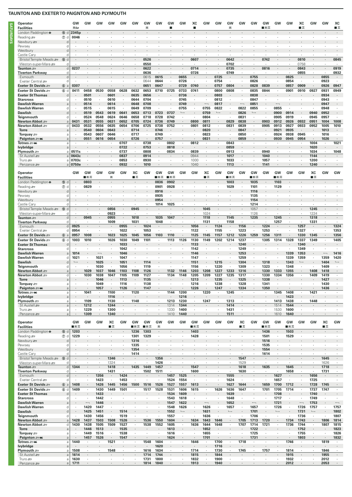**SATURDAYS**

**SATURDAYS** 

| Operator<br><b>Facilities</b>               |                                  | GW<br><b>Rice</b>     | GW                       | GW                        | GW                           | GW              | GW                 | GW<br>$\mathbf R$            | GW                   | GW<br>г            | GW                    | XC<br>п                  | GW                               | GW                   | GW<br>$\mathbb{R}$    | GW                  | GW                              | GW<br>$R\overline{A}$ | GW                               | GW                   | XC<br>∎∓                        | GW                    | GW                       | XC<br>∎ ऊ                    |
|---------------------------------------------|----------------------------------|-----------------------|--------------------------|---------------------------|------------------------------|-----------------|--------------------|------------------------------|----------------------|--------------------|-----------------------|--------------------------|----------------------------------|----------------------|-----------------------|---------------------|---------------------------------|-----------------------|----------------------------------|----------------------|---------------------------------|-----------------------|--------------------------|------------------------------|
| London Paddington $\bullet$                 | 15 d                             | 2345p                 |                          |                           |                              |                 |                    |                              |                      |                    |                       |                          |                                  |                      |                       |                     |                                 |                       |                                  |                      |                                 |                       |                          |                              |
| Reading                                     | 7 d                              | 0046                  | ٠                        |                           |                              |                 |                    |                              |                      |                    |                       |                          |                                  |                      |                       |                     |                                 |                       |                                  |                      |                                 |                       |                          |                              |
| Newbury se<br>Pewsey                        | d<br>d                           |                       |                          |                           |                              |                 |                    |                              |                      |                    |                       |                          |                                  |                      |                       |                     |                                 |                       |                                  |                      |                                 |                       |                          |                              |
| Westbury                                    | d                                |                       |                          |                           |                              |                 |                    |                              |                      |                    |                       |                          |                                  |                      |                       |                     |                                 |                       |                                  |                      |                                 |                       |                          |                              |
| Castle Cary<br>Bristol Temple Meads         | d<br><b>10</b><br>d              |                       |                          |                           |                              |                 |                    | 0526                         |                      |                    |                       | 0607                     |                                  |                      | 0642                  |                     |                                 | 0742                  |                                  | $\cdot$              | 0810                            |                       |                          | ٠<br>0845                    |
| Weston-super-Mare 2                         | d                                |                       | ٠                        |                           |                              |                 | $\cdot$            | 0550                         | ٠                    |                    | $\cdot$               | $\cdot$                  |                                  | $\cdot$              | 0702                  |                     | ٠                               |                       |                                  | $\cdot$              | 0758                            |                       | $\cdot$                  | $\cdot$                      |
| Taunton #                                   | d                                | 0237                  |                          |                           |                              |                 |                    | 0622                         |                      |                    |                       | 0714                     |                                  |                      | 0735                  |                     |                                 | 0816                  |                                  | $\cdot$              | 0843                            |                       |                          | 0919                         |
| <b>Tiverton Parkway</b><br>Exmouth          | d<br>d                           |                       | ٠                        |                           |                              |                 | ٠                  | 0636<br>0615                 | ٠<br>0615            |                    | ٠<br>0655             | 0726                     | $\cdot$                          | 0725                 | 0749                  | ٠<br>٠              | 0755                            | $\ddot{\phantom{0}}$  |                                  | ٠<br>0825            | 0855                            | ٠                     | $\cdot$<br>0855          | 0932                         |
| Exeter Central                              | d                                |                       | ٠                        |                           |                              |                 | ٠                  | 0644                         | 0644                 | $\cdot$            | 0726                  |                          | $\cdot$                          | 0754                 | ٠                     |                     | 0826                            |                       |                                  | 0854                 | $\blacksquare$                  |                       | 0923                     | $\cdot$                      |
| Exeter St Davids =                          | 6a                               | 0307                  |                          |                           |                              |                 |                    | 0651                         | 0647                 |                    | 0729                  | 0740                     | $\cdot$                          | 0757                 | 0804                  |                     | 0828                            | 0839                  |                                  | 0857                 | 0909                            |                       | 0926                     | 0947                         |
| Exeter St Davids<br><b>Exeter St Thomas</b> | 6 d<br>d                         | 0411                  | 0458<br>0501             | 0530                      | 0558<br>0601                 | 0628            | 0632<br>0635       | 0653<br>0656                 | 0710                 | 0725               | 0733<br>0736          | 0741                     | $\cdot$                          | 0800<br>0803         | 0808                  | ٠                   | 0835<br>0838                    | 0844                  | ٠                                | 0901                 | 0910                            | 0927                  | 0931<br>0934             | 0949                         |
| <b>Starcross</b>                            | d                                |                       | 0510                     | ٠                         | 0610                         | ٠               | 0644               | 0704                         | ٠                    |                    | 0745                  | ٠                        | ٠                                | 0812                 | $\cdot$               | ٠                   | 0847                            | $\cdot$               |                                  |                      |                                 |                       | 0943                     | ٠                            |
| Dawlish Warren<br><b>Dawlish Warren</b>     | a<br>d                           |                       | 0514<br>0515             | ٠                         | 0614<br>0615                 | $\cdot$         | 0648<br>0649       | 0708<br>0709                 | ٠                    |                    | 0749<br>0755          | ٠                        | $\overline{\phantom{0}}$<br>0755 | 0817<br>0822         | $\cdot$               | 0822                | 0851<br>0855                    | ٠                     | $\longleftarrow$<br>0855         | $\cdot$              |                                 |                       | 0947<br>0948             | ٠                            |
| Dawlish                                     | d                                |                       | 0519                     | 0543                      | 0619                         | 0641            | 0653               | 0713                         | 0723                 | 0737               | $\overline{a}$        |                          | 0759                             | $\longmapsto$        |                       | 0826                | $\longmapsto$                   |                       | 0900                             | 0914                 |                                 | 0940                  | 0952                     |                              |
| Teignmouth                                  | d                                |                       | 0524                     | 0548                      | 0624                         | 0646            | 0658               | 0718                         | 0728                 | 0742               | ٠                     |                          | 0804                             | $\cdot$              | $\cdot$               | 0831                | $\cdot$                         | $\cdot$               | 0905                             | 0919                 | $\cdot$                         | 0945                  | 0957                     | $\cdot$                      |
| <b>Newton Abbot</b><br>Newton Abbot ≅       | $\rm{a}$<br>d                    | 0431<br>0433          | 0531<br>0532             | 0555<br>0556              | 0631<br>0635                 | 0652<br>0654    | 0705<br>0706       | 0724<br>0725                 | 0736<br>0738         | 0749<br>0752       | $\cdot$               | 0800<br>0801             | 0811<br>0812                     | ٠                    | 0829<br>0831          | 0838<br>0839        | $\cdot$<br>$\cdot$              | 0903<br>0905          | 0912<br>0913                     | 0926<br>0927         | 0932<br>0933                    | 0951<br>0952          | 1004<br>1005             | 1008<br>1010                 |
| <b>Torre</b>                                | a                                |                       | 0540                     | 0604                      | 0643                         |                 | 0714               |                              | 0746                 |                    |                       |                          | 0820                             |                      |                       | 0847                |                                 |                       | 0921                             | 0935                 | $\cdot$                         |                       | 1013                     |                              |
| Torquay =<br>Paignton = W                   | a<br>a                           |                       | 0543<br>0551             | 0607<br>0616              | 0646<br>0654                 | ٠               | 0717<br>0726       | $\cdot$<br>$\cdot$           | 0749<br>0757         | $\cdot$            | $\cdot$               | ٠                        | 0823<br>0831                     | ٠<br>$\cdot$         |                       | 0850<br>0859        | ٠<br>$\cdot$                    |                       | 0924<br>0930                     | 0938<br>0945         | 0945<br>0954                    | $\cdot$               | 1016<br>1026             | $\epsilon$<br>$\epsilon$     |
| Totnes ാ‱                                   | a                                | $\cdot$               | $\cdot$                  | ٠                         | $\cdot$                      | 0707            | $\cdot$            | 0738                         |                      | 0802               | ٠                     | 0812                     | $\cdot$                          | ٠                    | 0843                  | ٠                   | ٠                               | $\cdot$               | $\cdot$                          | ٠                    | ٠                               | 1004                  | $\cdot$                  | 1021                         |
| lvybridge                                   | a                                |                       |                          |                           |                              | 0722            | $\cdot$            | 0753                         |                      | 0818               | $\cdot$               |                          |                                  |                      | 0859                  | ٠                   |                                 |                       |                                  |                      |                                 | 1020                  | $\cdot$                  | $\sim$                       |
| Plymouth s<br>St Austell s                  | a<br>$\mathsf{a}$                | 0511s<br>0643c        |                          |                           |                              | 0737<br>0837    | $\cdot$<br>$\cdot$ | 0808<br>0914                 | ÷,                   | 0834               | $\ddot{\phantom{a}}$  | 0839<br>0944             | $\cdot$<br>÷,                    |                      | 0913<br>1017          | ٠                   | $\ddot{\phantom{a}}$<br>$\cdot$ | 0940<br>1040          |                                  |                      |                                 | 1034<br>1144          | $\cdot$<br>$\cdot$       | 1048                         |
| Truro se                                    | a                                | 0703c                 | ٠                        | ٠                         | ×,                           | 0853            | $\cdot$            | 0930                         |                      |                    | ٠                     | 1000                     | $\cdot$                          |                      | 1033                  | ٠                   | ٠                               | 1057                  |                                  |                      | $\cdot$                         | 1200                  | $\cdot$                  |                              |
| Penzance s                                  | a                                | 0750e                 | ٠                        |                           |                              | 0932            | $\cdot$            | 1010                         |                      |                    |                       | 1040                     | $\epsilon$                       |                      | 1113                  | ٠                   |                                 | 1141                  |                                  |                      |                                 | 1240                  |                          |                              |
| Operator                                    |                                  | GW                    | GW                       | GW                        | GW                           | GW              | XC                 | GW                           | GW                   | GW                 | GW                    | GW                       | ХC                               | GW                   | GW                    | GW                  | GW                              | GW                    | GW                               | GW                   | GW                              | XC                    | GW                       | GW                           |
| <b>Facilities</b>                           |                                  |                       | ■B⊼                      |                           | $\mathbf R$                  |                 | ∎≂                 |                              | ∎R⊼<br>0836          | ■R‰                |                       |                          | ∎ਨ                               |                      | ■R‰<br>1003           |                     | ∎n≂                             |                       | ■R⊼                              |                      |                                 | ∎≂                    |                          |                              |
| London Paddington $\bullet$<br>Reading s    | (f5) d<br>O d                    |                       | 0803<br>0829             |                           |                              |                 |                    |                              | 0901                 | 0902<br>0928       |                       |                          |                                  |                      | 1029                  | $\blacksquare$<br>٠ | 1035<br>1101                    |                       | 1103<br>1129                     |                      |                                 |                       |                          |                              |
| Newbury some                                | d                                |                       |                          |                           |                              |                 |                    |                              | 0916                 |                    |                       |                          |                                  |                      |                       |                     | 1116                            |                       |                                  |                      |                                 |                       |                          |                              |
| Pewsey                                      | d                                |                       |                          |                           |                              |                 |                    |                              | 0935                 | $\cdot$            |                       |                          |                                  |                      |                       |                     | 1135                            |                       |                                  |                      |                                 |                       |                          |                              |
| Westbury<br>Castle Cary                     | d<br>d                           |                       |                          |                           |                              |                 | $\cdot$            | $\cdot$                      | 0954<br>1014         | 1025               |                       |                          | $\cdot$                          |                      |                       |                     | 1154<br>1214                    | $\ddot{\phantom{a}}$  |                                  |                      | $\ddot{\phantom{a}}$            |                       |                          |                              |
| Bristol Temple Meads                        | <b>10</b><br>d                   |                       |                          |                           | 0856                         |                 | 0945               |                              |                      |                    |                       |                          | 1045                             |                      |                       |                     | 1057                            |                       |                                  |                      |                                 | 1245                  |                          |                              |
| Weston-super-Mare 2<br>Taunton #            | d<br>d                           |                       | 0945                     | ÷,                        | 0923<br>0955                 | $\cdot$         | 1018               | $\cdot$                      | 1035                 | 1047               |                       |                          | 1024<br>1118                     | $\cdot$              | 1145                  |                     | 1126<br>1235                    |                       | 1245                             |                      |                                 | 1224<br>1318          |                          |                              |
| <b>Tiverton Parkway</b>                     | d                                |                       |                          | $\ddot{\phantom{0}}$      | 1009                         | ٠               | 1031               | $\cdot$                      | 1048                 |                    |                       | ٠                        | 1131                             | ٠                    | 1158                  | ٠                   | ٠                               | $\cdot$               | 1257                             | ٠                    | $\cdot$                         | 1331                  |                          | $\cdot$                      |
| Exmouth                                     | d                                | 0925<br>0954          | ٠<br>٠                   | ٠                         | $\cdot$                      | 0955<br>1022    | $\cdot$<br>$\cdot$ | 1024<br>1053                 | ٠                    | $\cdot$            | ٠                     | 1056<br>1122             | $\cdot$<br>$\cdot$               | 1124<br>1155         |                       | 1156<br>1223        | $\cdot$<br>$\cdot$              | 1224<br>1253          | ٠                                | $\cdot$              | 1257<br>1327                    | $\cdot$               |                          | 1324<br>1353                 |
| Exeter Central<br>Exeter St Davids          | d<br>6a                          | 0957                  | 1008                     | $\cdot$                   | 1023                         | 1025            | 1045               | 1056                         | 1103                 | 1110               |                       | 1125                     | 1145                             | 1157                 | 1212                  | 1226                | 1259                            | 1256                  | 1311                             | ٠<br>٠               | 1330                            | 1345                  | $\cdot$<br>$\cdot$       | 1356                         |
| Exeter St Davids                            | 6d                               | 1003                  | 1010                     | $\cdot$                   | 1026                         | 1030            | 1049               | 1101                         | $\cdot$              | 1113               | 1126                  | 1130                     | 1149                             | 1202                 | 1214                  | 1237                | $\cdot$                         | 1305                  | 1314                             | 1328                 | 1337                            | 1349                  | $\cdot$                  | 1405                         |
| <b>Exeter St Thomas</b><br><b>Starcross</b> | d<br>d                           |                       | ٠                        |                           | ×,                           | 1033<br>1042    |                    | ٠                            |                      |                    | ٠                     | 1133<br>1142             | $\cdot$                          |                      |                       | 1240<br>1249        | ٠                               |                       |                                  |                      | 1340<br>1349                    |                       |                          | $\ddot{\phantom{0}}$<br>٠    |
| Dawlish Warren                              | a                                | 1014                  |                          | $\overline{\phantom{0}}$  |                              | 1046            |                    |                              |                      |                    |                       | 1146                     |                                  |                      |                       | 1253                |                                 |                       |                                  | 1339                 | 1353                            |                       | $\overline{\phantom{0}}$ | 1416                         |
| <b>Dawlish Warren</b>                       | d                                | 1021                  | ٠                        | 1021                      | $\cdot$                      | 1047            |                    | $\cdot$                      |                      |                    |                       | 1147                     | $\cdot$                          | ٠                    |                       | 1259                | ٠                               | $\cdot$               |                                  | 1339                 | 1359                            | ٠                     | 1359                     | 1420                         |
| <b>Dawlish</b><br>Teignmouth                | d<br>d                           | $\longmapsto$         | ٠                        | 1025<br>1030              |                              | 1051<br>1056    | ٠                  | 1114<br>1119                 |                      |                    |                       | 1151<br>1156             |                                  | 1215<br>1220         |                       | 1304<br>1309        | ٠                               | 1318<br>1323          |                                  | 1343<br>1348         | $\longmapsto$<br>$\blacksquare$ |                       | 1404<br>1409             | $\longmapsto$<br>٠           |
| Newton Abbot =                              | $\mathsf{a}$                     |                       | 1029                     | 1037                      | 1046                         | 1103            | 1108               | 1126                         |                      | 1132               | 1146                  | 1203                     | 1208                             | 1227                 | 1233                  | 1316                |                                 | 1330                  | 1333                             | 1355                 |                                 | 1408                  | 1418                     |                              |
| <b>Newton Abbot</b>                         | d                                |                       | 1030                     | 1038                      | 1047                         | 1105            | 1109               | 1127<br>1135                 | $\cdot$              | 1134               | 1148                  | 1205<br>1213             | 1209                             | 1227                 | 1235                  | 1317<br>1325        | $\cdot$                         | 1330<br>1338          | 1334                             | 1356                 | $\cdot$                         | 1409                  | 1419<br>1427             | ٠                            |
| <b>Torre</b><br>Torquay $\equiv$            |                                  |                       |                          | 1046                      |                              | 1113            |                    |                              |                      |                    |                       |                          |                                  | 1235                 |                       |                     |                                 |                       |                                  |                      |                                 |                       | 1430                     |                              |
|                                             | a<br>a                           |                       | $\mathbf{r}$             | 1049                      |                              | 1116            |                    | 1138                         |                      |                    |                       | 1216                     |                                  | 1238                 |                       | 1328                |                                 | 1341                  |                                  |                      |                                 |                       |                          | $\cdot$                      |
| Paignton = Wi                               | a                                |                       |                          | 1057                      |                              | 1126            |                    | 1147                         |                      |                    |                       | 1226                     |                                  | 1247                 |                       | 1334                | $\cdot$                         | 1350                  |                                  |                      |                                 |                       | 1436                     |                              |
| Totnes <i>a</i> mi                          | a                                | $\cdot$               | 1041<br>٠                | ٠                         | 1100                         |                 | 1120               |                              |                      | 1144               | 1200                  |                          | 1220                             |                      | 1245                  | ٠                   |                                 |                       | 1345                             | 1408                 |                                 | 1421                  | $\cdot$                  | $\cdot$                      |
| lvybridge<br>Plymouth $\equiv$              | $\mathsf{a}$<br>a                |                       | 1109                     | $\cdot$                   | 1116<br>1130                 | ٠               | 1148               | ×,                           | $\cdot$              | 1213               | 1216<br>1230          | $\cdot$                  | 1247                             | $\cdot$              | 1313                  | ٠                   |                                 | $\cdot$               | 1413                             | 1423<br>1438         | ×,                              | 1448                  | $\cdot$                  | $\epsilon$                   |
| St Austell s                                | $\mathsf{a}$                     | $\cdot$               | 1212                     | $\cdot$                   | 1244                         |                 |                    | $\cdot$                      |                      | 1314               | 1344                  | $\overline{\phantom{a}}$ |                                  |                      | 1414                  |                     |                                 | ä,                    | 1514                             | 1544                 |                                 |                       |                          | $\blacksquare$               |
| Truro se<br>Penzance s                      | a<br>a                           |                       | 1229<br>1309             | ٠<br>$\ddot{\phantom{0}}$ | 1300<br>1340                 | ٠<br>$\cdot$    | $\cdot$            | $\cdot$<br>$\blacksquare$    | ٠                    | 1330<br>1410       | 1400<br>1440          | $\cdot$                  | $\cdot$<br>$\epsilon$            | ٠                    | 1431<br>1511          | ٠<br>×,             | ï<br>$\cdot$                    |                       | 1530<br>1610                     | 1600<br>1640         | $\cdot$<br>$\epsilon$           | ٠<br>$\cdot$          | $\cdot$                  | ٠<br>$\epsilon$              |
|                                             |                                  |                       |                          |                           |                              |                 |                    |                              |                      |                    |                       |                          |                                  |                      |                       |                     |                                 |                       |                                  |                      |                                 |                       |                          |                              |
| Operator<br><b>Facilities</b>               |                                  | GW<br>$R\overline{A}$ | GW                       | GW                        | XC<br>∎ਨ                     | GW              | GW<br><b>IR</b> ऊ  | GW<br>∎R⊼                    | GW<br>$\blacksquare$ | GW                 | GW                    | GW<br>∎R⊼                | GW                               | GW                   | GW                    | XC<br>∎ क्र         | GW                              | GW<br><b>B</b> R      | GW                               | GW<br><b>B</b> R     | GW                              | GW                    | XC<br>■ऊ                 | GW                           |
| London Paddington $\Theta$                  | 15 d                             | 1203                  | $\blacksquare$           |                           |                              |                 | 1236               | 1303                         |                      |                    |                       | 1403                     | ä,                               |                      |                       |                     | $\cdot$                         | 1436                  | $\cdot$                          | 1503                 |                                 |                       |                          | $\sim$                       |
| Reading s                                   | $\circledcirc$ d                 | 1229                  | ٠                        |                           |                              |                 | 1301               | 1329                         |                      |                    |                       | 1428                     | $\cdot$                          |                      |                       |                     | ٠                               | 1501                  | ٠                                | 1529                 |                                 |                       |                          | ٠                            |
| Newbury se<br>Pewsey                        | d<br>d                           |                       | ٠                        |                           |                              |                 | 1316<br>1335       | $\cdot$                      |                      |                    |                       |                          |                                  |                      |                       |                     |                                 | 1516<br>1535          | ٠                                | ٠                    |                                 |                       |                          | ٠                            |
| Westbury                                    | d                                |                       |                          |                           |                              |                 | 1354               |                              |                      |                    |                       |                          |                                  |                      |                       |                     |                                 | 1554                  |                                  |                      |                                 |                       |                          |                              |
| Castle Cary                                 | d                                | $\cdot$               | ٠                        | ٠                         | ٠                            | ٠               | 1414               | $\cdot$                      | ٠                    |                    | ٠                     | ٠                        |                                  |                      |                       | ٠                   | ٠                               | 1614                  |                                  | ٠                    | $\cdot$                         |                       | $\cdot$                  | $\sim$                       |
| Bristol Temple Meads<br>Weston-super-Mare   | <b>10</b><br>d<br>d              |                       | ٠                        | ٠                         | 1346<br>1324                 | ٠               | $\cdot$            | $\epsilon$<br>$\cdot$        | 1356<br>1426         | $\cdot$            | ٠                     |                          | $\cdot$                          | ٠                    | $\cdot$               | 1547<br>1529        | ٠                               | $\cdot$               | ٠                                | $\cdot$              | $\cdot$                         | $\cdot$               | 1645<br>1626             | $\blacksquare$<br>$\epsilon$ |
| Taunton #                                   | d                                | 1344                  | $\cdot$                  | $\cdot$                   | 1418                         | $\cdot$         | 1435               | 1449                         | 1457                 | $\cdot$            | $\cdot$               | 1547                     |                                  | ×.                   |                       | 1618                | $\cdot$                         | 1635                  | $\cdot$                          | 1645                 | $\epsilon$                      |                       | 1718                     | $\epsilon$                   |
| <b>Tiverton Parkway</b><br>Exmouth          | d                                |                       | ٠<br>$\cdot$             | ٠<br>1356                 | 1431<br>$\ddot{\phantom{0}}$ | $\cdot$<br>1424 | $\cdot$<br>$\cdot$ | 1502                         | 1511                 | $\cdot$<br>1457    | ٠<br>1525             | 1600                     | ٠                                | $\cdot$              | ٠<br>1555             | 1630<br>$\cdot$     | $\cdot$<br>$\ddot{\phantom{0}}$ | $\cdot$<br>ä,         | ٠<br>1627                        | 1658<br>٠            | $\blacksquare$<br>$\epsilon$    | ٠<br>1656             | 1731<br>$\cdot$          | $\sim$<br>$\blacksquare$     |
| Exeter Central                              | $\operatorname{\mathsf{d}}$<br>d | $\cdot$               | ٠                        | 1423                      | $\cdot$                      | 1453            | $\cdot$            | $\cdot$                      | ٠                    | 1524               | 1554                  | ٠                        | ٠                                |                      | 1624                  | ٠                   | ٠                               | $\cdot$               | 1657                             | $\cdot$              | $\cdot$                         | 1725                  | $\cdot$                  | ٠                            |
| Exeter St Davids                            | 6a                               | 1408                  | $\cdot$                  | 1426                      | 1445                         | 1456            | 1500               | 1516                         | 1526                 | 1527               | 1557                  | 1613                     | $\cdot$                          |                      | 1627                  | 1644                | $\blacksquare$                  | 1659                  | 1700                             | 1712                 | $\cdot$                         | 1728                  | 1745                     | $\sim$                       |
| Exeter St Davids<br><b>Exeter St Thomas</b> | 6d<br>d                          | 1409                  | $\cdot$                  | 1430<br>1433              | 1449                         | 1501            | $\cdot$            | 1517                         | 1528                 | 1531<br>1534       | 1606<br>1609          | 1615                     | $\cdot$                          | 1626                 | 1636<br>1639          | 1647                | $\cdot$                         | 1701                  | 1705<br>1708                     | 1714                 | $\cdot$                         | 1737<br>1740          | 1747                     | $\epsilon$                   |
| <b>Starcross</b>                            | d                                |                       | ٠                        | 1442                      | $\cdot$                      | ٠               | ٠                  | $\cdot$                      | $\cdot$              | 1543               | 1618                  | $\cdot$                  | $\cdot$                          | $\cdot$              | 1648                  | $\cdot$             | $\cdot$                         | $\cdot$               | 1717                             | $\cdot$              | $\cdot$                         | 1749                  | $\cdot$                  | $\epsilon$                   |
| <b>Dawlish Warren</b>                       | $\mathsf{a}$                     |                       | $\overline{\phantom{0}}$ | 1446                      |                              |                 |                    |                              |                      | 1547               | 1622                  |                          | $\overline{\phantom{m}}$         |                      | 1652                  |                     | $\overline{\phantom{a}}$        |                       | 1721                             | $\cdot$              | $\longleftarrow$                | 1753                  |                          | $\overline{\phantom{a}}$     |
| <b>Dawlish Warren</b><br><b>Dawlish</b>     | d<br>d                           |                       | 1420<br>1425             | 1447<br>1451              | $\cdot$                      | ٠<br>1514       |                    |                              | ٠                    | 1548<br>1552       | 1626<br>$\longmapsto$ | $\cdot$                  | 1626<br>1631                     | $\cdot$              | 1657<br>$\longmapsto$ | $\cdot$             | 1657<br>1701                    | $\cdot$               | 1726<br>$\overline{\phantom{a}}$ | $\cdot$              | 1726<br>1731                    | 1757<br>$\longmapsto$ | $\cdot$                  | 1757<br>1802                 |
| Teignmouth                                  | d                                |                       | 1430                     | 1456                      | $\cdot$                      | 1519            | $\cdot$            | ٠                            | ٠                    | 1557               | $\cdot$               |                          | 1636                             | ٠                    | ٠                     | ٠                   | 1706                            | $\cdot$               | ٠                                | ٠                    | 1736                            | $\cdot$               | $\cdot$                  | 1807                         |
| <b>Newton Abbot</b>                         | $\mathsf{a}$                     | 1428                  | 1437                     | 1503                      | 1508                         | 1526            | $\cdot$<br>$\cdot$ | 1536                         | 1550                 | 1604               | $\cdot$               | 1634                     | 1643                             | 1646                 | $\cdot$               | 1705                | 1713                            | 1720                  | $\cdot$                          | 1734                 | 1743                            | $\cdot$               | 1806                     | 1814                         |
| Newton Abbot 2<br><b>Torre</b>              | d<br>a                           | 1430                  | 1438<br>1446             | 1505<br>1513              | 1509<br>$\ddot{\phantom{0}}$ | 1527<br>1535    |                    | 1538                         | 1552                 | 1605<br>1613       | ٠                     | 1636                     | 1644<br>1652                     | 1648<br>$\cdot$      |                       | 1707                | 1714<br>1722                    | 1721                  |                                  | 1736<br>٠            | 1744<br>1752                    |                       | 1807                     | 1815<br>1823                 |
| Torquay $\equiv$                            | a                                | $\cdot$               | 1449                     | 1516                      | $\cdot$                      | 1538            | $\cdot$            | $\cdot$                      | ٠                    | 1616               | ٠                     | ٠                        | 1655                             | $\cdot$              | ٠                     | ٠                   | 1725                            | $\cdot$               |                                  | ٠                    | 1755                            | ٠                     | $\cdot$                  | 1826                         |
| Paignton = W<br>Totnes ാ‱                   | $\rm{a}$<br>a                    | 1440                  | 1457<br>$\cdot$          | 1526<br>$\cdot$           | $\cdot$<br>1521              | 1547<br>$\cdot$ | $\cdot$<br>$\cdot$ | $\ddot{\phantom{a}}$<br>1548 | 1604                 | 1624<br>$\cdot$    | $\cdot$<br>$\cdot$    | 1646                     | 1701<br>$\cdot$                  | 1700                 | $\cdot$               | 1718                | 1731<br>$\cdot$                 | $\cdot$<br>$\cdot$    | ٠                                | 1746                 | 1803<br>$\blacksquare$          | $\cdot$<br>$\cdot$    | $\cdot$<br>1819          | 1832<br>$\cdot$              |
| lvybridge                                   | $\rm{a}$                         |                       |                          |                           |                              |                 |                    |                              | 1620                 |                    |                       | $\cdot$                  |                                  | 1716                 |                       | ٠                   |                                 |                       |                                  |                      |                                 |                       | $\cdot$                  | $\sim$                       |
| Plymouth $\equiv$                           | a                                | 1508                  | ٠                        | ٠                         | 1548                         | ٠               | $\cdot$            | 1616                         | 1634                 | $\cdot$<br>$\cdot$ | ٠                     | 1714                     | $\cdot$<br>$\cdot$               | 1730                 | $\cdot$               | 1745<br>٠           | ٠<br>$\cdot$                    | 1757                  |                                  | 1814                 | $\cdot$<br>$\cdot$              |                       | 1846                     | $\epsilon$                   |
| St Austell s<br>Truro se<br>Penzance s      | $\rm{a}$<br>a<br>$\rm{a}$        | 1614<br>1630<br>1711  | $\cdot$<br>٠             | ٠                         | ٠                            |                 | ٠                  | 1714<br>1731<br>1814         | 1744<br>1800<br>1840 | $\cdot$            | $\cdot$<br>٠          | 1815<br>1832<br>1913     | $\cdot$                          | 1844<br>1900<br>1940 | ٠                     | ٠                   | ٠                               | ٠                     |                                  | 1915<br>1932<br>2012 | $\cdot$                         |                       | 1955<br>2012<br>2053     | $\sim$<br>$\cdot$<br>$\sim$  |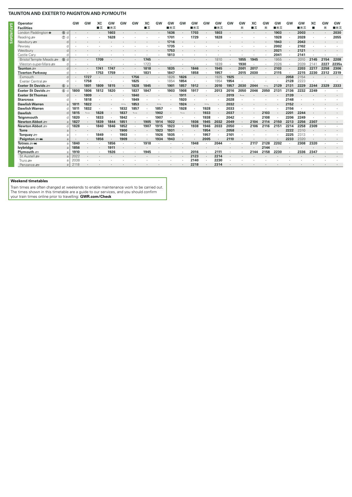| <b>Operator</b><br><b>Facilities</b> |                  | <b>GW</b> | GW                       | XC<br>■≖ | GW<br><b>IR</b> | GW                       | GW                       | XC<br>■天 | GW                       | GW<br>■R工 | GW                       | GW<br>∎R⊼ | GW                       | GW<br><b>IR</b> | GW   | GW<br>R                  | XC<br>∎≖ | GW<br>R | GW<br>■Rᠼ | GW             | GW<br>■Rѿ | ХC   | GW<br>R | GW<br>■ਸ਼ਿਲ |
|--------------------------------------|------------------|-----------|--------------------------|----------|-----------------|--------------------------|--------------------------|----------|--------------------------|-----------|--------------------------|-----------|--------------------------|-----------------|------|--------------------------|----------|---------|-----------|----------------|-----------|------|---------|-------------|
| London Paddington $\Theta$           | 15 d             |           |                          |          | 1603            |                          |                          |          |                          | 1636      |                          | 1703      |                          | 1803            |      |                          |          |         | 1903      | $\cdot$        | 2003      |      | $\cdot$ | 2030        |
| Reading $\equiv$                     | $\circledcirc$ d |           |                          |          | 1628            |                          |                          |          |                          | 1701      |                          | 1729      |                          | 1828            |      |                          |          |         | 1928      |                | 2028      |      |         | 2055        |
| Newbury se                           | $\Omega$         |           |                          |          |                 |                          |                          |          |                          | 1716      |                          |           |                          |                 |      |                          |          |         | 1943      | $\cdot$        | 2043      |      |         |             |
| Pewsey                               | O                |           |                          |          |                 |                          |                          |          |                          | 1735      |                          |           |                          |                 |      |                          |          |         | 2002      |                | 2102      |      |         |             |
| Westbury                             | $\Omega$         |           |                          |          |                 |                          |                          |          |                          | 1753      |                          |           |                          |                 |      |                          |          |         | 2021      |                | 2121      |      |         |             |
| Castle Carv                          | d                |           |                          |          |                 |                          |                          |          |                          | 1813      |                          |           |                          |                 |      |                          |          |         | 2041      | $\cdot$        | 2141      |      |         |             |
| Bristol Temple Meads                 | to d             |           | ٠                        | 1709     |                 |                          |                          | 1745     | ٠                        |           |                          |           |                          | 1810            |      | 1855                     | 1945     |         | 1955      | $\blacksquare$ | 2010      | 2145 | 2154    | 2208        |
| Weston-super-Mare s                  | d                |           |                          |          |                 |                          |                          | 1723     |                          |           |                          |           |                          | 1839            |      | 1930                     | $\cdot$  |         | 2026      | $\cdot$        | 2039      | 2141 | 2227    | 2235s       |
| Taunton <i>≅</i>                     | d                |           |                          | 1741     | 1747            |                          |                          | 1818     |                          | 1835      | $\ddot{\phantom{0}}$     | 1846      |                          | 1945            |      | 2001                     | 2017     |         | 2103      | $\cdot$        | 2203      | 2217 | 2258    | 2306        |
| <b>Tiverton Parkway</b>              | d                |           |                          | 1753     | 1759            |                          |                          | 1831     |                          | 1847      |                          | 1858      |                          | 1957            |      | 2015                     | 2030     |         | 2115      |                | 2215      | 2230 | 2312    | 2319        |
| Exmouth                              | d                |           | 1727                     |          |                 | $\bullet$                | 1756                     | $\cdot$  |                          | 1826      | 1826                     | $\cdot$   |                          | 1925            | 1925 |                          |          |         |           | 2058           | 2154      |      |         |             |
| Exeter Central                       | O                |           | 1758                     |          |                 |                          | 1825                     |          |                          | 1854      | 1854                     |           |                          | 1954            | 1954 |                          |          |         |           | 2128           | 2223      |      |         |             |
| Exeter St Davids                     | 6a               |           | 1801                     | 1809     | 1815            | ٠                        | 1828                     | 1845     |                          | 1901      | 1857                     | 1912      |                          | 2010            | 1957 | 2030                     | 2044     |         | 2129      | 2131           | 2229      | 2244 | 2329    | 2333        |
| Exeter St Davids                     | 6d               | 1800      | 1806                     | 1812     | 1820            |                          | 1837                     | 1847     |                          | 1903      | 1908                     | 1917      |                          | 2013            | 2016 | 2050                     | 2046     | 2050    | 2131      | 2136           | 2232      | 2249 |         |             |
| <b>Exeter St Thomas</b>              | d                | $\cdot$   | 1809                     |          |                 | $\bullet$                | 1840                     |          |                          |           | 1911                     |           |                          |                 | 2019 | $\overline{\phantom{a}}$ |          |         |           | 2139           |           |      |         |             |
| <b>Starcross</b>                     | d                |           | 1818                     |          |                 |                          | 1849                     |          |                          |           | 1920                     |           |                          | ٠               | 2028 |                          |          |         |           | 2148           |           |      |         |             |
| <b>Dawlish Warren</b>                | a                | 1811      | 1822                     |          |                 | $\overline{\phantom{0}}$ | 1853                     | $\cdot$  | $\overline{\phantom{0}}$ |           | 1924                     |           | $\overline{\phantom{0}}$ |                 | 2032 |                          |          |         |           | 2152           |           |      |         |             |
| <b>Dawlish Warren</b>                | O                | 1811      | 1832                     |          |                 | 1832                     | 1857                     |          | 1857                     |           | 1928                     |           | 1928                     |                 | 2033 |                          |          |         |           | 2156           |           |      |         |             |
| <b>Dawlish</b>                       | $\Omega$         | 1815      | $\overline{\phantom{a}}$ | 1828     |                 | 1837                     | $\overline{\phantom{a}}$ | $\cdot$  | 1902                     |           | $\overline{\phantom{a}}$ |           | 1933                     | $\cdot$         | 2037 |                          |          | 2103    |           | 2201           | 2244      |      |         |             |
| <b>Teignmouth</b>                    | O                | 1820      |                          | 1833     |                 | 1842                     |                          |          | 1907                     |           |                          |           | 1938                     |                 | 2042 |                          |          | 2108    |           | 2206           | 2249      |      |         |             |
| Newton Abbot                         | $\overline{a}$   | 1827      | $\cdot$                  | 1839     | 1844            | 1851                     |                          | 1905     | 1914                     | 1922      | $\cdot$                  | 1936      | 1945                     | 2032            | 2049 |                          | 2104     | 2114    | 2150      | 2213           | 2256      | 2307 | $\cdot$ |             |
| Newton Abbot =                       | d                | 1828      |                          | 1840     | 1846            | 1852                     |                          | 1907     | 1915                     | 1923      | $\cdot$                  | 1938      | 1946                     | 2033            | 2050 |                          | 2106     | 2116    | 2151      | 2214           | 2258      | 2309 | ٠       |             |
| <b>Torre</b>                         | $\overline{a}$   |           |                          |          |                 | 1900                     |                          |          | 1923                     | 1931      | $\cdot$                  |           | 1954                     | $\cdot$         | 2058 |                          |          |         |           | 2222           | 2310      |      |         |             |
| Torquay $\equiv$                     | a                |           |                          | 1849     |                 | 1903                     |                          |          | 1926                     | 1935      |                          |           | 1957                     |                 | 2101 |                          |          |         |           | 2225           | 2313      |      |         |             |
| Paignton = mi                        | a                |           |                          | 1856     |                 | 1909                     |                          |          | 1934                     | 1943      |                          |           | 2005                     |                 | 2110 |                          |          |         |           | 2233           | 2320      |      |         |             |
| Totnes ാ‱                            | a                | 1840      |                          |          | 1856            |                          |                          | 1918     |                          |           |                          | 1948      |                          | 2044            |      |                          | 2117     | 2128    | 2202      | $\cdot$        | 2308      | 2320 |         |             |
| lvybridge                            | a                | 1856      | ٠                        |          | 1911            |                          |                          |          |                          |           |                          |           |                          |                 |      |                          |          | 2144    |           |                |           |      |         |             |
| Plymouth $\equiv$                    | a                | 1910      |                          |          | 1926            |                          |                          | 1945     |                          |           |                          | 2016      |                          | 2111            |      |                          | 2144     | 2158    | 2230      | ٠              | 2336      | 2347 | ٠       |             |
| St Austell s                         | $\overline{a}$   | 2022      |                          |          |                 |                          |                          |          |                          |           | $\cdot$                  | 2123      |                          | 2214            |      |                          |          |         |           |                |           |      |         |             |
| Truro $\equiv$                       | a                | 2038      |                          |          |                 |                          |                          |          |                          |           |                          | 2140      |                          | 2230            |      |                          |          |         |           |                |           |      |         |             |
| Penzance s                           | a                | 2118      |                          |          |                 |                          |                          |          |                          |           |                          | 2218      |                          | 2314            |      |                          |          |         |           |                |           |      |         |             |

#### **Weekend timetables**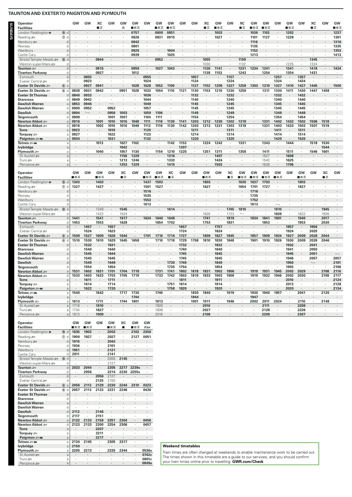**SUNDAYS**

**SWONDS** 

| Operator<br><b>Facilities</b>      |                                  | GW           | GW                       | XC<br>∎≂     | GW                       | GW<br>$\blacksquare$ | GW<br>■ਸ਼ਿਲ                     | GW         | GW<br>∎R⊼                | GW<br><b>B</b> ⊼     | GW      | GW                       | XC<br>∎ਨ     | GW<br>∎R⊼ | GW      | ХC<br>∎∓                 | GW<br>■Rᠼ    | GW<br>$R\overline{A}$ | GW                           | GW<br>∎R⊼ | GW           | XC<br>∎ਨ                 | GW                     | GW<br>∎R⊼                |
|------------------------------------|----------------------------------|--------------|--------------------------|--------------|--------------------------|----------------------|---------------------------------|------------|--------------------------|----------------------|---------|--------------------------|--------------|-----------|---------|--------------------------|--------------|-----------------------|------------------------------|-----------|--------------|--------------------------|------------------------|--------------------------|
| London Paddington $\bullet$        | 15 d                             |              |                          |              |                          |                      | 0757                            |            | 0800                     | 0851                 |         |                          |              | 1003      |         |                          | 1036         | 1103                  |                              | 1202      |              |                          |                        | 1237                     |
| Reading s                          | $\circledcirc$ d                 |              |                          |              |                          |                      | 0826                            |            | 0831                     | 0915                 |         |                          | ï            | 1027      |         | ×,                       | 1101         | 1127                  |                              | 1228      |              |                          |                        | 1301                     |
| Newbury se                         | d                                |              |                          |              |                          |                      | 0842                            |            |                          |                      |         |                          |              |           |         |                          | 1116         |                       |                              |           |              |                          |                        | 1316                     |
| Pewsey                             | d                                |              |                          |              |                          |                      | 0901                            |            |                          |                      |         |                          |              |           |         |                          | 1135         |                       |                              |           |              |                          |                        | 1335                     |
| Westbury                           | d                                |              |                          |              |                          |                      | 0920                            |            |                          | 1004                 |         |                          |              |           |         |                          | 1152         |                       |                              |           |              |                          |                        | 1353                     |
| Castle Cary                        | d                                |              |                          |              |                          |                      | 0939                            |            | ٠                        | 1025                 |         |                          |              |           |         |                          | 1213         | $\cdot$               |                              |           |              |                          |                        | 1413                     |
| Bristol Temple Meads               | ⑩<br>d                           |              |                          | 0844         |                          |                      |                                 |            | 0952                     |                      |         |                          | 1055         |           |         | 1159                     |              |                       |                              |           |              | 1345                     |                        |                          |
| Weston-super-Mare                  | d                                |              |                          |              |                          |                      |                                 |            |                          |                      |         | $\cdot$                  | 1030         |           |         | 1132                     |              |                       |                              | 1225      |              | 1324                     |                        |                          |
| Taunton <i>≅</i>                   | d                                |              |                          | 0915         |                          |                      | 0959                            |            | 1027                     | 1043                 |         |                          | 1126         | 1141      |         | 1231                     | 1234         | 1241                  | $\cdot$                      | 1341      |              | 1418                     | $\blacksquare$         | 1434                     |
| <b>Tiverton Parkway</b>            | d                                |              | 0855                     | 0927         |                          |                      | 1012                            | 0955       |                          |                      |         | 1057                     | 1138         | 1153      | 1157    | 1243                     |              | 1254                  | 1257                         | 1354      | 1357         | 1431                     |                        |                          |
| Exmouth<br>Exeter Central          | $\operatorname{\mathsf{d}}$<br>d |              | 0923                     |              |                          |                      | $\cdot$<br>$\ddot{\phantom{a}}$ | 1024       | $\cdot$<br>÷.            |                      |         | 1124                     | $\cdot$      | ٠         | 1224    | ÷.                       |              |                       | 1324                         |           | 1424         |                          |                        | $\cdot$                  |
| Exeter St Davids                   | 6a                               |              | 0927                     | 0941         |                          |                      | 1028                            | 1028       | 1052                     | 1109                 |         | 1127                     | 1152         | 1209      | 1227    | 1258                     | 1303         | 1310                  | 1327                         | 1410      | 1427         | 1445                     |                        | 1500                     |
| Exeter St Davids                   | 6d                               | 0838         | 0931                     | 0942         | $\cdot$                  | 0951                 | 1028                            | 1033       | 1054                     | 1110                 | 1121    | 1130                     | 1153         | 1210      | 1230    | 1259                     | $\cdot$      | 1311                  | 1330                         | 1411      | 1430         | 1447                     | 1458                   |                          |
| <b>Exeter St Thomas</b>            | d                                | 0840         | 0933                     |              |                          |                      |                                 | 1036       |                          |                      |         | 1132                     |              |           | 1232    |                          |              |                       | 1332                         |           | 1432         |                          |                        |                          |
| <b>Starcross</b>                   | d                                | 0849         | 0942                     |              |                          |                      |                                 | 1044       | $\cdot$                  |                      |         | 1140                     | ï            | ×,        | 1240    | $\cdot$                  |              |                       | 1340                         |           | 1440         |                          |                        |                          |
| <b>Dawlish Warren</b>              | a                                | 0853         | 0946                     |              | $\overline{\phantom{0}}$ |                      |                                 | 1049       |                          |                      |         | 1145                     |              |           | 1245    |                          |              |                       | 1345                         |           | 1445         |                          |                        |                          |
| <b>Dawlish Warren</b>              | d                                | 0900         | 0952                     | ÷.           | 0952                     |                      | ï                               | 1057       | $\cdot$                  |                      |         | 1145                     | ł.           | ä,        | 1245    |                          |              |                       | 1345                         | $\cdot$   | 1445         |                          |                        |                          |
| <b>Dawlish</b>                     | d                                | 0904         | $\overline{\phantom{a}}$ |              | 0956                     | 1003                 |                                 | 1059       | 1106                     |                      |         | 1149                     |              |           | 1249    |                          |              |                       | 1349                         |           | 1449         |                          |                        |                          |
| Teignmouth                         | d                                | 0909         | ٠                        | $\cdot$      | 1001                     | 1007                 | $\cdot$                         | 1104       | 1111                     | $\cdot$              |         | 1154                     |              |           | 1254    | $\cdot$                  |              |                       | 1354                         |           | 1454         |                          |                        |                          |
| Newton Abbot                       | $\overline{a}$                   | 0916         | $\cdot$                  | 1001         | 1010                     | 1016                 | 1048                            | 1111       | 1118                     | 1130                 | 1141    | 1203                     | 1212         | 1230      | 1302    | 1318                     |              | 1331                  | 1402                         | 1432      | 1502         | 1506                     | 1518                   |                          |
| Newton Abbot $\equiv$              | d                                | 0916         | $\ddot{\phantom{a}}$     | 1002         | 1010                     | 1016                 | 1049                            | 1112       | 1119                     | 1130                 | 1142    | 1203                     | 1213         | 1231      | 1303    | 1319                     |              | 1331                  | 1403                         | 1433      | 1503         | 1507                     | 1519                   |                          |
| <b>Torre</b>                       | a                                | 0923         |                          |              | 1019                     |                      |                                 | 1120       |                          |                      |         | 1211                     |              |           | 1311    |                          |              |                       | 1411                         |           | 1511         |                          |                        |                          |
| Torquay s                          | a                                | 0927         |                          |              | 1022                     |                      |                                 | 1123       |                          |                      |         | 1214                     |              |           | 1314    | ×,                       |              |                       | 1414                         |           | 1514         |                          | ä,                     |                          |
| Paignton = Mi                      | $\overline{a}$                   | 0934         | $\ddot{\phantom{a}}$     | 1013         | 1031                     |                      | 1102                            | 1132       | $\cdot$                  | 1142                 | 1153    | 1220<br>$\cdot$          | 1224         | 1242      | 1320    |                          | $\cdot$      |                       | 1420<br>$\ddot{\phantom{a}}$ |           | 1520         | 1518                     |                        | $\cdot$                  |
| Totnes <i>a</i> ∋mi<br>lvybridge   | a<br>a                           |              |                          |              |                          | 1027<br>1042         |                                 |            |                          |                      | 1207    |                          |              |           | $\cdot$ | 1331                     |              | 1343                  |                              | 1444      |              |                          | 1530<br>1544           |                          |
| Plymouth $\equiv$                  | a                                |              |                          | 1040         |                          | 1057                 | 1130                            |            | 1154                     | 1210                 | 1225    | $\cdot$                  | 1251         | 1311      |         | 1358                     |              | 1411                  | $\cdot$                      | 1511      |              | 1546                     | 1601                   |                          |
| St Austell s                       | $\rm{a}$                         |              | $\cdot$                  |              | $\epsilon$               | 1156                 | 1229                            | $\epsilon$ |                          | 1316                 |         | $\cdot$                  |              | 1407      | $\cdot$ |                          |              | 1527                  | $\epsilon$                   | 1608      | $\cdot$      |                          | ٠                      | $\mathbf{r}$             |
| Truro se                           | a                                |              |                          |              |                          | 1213                 | 1246                            |            | $\cdot$                  | 1333                 |         | $\cdot$                  |              | 1424      |         |                          | $\cdot$      | 1543                  | $\cdot$                      | 1625      |              |                          | $\cdot$                |                          |
| Penzance s                         | a                                |              |                          |              |                          | 1253                 | 1329                            |            |                          | 1415                 |         |                          |              | 1503      |         |                          |              | 1628                  |                              | 1706      |              |                          |                        |                          |
|                                    |                                  |              |                          |              |                          |                      |                                 |            |                          |                      |         |                          |              |           |         |                          |              |                       |                              |           |              |                          |                        |                          |
| Operator                           |                                  | GW           | GW                       | GW           | GW                       | XC                   | GW                              | GW         | GW                       | XC                   | GW      | GW                       | GW           | GW        | XC      | GW                       | GW           | GW                    | GW                           | GW        | GW           | GW                       | XC                     | GW                       |
| <b>Facilities</b>                  |                                  | <b>IR</b>    |                          | ∎ਸ਼ਿ⊼        |                          | ■≖                   |                                 | ■R┻        | ■RIJ                     | ∎ਨ                   |         |                          | ∎R⊼          |           | ∎≖      | ∎RД                      | 日ま           | ■RIJ                  | ∎R⊼                          |           | ∎R⊼          |                          | ∎ਨ                     |                          |
| London Paddington $\Theta$         | (6) d                            | 1303         |                          | 1403         |                          |                      |                                 | 1437       | 1503                     |                      |         |                          | 1603         |           |         | 1630                     | 1637         | 1703                  |                              |           | 1803         |                          |                        |                          |
| Reading s                          | $\circledcirc$ d                 | 1327         | ٠                        | 1427         |                          | ٠                    |                                 | 1501       | 1527                     | $\cdot$              |         |                          | 1627         |           | $\cdot$ | 1654                     | 1701         | 1727                  | $\cdot$                      |           | 1827         |                          |                        |                          |
| Newbury &                          | d                                |              |                          |              |                          |                      |                                 | 1516       |                          |                      |         |                          |              |           |         |                          | 1716         |                       |                              |           |              |                          |                        |                          |
| Pewsey                             | d                                |              |                          |              |                          |                      |                                 | 1535       | $\cdot$                  |                      |         |                          |              |           |         |                          | 1735         |                       |                              |           |              |                          |                        |                          |
| Westbury                           | d                                |              |                          |              |                          |                      |                                 | 1553       |                          |                      |         |                          |              |           |         |                          | 1752         |                       |                              |           |              |                          |                        |                          |
| Castle Carv                        | Ч                                |              |                          |              |                          |                      |                                 | 1613       |                          |                      |         |                          |              |           |         |                          | 1813         |                       |                              |           |              |                          |                        |                          |
| Bristol Temple Meads               | <b>10</b><br>d                   |              |                          | 1349         |                          | 1545                 |                                 |            | $\cdot$                  | 1614                 |         |                          | $\cdot$      |           | 1745    | 1810                     |              |                       | 1810                         | $\cdot$   |              |                          | 1945                   |                          |
| Weston-super-Mare =                | d                                |              |                          | 1423         |                          | 1524                 | $\cdot$                         |            |                          |                      |         |                          | 1628         |           | 1723    | $\overline{\phantom{0}}$ |              | $\cdot$               | 1839                         | $\cdot$   | 1823         | $\cdot$                  | 1926                   |                          |
| Taunton <i>≅</i>                   | $\mathsf{d}$                     | 1441         | $\cdot$                  | 1541         |                          | 1617                 | $\cdot$                         | 1634       | 1640                     | 1648                 | $\cdot$ |                          | 1741         | $\cdot$   | 1819    | $\blacksquare$           | 1834         | 1841                  | 1901                         | $\cdot$   | 1940         | $\cdot$                  | 2017                   | ×.                       |
| <b>Tiverton Parkway</b><br>Exmouth | d<br>d                           | 1453         | 1457                     | 1553<br>٠    | 1557                     | 1629                 |                                 |            | 1654                     | 1702                 | 1657    | $\cdot$                  | 1753         | 1757      | 1831    |                          |              | 1853                  | $\cdot$                      | 1857      | 1953         | 1956                     | 2030<br>$\blacksquare$ |                          |
| Exeter Central                     | d                                |              | 1524                     | $\cdot$      | 1623                     | $\cdot$              |                                 |            | $\cdot$                  |                      | 1724    |                          | $\cdot$      | 1824      |         | $\cdot$                  |              |                       | $\cdot$                      | 1924      |              | 2025                     | $\ddot{\phantom{a}}$   |                          |
| Exeter St Davids                   | 6a                               | 1509         | 1527                     | 1609         | 1626                     | 1644                 |                                 | 1701       | 1710                     | 1716                 | 1727    |                          | 1809         | 1827      | 1845    |                          | 1857         | 1909                  | 1924                         | 1927      | 2009         | 2028                     | 2044                   |                          |
| Exeter St Davids                   | 6d                               | 1510         | 1530                     | 1610         | 1629                     | 1645                 | 1658                            |            | 1710                     | 1718                 | 1729    | 1758                     | 1810         | 1830      | 1848    | ×,                       | 1901         | 1910                  | 1926                         | 1930      | 2009         | 2039                     | 2046                   |                          |
| <b>Exeter St Thomas</b>            | d                                |              | 1532                     | $\cdot$      | 1631                     |                      |                                 |            |                          |                      | 1732    |                          |              | 1832      |         |                          |              |                       |                              | 1932      |              | 2041                     |                        |                          |
| <b>Starcross</b>                   | d                                |              | 1540                     | $\cdot$      | 1640                     |                      |                                 |            |                          |                      | 1740    |                          |              | 1840      |         |                          |              |                       |                              | 1941      |              | 2050                     |                        |                          |
| <b>Dawlish Warren</b>              | a                                |              | 1545                     |              | 1644                     |                      |                                 |            |                          |                      | 1745    |                          |              | 1845      |         |                          |              |                       |                              | 1945      |              | 2051                     |                        | $\overline{\phantom{0}}$ |
| <b>Dawlish Warren</b>              | d                                |              | 1545                     | $\cdot$      | 1645                     |                      |                                 |            |                          |                      | 1745    |                          |              | 1845      |         |                          |              |                       |                              | 1946      |              | 2057                     | ×,                     | 2057                     |
| <b>Dawlish</b>                     | d                                |              | 1549                     |              | 1649                     |                      |                                 |            |                          | 1730                 | 1749    |                          |              | 1849      |         |                          |              |                       |                              | 1950      |              | $\overline{\phantom{a}}$ |                        | 2101                     |
| <b>Teignmouth</b>                  | d                                |              | 1554                     | $\lambda$    | 1654                     | ÷.                   |                                 |            | $\overline{\phantom{a}}$ | 1735                 | 1754    | $\overline{\phantom{a}}$ |              | 1854      |         |                          |              |                       |                              | 1955      |              | $\cdot$                  | ÷.                     | 2106                     |
| Newton Abbot =                     | a                                | 1531         | 1602                     | 1631         | 1701                     | 1704                 | 1718                            |            | 1731                     | 1741                 | 1802    | 1818                     | 1831         | 1902      | 1906    | $\cdot$                  | 1919         | 1931                  | 1945                         | 2002      | 2029         | $\cdot$                  | 2108                   | 2116                     |
| Newton Abbot $\equiv$              | d                                | 1533         | 1603                     | 1633         | 1703                     | 1705                 | 1719                            |            | 1733                     | 1742                 | 1803    | 1819                     | 1833         | 1903      | 1908    | ×.                       | 1919         | 1932                  | 1946                         | 2002      | 2030         | $\ddot{\phantom{a}}$     | 2109                   | 2117                     |
| <b>Torre</b>                       | a                                |              | 1611                     |              | 1711                     |                      |                                 |            |                          | $\ddot{\phantom{a}}$ | 1811    |                          |              | 1911      |         |                          |              |                       |                              | 2010      |              |                          |                        | 2124                     |
| Torquay =                          | a                                |              | 1614                     |              | 1714                     |                      |                                 |            |                          | 1751                 | 1814    |                          |              | 1914      |         |                          |              |                       |                              | 2013      |              |                          |                        | 2128                     |
| Paignton = mi                      | a<br>a                           | 1540         | 1622<br>٠                | 1642         | 1720                     | 1717                 | 1730                            |            | 1740                     | 1758                 | 1820    | 1830                     | 1840         | 1920      | 1919    | ٠                        |              | 1940                  | 1957                         | 2020      | 2041         | $\cdot$                  |                        | 2134                     |
| Totnes ാ‱<br>lvybridge             | a                                |              |                          |              |                          |                      | 1744                            |            |                          |                      |         | 1844                     | $\cdot$      |           |         |                          | 1930<br>1947 |                       | $\cdot$                      |           |              |                          | 2120                   |                          |
| Plymouth $\equiv$                  | a                                | 1613         |                          | 1711         |                          | 1744                 | 1801                            |            | 1813                     |                      |         | 1901                     | 1911         |           | 1946    | ×,                       | 2002         | 2011                  | 2024                         |           | 2110         |                          | 2148                   |                          |
| St Austell s                       | a                                | 1718         | $\cdot$                  | 1810         |                          |                      |                                 |            | 1920                     | $\ddot{\phantom{0}}$ |         |                          | 2010         |           |         | $\cdot$                  |              | 2111                  |                              |           | 2209         | $\cdot$                  |                        |                          |
| Truro se<br>Penzance               | a<br>a                           | 1734<br>1813 | $\lambda$                | 1827<br>1909 |                          | ÷.                   |                                 |            | 1936<br>2016             |                      |         |                          | 2027<br>2108 |           |         |                          |              | 2128<br>2209          | $\lambda$                    |           | 2226<br>2307 |                          |                        |                          |

| Operator                   |                  | GW                   | GW          | GW                   | GW                   | XC                       | GW                   | GW                   |
|----------------------------|------------------|----------------------|-------------|----------------------|----------------------|--------------------------|----------------------|----------------------|
| <b>Facilities</b>          |                  | ■ਸ਼ਿਲ                | <b>IR</b> T |                      | $R\overline{A}$      | ■                        | <b>IR</b> क्र        | 国向                   |
| London Paddington $\Theta$ | <b>15 d</b>      | 1835                 | 1903        |                      | 2002                 | ٠                        | 2103                 | 2350                 |
| Reading s                  | $\circledR$<br>d | 1900                 | 1927        |                      | 2027                 |                          | 2127                 | 0051                 |
| Newbury s                  | $\mathsf{d}$     | 1915                 |             | $\cdot$              | 2042                 | $\cdot$                  | $\cdot$              | $\cdot$              |
| Pewsey                     | d                | 1934                 | ï           | $\ddot{\phantom{0}}$ | 2101                 | $\overline{\phantom{a}}$ |                      | ä,                   |
| Westbury                   | d                | 1951                 | ٠           | $\ddot{\phantom{0}}$ | 2121                 | ٠                        | $\cdot$              | $\cdot$              |
| Castle Cary                | d                | 2011                 | ٠           | ï                    | 2141                 |                          |                      | $\cdot$              |
| Bristol Temple Meads       | <b>10</b><br>d   |                      |             |                      | 2055                 | 2145                     | $\cdot$              | $\blacksquare$       |
| Weston-super-Mare          | d                | ٠                    |             | ٠                    | 2127                 |                          |                      | $\cdot$              |
| Taunton se                 | d                | 2033                 | 2044        |                      | 2205                 | 2217                     | 2239s                |                      |
| <b>Tiverton Parkway</b>    | d                |                      | 2056        | ï                    | 2214                 | 2230                     | 2255s                | ٠                    |
| Exmouth                    | d                |                      |             | 2056                 | 2127                 | $\cdot$                  | ٠                    | $\cdot$              |
| Fxeter Central             | d                |                      | ï           | 2125                 | 2155                 |                          |                      | ï                    |
| Exeter St Davids           | $6$<br>a         | 2056                 | 2112        | 2129                 | 2230                 | 2244                     | 2310                 | 0323                 |
| Exeter St Davids           | $6$<br>d         | 2057                 | 2113        | 2133                 | 2231                 | 2246                     |                      | 0436                 |
| <b>Exeter St Thomas</b>    | d                | $\cdot$              |             | $\cdot$              | $\cdot$              | $\cdot$                  |                      | $\cdot$              |
| <b>Starcross</b>           | d                | ï                    |             |                      |                      |                          |                      |                      |
| <b>Dawlish Warren</b>      | a                | $\ddot{\phantom{0}}$ | ٠           | $\cdot$              | $\blacksquare$       |                          |                      | $\blacksquare$       |
| <b>Dawlish Warren</b>      | d                |                      |             | ï                    |                      |                          |                      | $\ddot{\phantom{0}}$ |
| <b>Dawlish</b>             | d                | 2112                 |             | 2146                 |                      | $\cdot$                  | $\cdot$              | $\cdot$              |
| Teignmouth                 | d                | 2117                 | í,          | 2151                 |                      |                          |                      |                      |
| Newton Abbot               | a                | 2122                 | 2133        | 2158                 | 2251                 | 2304                     |                      | 0456                 |
| Newton Abbot $\equiv$      | d                | 2123                 | 2133        | 2200                 | 2254                 | 2306                     | ٠                    | 0457                 |
| <b>Torre</b>               | a                |                      | $\cdot$     | 2207                 | $\ddot{\phantom{0}}$ | $\cdot$                  | $\cdot$              | $\cdot$              |
| Torquay s                  | a                |                      |             | 2211                 |                      |                          |                      |                      |
| Paignton = Mi              | a                |                      |             | 2217                 | ×                    |                          | $\ddot{\phantom{0}}$ | $\blacksquare$       |
| Totnes <i>a</i> ≡ ₩        | a                | 2134                 | 2145        |                      | 2305                 | 2317                     | ٠                    | ٠                    |
| lvybridge                  | a                | 2150                 | l,          |                      | l,                   |                          |                      | $\cdot$              |
| Plymouth <b>s</b>          | a                | 2205                 | 2213        |                      | 2335                 | 2344                     |                      | 0536s                |
| St Austell                 | a                |                      |             | $\ddot{\phantom{0}}$ | ٠                    | ï                        |                      | 0742c                |
| Truro æ                    | a                |                      | ٠           |                      | Ĭ.                   |                          | ٠                    | 0801c                |
| Penzance s                 | a                | $\ddot{\phantom{0}}$ |             | $\ddot{\phantom{0}}$ | $\cdot$              |                          |                      | 0849e                |

**Weekend timetables**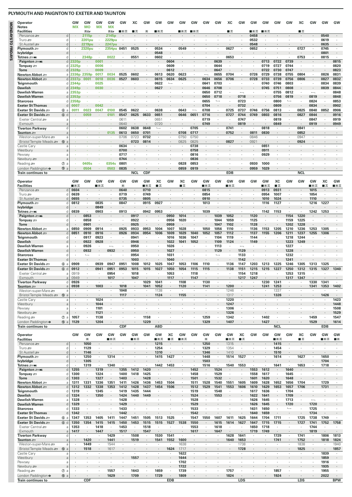|                   | Operator                                                 |                               | GW                         | GW                     | GW                   | GW                    | GW                       | XC                    | G٧                       | GW                        | GW                       | GW           | GW           | GW                        | GW                       | XC                   | GW              | GW              | GW                        | GW                      | GW                   | XC                          | GW                       | GW              | GW                   |
|-------------------|----------------------------------------------------------|-------------------------------|----------------------------|------------------------|----------------------|-----------------------|--------------------------|-----------------------|--------------------------|---------------------------|--------------------------|--------------|--------------|---------------------------|--------------------------|----------------------|-----------------|-----------------|---------------------------|-------------------------|----------------------|-----------------------------|--------------------------|-----------------|----------------------|
| MONDAYSTO FRIDAYS | <b>Notes</b><br><b>Facilities</b>                        |                               | <b>MX</b>                  | МO<br>Rice             | <b>MX</b>            | <b>MX</b><br><b>R</b> | ■Rѿ                      | ■≖                    | $\mathbf{R}$             | ■R‰                       |                          | ■RIJ         | ll R⊶        |                           |                          | ∎⊶                   |                 | ■Вᠼ             | <b>IR</b> ⊶               |                         |                      | ∎ਨ                          |                          |                 |                      |
|                   | Penzance s                                               | d                             |                            | 2115p                  | $\sim$               | 2145p                 |                          |                       |                          |                           |                          |              |              |                           |                          |                      |                 | 0458            |                           |                         |                      |                             |                          | 0540            |                      |
|                   | Truro $\equiv$                                           | d                             | ×                          | 2201pu                 | $\epsilon$           | <b>2229pu</b>         |                          |                       |                          |                           |                          |              |              |                           |                          |                      |                 | 0532            |                           |                         |                      | ٠                           |                          | 0619            |                      |
|                   | St Austell s                                             | d                             |                            | <b>2219pu</b>          |                      | <b>2247pu</b>         |                          |                       |                          |                           |                          |              |              |                           |                          |                      |                 | 0548            |                           |                         |                      |                             |                          | 0635            |                      |
|                   | Plymouth $\equiv$<br><b>lvybridge</b>                    | d<br>d                        | ×                          | 2320pu                 | ×                    | 2354pu                | 0451                     | 0525                  |                          | 0534<br>0548              | $\cdot$                  | 0549         |              |                           |                          | 0627                 |                 | 0652            | ٠                         |                         |                      | 0727                        |                          | 0745<br>0801    | $\cdot$              |
|                   | Totnes <i>≊</i> ∋ww                                      | d                             |                            | 2348p                  | $\sim$               | 0022                  |                          | 0551                  | $\mathbf{r}$             | 0602                      | $\cdot$                  |              |              | $\lambda$                 |                          | 0653                 |                 |                 | $\lambda$                 |                         |                      | 0753                        | $\cdot$                  | 0815            | $\cdot$              |
|                   | Paignton = Wi                                            | d                             | 2320p                      |                        | 0001                 |                       |                          |                       |                          |                           | 0604                     |              |              |                           | 0639                     |                      |                 |                 | 0713                      | 0722                    | 0739                 |                             |                          |                 | 0815                 |
|                   | Torquay $\equiv$<br><b>Torre</b>                         | d<br>d                        | 2325 <sub>p</sub><br>2328p |                        | 0006<br>0009         |                       |                          |                       |                          | $\cdot$                   | 0609<br>0612             |              |              |                           | 0644<br>0647             | $\cdot$              |                 |                 | 0719<br>0722              | 0727<br>0730            | 0744<br>0747         | $\cdot$                     |                          | ٠               | 0820<br>0823         |
|                   | Newton Abbot <i>s</i> ∋                                  | a                             | 2336 <sub>p</sub>          | 2359p                  | 0017                 | 0034                  | 0525                     | 0602                  |                          | 0613                      | 0620                     | 0623         |              |                           | 0655                     | 0704                 | ٠               | 0726            | 0729                      | 0738                    | 0755                 | 0804                        |                          | 0826            | 0831                 |
|                   | Newton Abbot =                                           | d                             | 2337 <sub>p</sub>          | 0001                   | 0018                 | 0036                  | 0527                     | 0603                  |                          | 0615                      | 0634                     | 0625         |              | 0634                      | 0656                     | 0706                 |                 | 0728            | 0733                      | 0739                    | 0756                 | 0806                        |                          | 0827            | 0832                 |
|                   | Teignmouth                                               | d                             | 2344 <sub>p</sub>          |                        | 0025                 |                       |                          |                       |                          | 0622                      | $\overline{\phantom{0}}$ |              | ٠            | 0641                      | 0703                     |                      |                 |                 | 0740                      | 0746                    | 0803                 | $\cdot$                     | $\cdot$                  | 0834            | 0839<br>0844         |
|                   | <b>Dawlish</b><br><b>Dawlish Warren</b>                  | d<br>a                        | 2349p<br>2353 <sub>p</sub> |                        | 0030                 |                       |                          |                       |                          | 0627                      |                          |              |              | 0646<br>0650              | 0708<br>0712             |                      |                 |                 | 0745                      | 0751<br>0755            | 0808<br>0812         |                             | $\overline{\phantom{0}}$ | 0839            | 0848                 |
|                   | <b>Dawlish Warren</b>                                    | $\mathcal{C}$                 | 2353p                      |                        |                      |                       |                          |                       |                          |                           |                          |              |              | 0650                      | 0718                     |                      | 0718            |                 |                           | 0756                    | 0819                 |                             | 0819                     |                 | 0848                 |
|                   | <b>Starcross</b>                                         | $\mathcal{C}$                 | 2358p                      |                        |                      |                       |                          |                       |                          |                           |                          |              |              | 0655                      | $\overline{\phantom{a}}$ |                      | 0723            |                 |                           | 0800                    |                      | ٠                           | 0824                     |                 | 0853                 |
|                   | <b>Exeter St Thomas</b><br>Exeter St Davids              | d<br>6a                       | 0007<br>0011               | 0023                   | 0042<br>0047         | 0100                  | 0545                     | 0622                  |                          | 0638                      | ×.                       | 0643         |              | 0704<br>0708              |                          | 0725                 | 0732<br>0737    | 0746            | 0756                      | 0809<br>0813            | $\cdot$              | 0825                        | 0834<br>0840             | 0852            | 0902<br>0906         |
|                   | Exeter St Davids                                         | 6d                            |                            | 0059                   |                      | 0101                  | 0547                     | 0625                  | 0633                     | 0651                      | ٠                        | 0646         | 0651         | 0716                      |                          | 0727                 | 0744            | 0749            | 0803                      | 0816                    | $\blacksquare$       | 0827                        | 0844                     |                 | 0916                 |
|                   | Exeter Central                                           | a                             | ×                          |                        | ×                    |                       | 0611                     | ٠                     |                          | 0651                      | ٠                        |              |              | 0719                      |                          | ٠                    | 0747            | ٠               | ٠                         | 0819                    | ٠                    | $\cdot$                     | 0847                     | ٠               | 0919                 |
|                   | Exmouth                                                  | a                             |                            |                        |                      |                       | 0640                     |                       |                          | 0720                      | ٠                        |              |              | 0749                      |                          | $\ddot{\phantom{0}}$ | 0819            | $\cdot$         |                           | 0849                    | $\ddot{\phantom{0}}$ |                             | 0919                     | ٠               | 0949                 |
|                   | <b>Tiverton Parkway</b><br>Taunton #                     | d<br>a                        |                            |                        | ×<br>$\alpha$        | 0135                  | 0602<br>0613             | 0638<br>0650          | 0648<br>0701             | $\overline{a}$<br>$\cdot$ | ٠<br>٠                   | 0708         | 0705<br>0717 | ٠<br>$\blacksquare$       |                          | 0741<br>0752         | $\cdot$         | $\cdot$<br>0811 | 0818<br>0830              | $\cdot$                 | ٠                    | 0841<br>0852                | $\cdot$                  |                 | $\cdot$              |
|                   | Weston-super-Mare                                        | a                             |                            |                        | ×                    |                       | 0706                     | 0723                  | 0732                     |                           | ٠                        | 0750         | 0750         | $\cdot$                   |                          | $\cdot$              | $\cdot$         | 0846            | $\cdot$                   |                         | ٠                    | 0947                        | $\cdot$                  |                 |                      |
|                   | Bristol Temple Meads                                     | $10 a$                        |                            | $\sim$                 | $\sim$               | ×                     |                          | 0723                  | 0814                     | $\cdot$                   | $\sim$                   | 0825         | 0825         | $\blacksquare$            |                          | 0827                 | $\cdot$         | 0921            | $\blacksquare$            | $\cdot$                 | $\cdot$              | 0924                        | $\cdot$                  | ٠               |                      |
|                   | Castle Carv                                              | a                             |                            |                        |                      | ¥                     | 0634                     | ٠                     |                          |                           | ٠                        |              | 0738         | ٠                         |                          |                      | ٠               | $\cdot$         | 0851                      |                         | ٠                    |                             |                          |                 |                      |
|                   | Westbury<br>Pewsey                                       | a<br>a                        | ×.                         |                        | ×.                   | ×                     | 0700<br>0717             | $\cdot$               | ٠                        |                           | ٠                        | $\cdot$      | 0758<br>0816 | $\cdot$                   |                          |                      |                 | $\cdot$         | 0911<br>0929              |                         |                      |                             |                          |                 |                      |
|                   | Newbury s                                                | a                             |                            |                        |                      |                       | 0744                     |                       |                          |                           |                          |              | 0836         |                           |                          |                      |                 |                 |                           |                         |                      |                             |                          |                 |                      |
|                   | Reading                                                  | $\circledcirc$ a              | ×.                         | 0405s                  | $\sim$               | 0354s                 | 0801                     | $\cdot$               |                          |                           |                          | 0828         | 0853         | ٠                         |                          |                      |                 | 0930            | 1000                      |                         |                      |                             |                          |                 |                      |
|                   | London Paddington $\bullet$<br><b>Train continues to</b> | $15 a$                        |                            | 0504                   |                      | 0503                  | 0835                     | NCL                   | CDF                      |                           |                          | 0859         | 0919         |                           |                          | <b>EDB</b>           |                 | 0959            | 1029                      |                         |                      | <b>NCL</b>                  |                          |                 |                      |
|                   |                                                          |                               |                            |                        |                      |                       |                          |                       |                          |                           |                          |              |              |                           |                          |                      |                 |                 |                           |                         |                      |                             |                          |                 |                      |
|                   | Operator<br><b>Facilities</b>                            |                               | GW<br><b>IR</b>            | GW                     | GW<br>■Вᠼ            | GW                    | GW<br>$\mathbf{R}$       | GW                    | GW<br>■R⊼                | XC<br>∎ क्र               | GW                       | XC<br>■≖     | GW           | GW<br>■Bᠼ                 | GW                       | GW<br>■Вᠼ            | GW              | GW              | GW<br>ਸਸ਼                 | XC<br>∎ म               | GW                   | GW                          | GW<br>∎R⊼                | XC<br>∎ਨ        | GW<br>■R‰            |
|                   | Penzance s                                               | d                             | 0604                       |                        |                      |                       | 0640                     | $\epsilon$            | 0710                     |                           |                          |              |              | 0815                      |                          |                      |                 |                 | 0913                      | 0931                    |                      |                             | 1015                     |                 |                      |
|                   | Truro s                                                  | $\mathsf{C}$                  | 0639                       |                        |                      |                       | 0719                     | ٠                     | 0749                     | $\cdot$                   |                          |              |              | 0854                      |                          |                      |                 |                 | 0954                      | 1007                    | ٠                    |                             | 1054                     |                 |                      |
|                   | St Austell s                                             | d<br>d                        | 0655<br>0812               | $\cdot$                | 0835                 |                       | 0735<br>0847             | $\cdot$<br>$\cdot$    | 0805<br>0915             | 0927                      | $\cdot$                  |              |              | 0910<br>1013              |                          |                      |                 | $\cdot$         | 1010<br>1116              | 1024<br>1127            |                      | ٠                           | 1110<br>1216             | 1227            |                      |
|                   | Plymouth =<br>lvybridge                                  | $\mathsf{C}$                  |                            |                        | 0849                 |                       |                          |                       |                          |                           |                          |              |              |                           |                          |                      |                 |                 |                           |                         |                      |                             |                          |                 |                      |
|                   | Totnes <i>≌</i> ∋ww                                      | $\mathcal{C}$                 | 0839                       | $\cdot$                | 0903                 | $\cdot$               | 0913                     | $\cdot$               | 0942                     | 0953                      | ٠                        | $\cdot$      | ٠            | 1039                      |                          | $\cdot$              |                 |                 | 1142                      | 1153                    |                      | $\cdot$                     | 1242                     | 1253            | $\cdot$              |
|                   | Paignton <del></del> ₩<br>Torquay $\equiv$               | $\mathsf{C}$<br>C             | $\cdot$<br>٠               | 0853<br>0858           | $\cdot$              |                       |                          | 0917<br>0922          | ٠                        |                           | 0950<br>0956             | 1014<br>1020 | ٠            | $\cdot$<br>$\cdot$        | 1039<br>1044             | 1052<br>1059         | ٠<br>٠          | 1120<br>1125    | $\ddot{\phantom{a}}$<br>٠ | $\cdot$                 | 1154<br>1159         | 1220<br>1225                |                          |                 |                      |
|                   | <b>Torre</b>                                             | $\overline{C}$                |                            | 0901                   |                      |                       |                          | 0925                  |                          |                           | 0959                     |              |              | ٠                         | 1047                     | 1102                 |                 | 1128            |                           |                         | 1202                 | 1228                        |                          |                 |                      |
|                   | Newton Abbot                                             | a                             | 0850                       | 0909                   | 0914                 | $\cdot$               | 0925                     | 0933                  | 0953                     | 1004                      | 1007                     | 1028         | ٠            | 1050                      | 1056                     | 1110                 | $\cdot$         | 1136            | 1153                      | 1205                    | 1210                 | 1236                        | 1253                     | 1305            |                      |
|                   | Newton Abbot =<br>Teignmouth                             | $\mathcal{C}$<br>d            | 0851                       | 0910<br>0917           | 0916<br>0923         |                       | 0926                     | 0934<br>0941          | 0954                     | 1006                      | 1009<br>1016             | 1029<br>1036 | 1040<br>1047 | 1052                      | 1057<br>1104             | 1112<br>1119         | ٠               | 1137<br>1144    | 1155                      | 1206                    | 1211<br>1218         | 1237<br>1244                | 1255                     | 1306            |                      |
|                   | <b>Dawlish</b>                                           | $\mathcal{C}$                 |                            | 0922                   | 0928                 |                       |                          | 0946                  |                          |                           | 1022                     | 1041         | 1052         |                           | 1109                     | 1124                 |                 | 1149            |                           |                         | 1223                 | 1249                        |                          |                 |                      |
|                   | <b>Dawlish Warren</b>                                    | a                             | ٠                          | 0926                   | $\cdot$              |                       |                          | 0950                  |                          |                           | 1026                     |              |              | ٠                         | 1113                     | ٠                    |                 |                 |                           |                         | 1227                 |                             |                          |                 |                      |
|                   | <b>Dawlish Warren</b><br><b>Starcross</b>                | $\mathcal{C}$<br>$\epsilon$   |                            | 0932<br>$\overline{a}$ | $\cdot$              | 0932                  |                          | 0950<br>0954          |                          |                           | 1027<br>1031             |              |              |                           | 1129<br>$\overline{a}$   | ٠                    | 1129<br>1133    |                 |                           |                         | 1228<br>1232         |                             |                          |                 |                      |
|                   | <b>Exeter St Thomas</b>                                  | $\mathsf{C}$                  |                            |                        |                      |                       |                          | 1003                  |                          |                           | 1040                     |              |              |                           |                          |                      | 1142            |                 |                           |                         | 1241                 |                             |                          |                 |                      |
|                   | Exeter St Davids =                                       | 6a                            | 0909                       | $\cdot$                | 0939                 | 0947                  | 0951                     | 1008                  | 1012                     | 1025                      | 1047                     | 1053         | 1106         | 1110                      |                          | 1136                 | 1147            | 1203            | 1213                      | 1225                    | 1246                 | 1305                        | 1313                     | 1325            |                      |
|                   | Exeter St Davids =                                       | 6d                            | 0912                       |                        | 0941                 | 0951                  | 0953                     | 1015                  | 1015                     | 1027                      | 1050                     | 1054         | 1115         | 1115                      |                          | 1138                 | 1151            | 1215            | 1215                      | 1227                    | 1250                 | 1312                        | 1315                     | 1327            | 1340                 |
|                   | Exeter Central<br>Exmouth                                | a<br>a                        | 0919<br>0949               | ٠                      |                      | 0954<br>1017          |                          | 1018<br>1047          |                          |                           | 1053<br>1117             |              | 1118<br>1147 |                           |                          |                      | 1154<br>1217    | 1218<br>1247    |                           |                         | 1253<br>1317         | 1315<br>1347                |                          |                 |                      |
|                   | <b>Tiverton Parkway</b>                                  |                               | 0926                       |                        |                      |                       |                          |                       | 1029                     | 1041                      |                          | 1108         |              | 1130                      |                          |                      |                 |                 | 1230                      | 1241                    |                      |                             | 1990                     | 1241            |                      |
|                   | Taunton #                                                | a                             | 0938                       |                        | 1003                 |                       | 1018                     |                       | 1041                     | 1052                      |                          | 1120         |              | 1141                      |                          | 1200                 |                 |                 | 1241                      | 1253                    |                      |                             | 1341                     | 1353            | 1402                 |
|                   | Weston-super-Mare<br>Bristol Temple Meads                | a<br>$① a$                    | ٠                          |                        | $\cdot$<br>$\bullet$ |                       | 1048<br>1117             | $\sim$                |                          | 1138<br>1124              | ×,<br>٠                  | 1155         |              | ٠                         |                          | 1246<br>1317         |                 |                 | ٠                         | 1337<br>1326            | ٠                    |                             |                          | ٠<br>1426       |                      |
|                   | Castle Cary                                              | a                             |                            |                        | 1024                 |                       |                          | ٠                     | $\ddot{\phantom{0}}$     |                           | ٠                        |              | ٠            | ٠                         |                          | 1220                 |                 |                 | ٠                         |                         | ٠                    |                             |                          |                 | 1423                 |
|                   | Westbury                                                 | $\ddot{a}$                    |                            |                        | 1044                 |                       |                          |                       |                          |                           |                          |              |              |                           |                          | 1247                 |                 |                 |                           |                         |                      |                             |                          |                 | 1448                 |
|                   | Pewsey                                                   | a                             | ٠                          | ٠                      | 1101<br>1121         | ٠                     |                          |                       |                          |                           |                          |              |              | ٠<br>$\ddot{\phantom{0}}$ |                          | 1306<br>1326         | ٠               |                 |                           |                         |                      |                             |                          |                 | 1508<br>1529         |
|                   | Newbury s<br>Reading                                     | a<br>$\circledcirc$ a         | 1057                       | ٠                      | 1138                 |                       |                          |                       | 1158                     |                           |                          |              |              | 1259                      |                          | 1342                 | $\cdot$         |                 | 1402                      |                         |                      |                             | 1459                     | ٠               | 1547                 |
|                   | London Paddington $\bullet$                              | $15 a$                        | 1129                       | $\blacksquare$         | 1204                 | $\cdot$               |                          | $\blacksquare$        | 1229                     | $\cdot$                   |                          |              |              | 1329                      |                          | 1407                 | $\cdot$         |                 | 1427                      |                         |                      |                             | 1529                     | $\blacksquare$  | 1614                 |
|                   | <b>Train continues to</b>                                |                               |                            |                        |                      |                       | <b>CDF</b>               |                       |                          | <b>ABD</b>                |                          |              |              |                           |                          |                      |                 |                 |                           | <b>NCL</b>              |                      |                             |                          | <b>EDB</b>      |                      |
|                   | Operator                                                 |                               | GW                         | GW                     | <b>GW</b>            | GW                    | GW                       | GW                    | GW                       | GW                        | XC                       | GW           | GW           | GW                        | GW                       | GW                   | XC              | GW              | GW                        | GW                      | GW                   | XC                          | GW                       | GW              | GW                   |
|                   | <b>Facilities</b><br>Penzance s                          | d                             | $\cdot$                    | $\blacksquare$<br>1050 | $\cdot$              | ∎n≂                   |                          | ■⊞ᠼ                   | $\cdot$                  | $R\overline{A}$<br>1215   | ■ऊ                       | ■R‰          |              | $\blacksquare$<br>1250    |                          | ∎R⊼<br>1315          | ∎≂              |                 |                           | $R\overline{A}$<br>1415 | $\cdot$              | ∎ ऊ<br>$\ddot{\phantom{a}}$ |                          | ■Bऊ             | R                    |
|                   | Truro s                                                  | d                             | ٠                          | 1129                   | $\cdot$              |                       |                          |                       | $\cdot$                  | 1254                      | ٠                        | ٠            |              | 1329                      | $\cdot$                  | 1354                 |                 |                 |                           | 1454                    |                      | ٠                           |                          | ٠               | ٠                    |
|                   | St Austell s                                             | d                             | $\cdot$                    | 1146                   | $\epsilon$           |                       |                          |                       | $\cdot$                  | 1310                      | $\cdot$                  |              |              | 1346                      | $\cdot$                  | 1410                 |                 |                 |                           | 1510                    | $\cdot$              |                             |                          |                 | ٠                    |
|                   | Plymouth $\equiv$<br>lvybridge                           | d<br>d                        | $\cdot$                    | 1250<br>1305           | $\cdot$<br>$\cdot$   | 1314<br>$\cdot$       |                          | $\cdot$               |                          | 1415                      | 1427<br>$\cdot$          | $\cdot$      | ٠            | 1448<br>1503              | $\cdot$                  | 1514<br>٠            | 1527<br>٠       | $\cdot$         | ×                         | 1614                    | $\cdot$              | 1627<br>٠                   | $\cdot$                  | 1650<br>1704    | $\cdot$              |
|                   | Totnes <i>≌</i> ∋mw                                      | d                             | $\cdot$                    | 1319                   | $\cdot$              | 1340                  | $\overline{\phantom{a}}$ | $\cdot$               | $\cdot$                  | 1442                      | 1453                     | $\cdot$      | $\cdot$      | 1516                      | $\cdot$                  | 1540                 | 1553            | $\cdot$         | $\ddot{\phantom{a}}$      | 1641                    | $\cdot$              | 1653                        | $\cdot$                  | 1718            | $\cdot$              |
|                   | Paignton = Mi                                            | d                             | 1255                       |                        | 1319                 |                       | 1355                     | 1412                  | 1420                     |                           |                          |              | 1452         | $\cdot$                   | 1524                     | $\blacksquare$       | $\cdot$         | 1553            | 1612                      |                         | 1640                 | $\cdot$                     |                          |                 |                      |
|                   | Torquay $\equiv$<br><b>Torre</b>                         | $\mathsf{C}$<br>$\mathcal{C}$ | 1300<br>1303               | $\cdot$<br>$\cdot$     | 1324<br>1327         | $\cdot$<br>$\cdot$    | 1400<br>1403             | 1418                  | 1425<br>1428             | $\cdot$                   | $\blacksquare$<br>٠      | ٠            | 1458<br>1501 | $\cdot$<br>$\cdot$        | 1529<br>1532             | ٠<br>٠               | ٠<br>$\cdot$    | 1558<br>1601    | 1617<br>1620              | $\sim$<br>$\cdot$       | 1645<br>1648         | $\cdot$<br>$\cdot$          | $\cdot$                  | ٠               | $\cdot$              |
|                   | Newton Abbot ப                                           | a                             | 1311                       | 1331                   | 1336                 | 1351                  | 1411                     | 1426                  | 1436                     | 1453                      | 1504                     | ٠            | 1511         | 1528                      | 1540                     | 1551                 | 1605            | 1609            | 1628                      | 1652                    | 1656                 | 1704                        | $\cdot$                  | 1729            | $\cdot$              |
|                   | <b>Newton Abbot</b>                                      | d                             | 1312                       | 1332                   | 1338                 | 1353                  | 1412                     | 1428                  | 1437                     | 1454                      | 1506                     |              | 1512         | 1529                      | 1541                     | 1553                 | 1606            | 1610            | 1629                      | 1653                    | 1657                 | 1706                        |                          | 1731            |                      |
|                   | Teignmouth<br>Dawlish                                    | d<br>$\overline{C}$           | 1319<br>1324               | ٠                      | 1345<br>1350         | ٠                     | 1419<br>1424             | 1435<br>1440          | 1444<br>1449             | $\cdot$                   | ٠                        |              | 1519<br>1524 | $\cdot$<br>$\cdot$        | 1548<br>1553             | ٠                    | ٠               | 1617<br>1622    | 1636<br>1641              | $\sim$                  | 1704<br>1709         | ٠                           | ٠                        | ٠               | ٠                    |
|                   | <b>Dawlish Warren</b>                                    | a                             | 1328                       | $\cdot$                | $\cdot$              | ٠                     | 1428                     | $\sim$                | ٠                        |                           |                          |              | 1528         | ٠                         | $\cdot$                  | ٠                    |                 | 1626            | 1645                      | $\cdot$                 | 1713                 | ٠                           | $\overline{\phantom{0}}$ |                 |                      |
|                   | <b>Dawlish Warren</b>                                    | $\overline{C}$                | 1329                       |                        |                      |                       | 1429                     |                       |                          |                           |                          |              | 1529         |                           |                          |                      |                 | 1626            | 1645                      |                         | 1720                 |                             | 1720                     |                 |                      |
|                   | <b>Starcross</b><br><b>Exeter St Thomas</b>              | $\mathsf{C}$<br>$\mathsf{C}$  | 1333<br>1342               | ٠<br>$\cdot$           |                      |                       | 1433<br>1442             | $\epsilon$<br>$\cdot$ |                          |                           |                          |              | 1533<br>1542 | ٠<br>$\cdot$              |                          |                      |                 | 1631<br>1640    | 1650<br>1659              |                         | $\longmapsto$        | ٠<br>$\cdot$                | 1725<br>1734             | $\cdot$         |                      |
|                   | Exeter St Davids                                         | 6a                            | 1347                       | 1353                   | 1405                 | 1411                  | 1447                     | 1451                  | 1505                     | 1513                      | 1525                     |              | 1547         | 1550                      | 1607                     | 1611                 | 1625            | 1644            | 1704                      | 1711                    | ٠                    | 1725                        | 1738                     | 1749            | $\cdot$              |
|                   | Exeter St Davids                                         | 6d                            | 1350                       | 1354                   | 1415                 | 1415                  | 1450                     | 1453                  | 1515                     | 1515                      | 1527                     | 1538         | 1550         | $\cdot$                   | 1615                     | 1614                 | 1627            | 1647            | 1715                      | 1715                    |                      | 1727                        | 1741                     | 1752            | 1758                 |
|                   | Exeter Central                                           | a                             | 1353                       | $\cdot$                | 1418                 | ٠                     | 1453                     | $\cdot$               | 1518                     | $\cdot$                   | ٠                        | $\cdot$      | 1553         | $\epsilon$                | 1618                     | $\cdot$              | $\cdot$         | 1650            | 1718                      | $\cdot$                 | ٠                    | $\cdot$                     | 1744                     | ٠               | $\ddot{\phantom{a}}$ |
|                   | Exmouth<br><b>Tiverton Parkway</b>                       | $\ddot{a}$<br>d               | 1417<br>٠                  | $\cdot$<br>$\cdot$     | 1447<br>$\cdot$      | $\cdot$<br>1429       | 1517<br>$\cdot$          | $\cdot$<br>1508       | 1547<br>$\cdot$          | 1530                      | $\cdot$<br>1541          | ٠            | 1617<br>٠    | $\cdot$<br>$\cdot$        | 1647<br>$\cdot$          | ٠<br>1628            | $\cdot$<br>1641 | 1719<br>$\cdot$ | 1749<br>٠                 | $\cdot$<br>1729         | ٠<br>×,              | $\cdot$<br>1741             | 1819<br>$\cdot$          | $\cdot$<br>1806 | $\cdot$<br>1813      |
|                   | Taunton <i>s</i> ⊟                                       | a                             |                            | 1420                   |                      | 1441                  |                          | 1519                  | $\overline{\phantom{a}}$ | 1541                      | 1552                     | 1600         |              |                           |                          | 1640                 | 1653            |                 |                           | 1741                    | $\blacksquare$       | 1752                        | $\cdot$                  | 1818            | 1824                 |
|                   | Weston-super-Mare                                        | a                             | ٠                          | 1449                   | $\cdot$              | 1544                  | $\cdot$                  | ٠                     |                          | $\cdot$                   | ٠                        | 1638         | ٠            | $\cdot$                   | $\cdot$                  | ٠                    | 1738            | $\cdot$         | ٠                         | $\sim$                  | ٠                    | 1838                        | $\cdot$                  | ٠               | 1940                 |
|                   | Bristol Temple Meads                                     | ①a                            | ٠                          | 1518<br>$\cdot$        | $\cdot$              | 1617                  |                          | $\cdot$               |                          |                           | 1624                     | 1717<br>1622 |              |                           |                          |                      | 1728<br>$\cdot$ |                 |                           |                         |                      | 1825<br>$\cdot$             | $\cdot$                  |                 | 1857<br>$\cdot$      |
|                   |                                                          |                               |                            |                        |                      |                       |                          |                       |                          |                           |                          |              |              |                           |                          |                      |                 |                 |                           |                         |                      |                             |                          | 1839            |                      |
|                   | Castle Cary<br>Westbury                                  | a<br>a                        |                            |                        |                      |                       |                          | 1557                  |                          |                           |                          | 1644         |              |                           |                          |                      |                 |                 |                           |                         |                      |                             |                          | 1859            |                      |
|                   | Pewsey                                                   | a                             | ٠                          |                        |                      | ٠                     |                          | ٠                     | ٠                        | $\cdot$                   | ٠                        | 1702         | ٠            |                           |                          | ٠                    |                 |                 |                           |                         |                      |                             | $\cdot$                  | 1916            | ٠                    |
|                   | <del>د</del> € Newbury                                   | $\ddot{c}$                    |                            |                        |                      |                       |                          |                       |                          |                           |                          | 1722         |              |                           |                          |                      |                 |                 |                           |                         |                      |                             |                          | 1935            |                      |
|                   | Reading<br>London Paddington $\Theta$                    | $\circledcirc$ a<br>$5$ a     |                            |                        |                      | 1557<br>1629          |                          | 1643<br>1709          | ٠                        | 1659<br>1729              | ٠<br>$\bullet$           | 1739<br>1809 |              |                           |                          | 1757<br>1824         |                 |                 |                           | 1857<br>1924            |                      |                             |                          | 1955<br>2022    | $\cdot$              |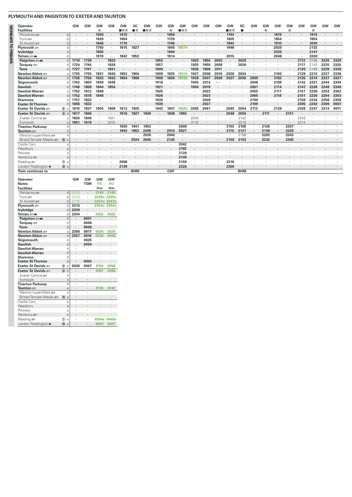| Operator                            |                  | GW   | GW   | GW           | GW   | GW   | xс         | GW   | GW      | GW           | GW                | GW      | GW   | <b>GW</b> | GW        | xс         | GW                       | GW                      | GW      | GW           | GW   | GW          | GW        | GW   |
|-------------------------------------|------------------|------|------|--------------|------|------|------------|------|---------|--------------|-------------------|---------|------|-----------|-----------|------------|--------------------------|-------------------------|---------|--------------|------|-------------|-----------|------|
| <b>Facilities</b>                   |                  |      |      | $\mathbf{R}$ |      | ■Rᠼ  | ∎≖         | ■RIJ |         | $\mathbf{B}$ | ■Rエ               |         |      |           | ■Rᠼ       | п          |                          | $\overline{\mathbf{R}}$ |         | $\mathbf{R}$ |      | $\mathbf R$ |           |      |
| <b>MONDAYS</b><br>Penzance s        | $\mathsf{d}$     |      |      | 1550         |      | 1615 |            |      |         | 1650         |                   |         |      |           | 1744      |            |                          |                         | 1815    | $\cdot$      |      | 1915        | $\bullet$ |      |
| Truro $\equiv$                      | C                |      |      | 1629         |      | 1654 |            |      |         | 1729         |                   |         |      |           | 1825      |            |                          |                         | 1854    |              |      | 1954        |           |      |
| St Austell s                        |                  |      |      | 1646         |      | 1710 |            |      |         | 1746         |                   |         |      |           | 1843      |            |                          |                         | 1910    |              |      | 2010        |           |      |
| $\overline{d}$<br>Plymouth $\equiv$ | d                |      |      | 1750         |      | 1815 | 1827       |      |         | 1845         | 1857h             |         |      |           | 1948      |            |                          |                         | 2020    |              |      | 2132        |           |      |
| <b>FRIDAYS</b><br>lvybridge         | d                |      |      | 1805         |      |      |            |      | $\cdot$ | 1900         |                   |         |      |           | $\bullet$ |            |                          |                         | 2035    |              |      | 2147        | $\cdot$   |      |
| Totnes = Mi                         | <sub>d</sub>     |      |      | 1819         |      | 1842 | 1853       |      |         | 1914         |                   |         |      |           | 2015      |            |                          |                         | 2048    | $\cdot$      |      | 2200        | ٠         |      |
| Paignton = Mi                       | $\mathsf{d}$     | 1719 | 1739 | $\cdot$      | 1823 |      |            |      | 1852    |              |                   | 1920    | 1950 | 2003      | $\cdot$   | 2020       |                          |                         |         |              | 2112 | 2136        | 2220      | 2320 |
| Torquay $\mathcal{F}$               | C                | 1724 | 1744 |              | 1828 |      |            |      | 1857    |              |                   | 1925    | 1955 | 2008      |           | 2026       |                          |                         |         |              | 2117 | 2142        | 2225      | 2325 |
| <b>Torre</b>                        |                  | 1727 | 1747 | $\cdot$      | 1831 |      |            |      | 1900    |              |                   | 1928    | 1958 | 2011      | ٠         |            |                          |                         |         |              | 2120 | 2145        | 2228      | 2328 |
| Newton Abbot                        | a                | 1735 | 1755 | 1831         | 1840 | 1853 | 1904       |      | 1909    | 1925         | 1931 <sub>h</sub> | 1937    | 2006 | 2019      | 2026      | 2034       | $\overline{\phantom{0}}$ |                         | 2100    |              | 2129 | 2212        | 2237      | 2336 |
| Newton Abbot =                      | $\mathsf{d}$     | 1736 | 1756 | 1832         | 1842 | 1854 | 1906       |      | 1909    | 1926         | 1933h             | 1938    | 2007 | 2039      | 2027      | 2035       | 2039                     |                         | 2102    | $\cdot$      | 2135 | 2214        | 2237      | 2337 |
| Teignmouth                          |                  | 1743 | 1803 | 1839         | 1849 |      |            |      | 1916    |              |                   | 1945    | 2014 |           |           |            | 2046                     |                         | 2109    |              | 2142 | 2221        | 2244      | 2344 |
| <b>Dawlish</b>                      |                  | 1748 | 1808 | 1844         | 1854 |      |            |      | 1921    |              |                   | 1950    | 2019 |           |           |            | 2051                     |                         | 2114    | $\cdot$      | 2147 | 2226        | 2249      | 2349 |
| Dawlish Warren                      |                  | 1752 | 1812 | 1848         |      |      |            |      | 1925    |              |                   |         | 2023 |           |           |            | 2055                     |                         | 2117    |              | 2151 | 2229        | 2253      | 2353 |
| <b>Dawlish Warren</b>               | d                | 1752 | 1818 | 1848         |      |      |            |      | 1926    |              |                   |         | 2023 |           |           |            | 2055                     |                         | 2118    | $\cdot$      | 2151 | 2230        | 2254      | 2353 |
| <b>Starcross</b>                    |                  | 1757 | 1822 |              |      |      |            |      | 1930    |              |                   |         | 2028 |           |           |            | 2100                     |                         |         |              | 2156 | 2234        | 2258      | 2358 |
| <b>Exeter St Thomas</b>             | n                | 1806 | 1832 |              |      |      |            |      | 1939    |              |                   |         | 2037 |           |           |            | 2109                     |                         |         | $\cdot$      | 2205 | 2242        | 2309      | 0007 |
| Exeter St Davids                    | 6a               | 1810 | 1837 | 1904         | 1909 | 1913 | 1925       |      | 1943    | 1947         | 9521              | 2005    | 2041 |           | 2045      | 2054       | 2113                     |                         | 2129    |              | 2209 | 2247        | 2314      | 0011 |
| Exeter St Davids                    | 6d               | 1817 | 1846 |              |      | 1916 | 1927       | 1939 |         | 1948         | 1955              |         |      |           | 2048      | 2056       |                          | 2111                    |         | 2151         |      |             |           |      |
| Fxeter Central                      | $\overline{a}$   | 1820 | 1849 |              | 1941 |      |            |      |         |              |                   | 2040    |      |           |           | 2142       |                          |                         |         |              | 2243 |             |           |      |
| Exmouth                             | $\mathcal{A}$    | 1851 | 1919 | $\cdot$      | 2015 |      |            |      |         |              |                   | 2110    |      |           |           | 2215       | $\cdot$                  |                         |         |              | 2314 |             |           |      |
| <b>Tiverton Parkway</b>             | d                |      |      |              |      | 1930 | 1941       | 1953 |         |              | 2008              |         |      |           | 2103      | 2109       |                          | 2126                    |         | 2207         |      |             |           |      |
| Taunton so                          | $\mathcal{A}$    |      |      |              |      | 1942 | 1952       | 2005 | $\cdot$ | 2014         | 2021              | $\cdot$ |      |           | 2115      | 2121       | $\cdot$                  | 2139                    | $\cdot$ | 2220         |      |             |           |      |
| Weston-super-Mare s                 | a                |      |      |              |      |      |            | 2026 | $\cdot$ | 2043         |                   |         |      |           |           | 2156       | $\cdot$                  | 2203                    |         | 2243         |      |             |           |      |
| Bristol Temple Meads                | ①a               |      |      |              |      |      | 2024       | 2045 | $\cdot$ | 2125         |                   |         |      |           | 2150      | 2153       | $\cdot$                  | 2232                    |         | 2305         |      |             |           |      |
| Castle Cary                         | a                |      |      |              |      |      |            |      |         |              | 2042              |         |      |           |           |            |                          |                         |         |              |      |             |           |      |
| Westbury                            | $\overline{a}$   |      |      |              |      |      |            |      |         |              | 2102              |         |      |           |           |            |                          |                         |         |              |      |             |           |      |
| Pewsey                              | a                |      |      |              |      |      |            |      |         |              | 2120              |         |      |           |           |            |                          |                         |         |              |      |             |           |      |
| Newbury se                          | a                |      |      |              |      |      |            |      |         |              | 2140              |         |      |           |           |            |                          |                         |         |              |      |             |           |      |
| Reading s                           | $\circledcirc$ a |      |      |              |      | 2058 |            |      |         |              | 2159              |         |      |           | 2310      |            |                          |                         |         |              |      |             |           |      |
| London Paddington $\Theta$          | $15 a$           |      |      |              |      | 2129 |            |      |         |              | 2226              |         |      |           | 2356      |            |                          |                         |         |              |      |             |           |      |
| <b>Train continues to</b>           |                  |      |      |              |      |      | <b>BHM</b> |      |         | <b>CDF</b>   |                   |         |      |           |           | <b>BHM</b> |                          |                         |         |              |      |             |           |      |

|                            |                |              | GW                   | GW                   | GW           | GW             |
|----------------------------|----------------|--------------|----------------------|----------------------|--------------|----------------|
| Operator<br><b>Notes</b>   |                |              |                      | <b>TSM</b>           | <b>FX</b>    | F <sub>O</sub> |
| <b>Facilities</b>          |                |              |                      |                      |              |                |
|                            |                | $\mathsf{d}$ |                      |                      | Rica<br>2145 | Rica<br>2145   |
| Penzance so                |                |              | 2015i                | $\ddot{\phantom{0}}$ |              |                |
| Truro se                   |                | d            | 2054i                |                      | 2229u        | 2229u          |
| St Austell                 |                | d            | 2110i                |                      | 2247u        | 2247u          |
| Plymouth $\equiv$          |                | $\mathsf{d}$ | 2315                 |                      | 2354u 2354u  |                |
| lvybridge                  |                | $\mathsf{d}$ | 2330                 | ٠                    |              |                |
| Totnes anno                |                | d            | 2344                 |                      | 0022         | 0022           |
| Paignton = Mi              |                | d            |                      | 0001                 |              |                |
| Torquay s                  |                | d            |                      | 0006                 |              |                |
| <b>Torre</b>               |                | d            | $\ddot{\phantom{0}}$ | 0009                 |              |                |
| Newton Abbot .             |                | a            | 2356                 | 0017                 | 0034         | 0034           |
| Newton Abbot               |                | d            | 2357                 | 0018                 | 0036         | 0036           |
| Teignmouth                 |                | d            |                      | 0025                 |              |                |
| <b>Dawlish</b>             |                | d            | $\ddot{\phantom{0}}$ | 0030                 |              |                |
| Dawlish Warren             |                | ă            |                      |                      |              |                |
| <b>Dawlish Warren</b>      |                | d            | $\ddot{\phantom{0}}$ |                      |              |                |
| <b>Starcross</b>           |                | d            |                      |                      |              |                |
| <b>Exeter St Thomas</b>    |                | $\mathsf{d}$ |                      | 0042                 |              |                |
| Exeter St Davids           | $^{\circ}$     | ă            | 0020                 | 0047                 | 0100         | 0058           |
| Exeter St Davids           | $6$            | d            |                      | ٠                    | 0101         | 0106           |
| Fxeter Central             |                | ă            |                      |                      |              |                |
| Exmouth                    |                | a            | ٠                    | ٠                    |              |                |
| <b>Tiverton Parkway</b>    |                | d            |                      |                      |              |                |
| Taunton <i>a</i> ∋         |                | a            | $\ddot{\phantom{0}}$ |                      | 0135         | 0140           |
| Weston-super-Mare          |                | ă            |                      | í,                   | í            | ï              |
| Bristol Temple Meads       | <b>10</b>      | a            | $\ddot{\phantom{0}}$ | ٠                    |              |                |
| Castle Carv                |                | ă            |                      |                      |              | ł.             |
| Westbury                   |                | a            | $\ddot{\phantom{0}}$ |                      |              |                |
| Pewsey                     |                | a            |                      |                      |              |                |
| Newbury s                  |                | a            | ٠                    |                      |              |                |
| Reading s                  | ന              | ă            |                      |                      | 0354s        | 0400s          |
| London Paddington $\Theta$ | $^{\circledR}$ | a            |                      |                      | 0503         | 0507           |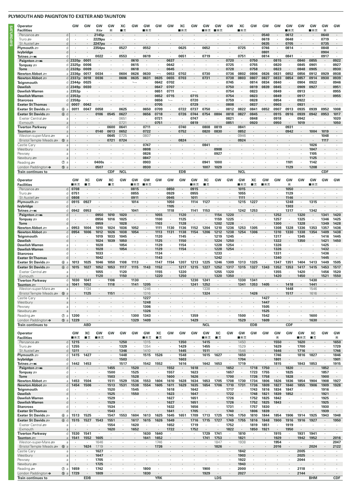**SALORDAYS** 

| Operator                                                  |                  | GW             | GW                   | GW                   | GW           | XC         | GW                       | GW      | GW             | GW                       | XC         | GW                   | GW         | GW                   | GW        | XC         | GW         | GW             |
|-----------------------------------------------------------|------------------|----------------|----------------------|----------------------|--------------|------------|--------------------------|---------|----------------|--------------------------|------------|----------------------|------------|----------------------|-----------|------------|------------|----------------|
| <b>Facilities</b>                                         |                  |                |                      | 国向                   | $\mathbf{R}$ | ∎ क्र      |                          | ■R 天    |                |                          | ∎R ⊶       |                      | ∎⊞∓        | <b>BA</b>            |           | ■R‰        |            |                |
| Penzance s                                                | d                | $\blacksquare$ | $\cdot$              | 2145p                |              |            |                          |         |                |                          |            |                      |            |                      |           |            | $\cdot$    | 0540           |
| Truro se                                                  | d                |                |                      | 2229pu               |              | $\cdot$    |                          |         |                |                          | ٠          |                      |            |                      |           |            |            | 0619           |
|                                                           |                  |                |                      | 2247pu               |              |            |                          |         |                |                          |            |                      |            |                      |           |            |            | 0635           |
| St Austell s                                              | d                |                |                      |                      |              |            |                          |         |                |                          |            |                      |            |                      |           |            |            |                |
| Plymouth $\equiv$                                         | d                |                |                      | 2354pu               |              | 0527       |                          | 0552    |                |                          | 0625       |                      | 0652       |                      |           | 0725       |            | 0746           |
| lvybridge                                                 | d                |                |                      |                      |              |            |                          |         |                |                          |            |                      |            |                      |           |            |            | 0801           |
| Totnes <i>≌</i> ∋ww                                       | d                |                |                      | 0022                 |              | 0553       |                          | 0619    | $\cdot$        |                          | 0651       | ٠                    | 0719       |                      |           | 0751       |            | 0814           |
| Paignton = Wi                                             |                  | $d$ 2320p      | 0001                 |                      |              |            | 0610                     |         |                | 0637                     |            |                      |            |                      | 0720      |            | 0750       |                |
| Torquay $\equiv$                                          | d                | 2325p          | 0006                 |                      |              | $\cdot$    | 0615                     | $\cdot$ |                | 0642                     | $\cdot$    |                      | $\cdot$    |                      | 0725      | $\cdot$    | 0755       | $\cdot$        |
|                                                           |                  |                |                      |                      |              |            |                          |         |                |                          |            |                      |            |                      |           |            |            |                |
| <b>Torre</b>                                              | d                | 2328p          | 0009                 |                      |              |            | 0618                     |         |                | 0645                     |            |                      |            |                      | 0728      |            | 0758       | $\cdot$        |
| Newton Abbot #                                            | a                | 2336p          | 0017                 | 0034                 |              | 0604       | 0626                     | 0630    |                | 0653                     | 0702       |                      | 0730       |                      | 0736      | 0802       | 0806       | 0826           |
| Newton Abbot =                                            | d                | 2337p          | 0018                 | 0036                 |              | 0606       | 0635                     | 0631    | 0635           | 0655                     | 0703       |                      | 0731       |                      | 0738      | 0803       | 0807       | 0827           |
| <b>Teignmouth</b>                                         |                  | 2344p          | 0025                 | $\mathbf{r}$         |              |            | $\overline{\phantom{a}}$ |         | 0642           | 0702                     | $\cdot$    |                      | ٠          |                      | 0745      | $\cdot$    | 0814       | 0834           |
|                                                           | d                |                |                      |                      |              |            |                          |         |                |                          |            |                      |            |                      |           |            |            |                |
| Dawlish                                                   | d                | 2349p          | 0030                 |                      |              |            |                          |         | 0647           | 0707                     |            |                      |            |                      | 0750      |            | 0819       | 0839           |
| Dawlish Warren                                            | a                | 2353p          |                      |                      |              |            |                          |         | 0651           | 0711                     |            |                      |            |                      | 0754      | $\cdot$    | 0823       | $\cdot$        |
| <b>Dawlish Warren</b>                                     | d                | 2353p          |                      |                      |              |            |                          |         | 0652           | 0715                     |            | 0715                 |            |                      | 0754      |            | 0823       |                |
|                                                           |                  |                |                      |                      |              |            |                          |         | 0656           | $\overline{\phantom{a}}$ |            | 0720                 |            |                      | 0759      | $\cdot$    | 0828       | ٠              |
| <b>Starcross</b>                                          | d                | 2358p          |                      |                      |              |            |                          |         |                |                          |            |                      |            |                      |           |            |            |                |
| <b>Exeter St Thomas</b>                                   | d                | 0007           | 0042                 |                      |              |            |                          |         | 0705           |                          |            | 0729                 |            |                      | 0808      |            | 0837       | $\blacksquare$ |
| Exeter St Davids                                          | 6a               | 0011           | 0047                 | 0058                 |              | 0625       |                          | 0650    | 0709           | $\cdot$                  | 0722       | 0737                 | 0750       |                      | 0812      | 0822       | 0841       | 0852           |
| Exeter St Davids                                          | 6d               |                |                      | 0106                 | 0545         | 0627       |                          | 0656    | 0718           |                          | 0726       | 0744                 | 0754       | 0804                 | 0818      | 0827       | 0845       |                |
|                                                           |                  |                |                      |                      |              |            |                          |         |                |                          |            |                      |            |                      |           |            |            |                |
| Exeter Central                                            | a                |                |                      |                      |              | 0651       | $\cdot$                  |         | 0721           | $\cdot$                  |            | 0747                 | $\cdot$    |                      | 0821      | $\cdot$    | 0848       | ٠              |
| Exmouth                                                   | a                |                |                      |                      |              | 0721       |                          |         | 0751           |                          |            | 0819                 |            |                      | 0851      |            | 0920       | $\cdot$        |
| <b>Tiverton Parkway</b>                                   | d                |                |                      |                      | 0600         | 0641       |                          | 0711    |                |                          | 0740       | ٠                    | 0808       | 0819                 | $\cdot$   | 0841       |            | ٠              |
| Taunton <i>s</i> ⊟                                        | a                |                |                      | 0140                 | 0613         | 0652       |                          | 0722    |                |                          | 0752       |                      | 0820       | 0830                 |           | 0852       |            |                |
|                                                           |                  |                |                      |                      |              |            |                          |         |                |                          |            |                      |            |                      |           |            |            |                |
| Weston-super-Mare                                         | a                |                | $\ddot{\phantom{a}}$ | $\ddot{\phantom{a}}$ | 0645         | 0725       | $\cdot$                  | 0807    | $\cdot$        |                          | $\cdot$    | $\cdot$              |            | $\ddot{\phantom{a}}$ | $\cdot$   | 0946       |            | $\lambda$      |
| Bristol Temple Meads                                      | $10 a$           |                |                      |                      | 0721         | 0724       |                          |         |                |                          | 0824       |                      |            |                      |           | 0924       |            |                |
| Castle Cary                                               | a                |                |                      |                      |              |            |                          | 0747    |                |                          |            |                      | 0841       |                      |           |            |            |                |
|                                                           |                  |                |                      |                      |              |            |                          | 0808    |                |                          |            |                      |            | 0908                 |           |            |            |                |
| Westbury                                                  | a                |                |                      |                      |              |            |                          |         |                |                          |            |                      |            |                      |           |            |            |                |
| Pewsey                                                    | a                |                |                      |                      |              |            |                          | 0826    |                |                          |            |                      | $\cdot$    | 0927                 |           |            |            |                |
| <del>دھ</del> Newbury                                     | a                |                |                      |                      |              |            |                          | 0847    |                |                          |            |                      |            |                      |           |            |            |                |
| Reading s                                                 | $\circledcirc$ a |                |                      | 0400s                |              |            |                          | 0903    |                |                          |            |                      | 0941       | 1000                 |           |            |            |                |
|                                                           |                  |                |                      |                      |              |            |                          |         |                |                          |            |                      |            |                      |           |            |            |                |
| London Paddington $\Theta$                                | ⑮ a              |                |                      | 0507                 |              |            |                          | 0930    |                |                          |            |                      | 1007       | 1029                 |           |            |            |                |
| <b>Train continues to</b>                                 |                  |                |                      |                      | <b>CDF</b>   | <b>NCL</b> |                          |         |                |                          | <b>EDB</b> |                      |            |                      |           | <b>NCL</b> |            |                |
|                                                           |                  |                |                      |                      |              |            |                          |         |                |                          |            |                      |            |                      |           |            |            |                |
| Operator                                                  |                  | GW             | XC                   | GW                   | XC           | GW         | GW                       | GW      | GW             | GW                       | GW         | GW                   | XC         | GW                   | GW        | GW         | ХC         | GW             |
| <b>Facilities</b>                                         |                  | ■国美            | ∎ѫ                   |                      | ∎≖           |            | ∎R⊼                      | ■B基     |                |                          |            | ∎R⊼                  | ∎ѫ         |                      |           | ∎R क्र     | ∎ѫ         | ■В品            |
|                                                           |                  |                |                      |                      |              |            |                          |         |                |                          |            |                      |            |                      |           |            |            |                |
| Penzance s                                                | d                | 0708           |                      |                      |              |            | 0815                     |         |                | 0850                     |            | 0915                 |            |                      |           | 1015       |            |                |
| Truro se                                                  | $\epsilon$       | 0751           | ٠                    |                      |              |            | 0855                     |         |                | 0929                     | $\cdot$    | 0955                 |            |                      |           | 1055       |            |                |
| St Austell s                                              | d                | 0808           |                      |                      |              |            | 0911                     |         |                | 0945                     |            | 1011                 |            |                      |           | 1111       |            |                |
| Plymouth $\equiv$                                         | $\mathcal{C}$    | 0915           | 0927                 |                      |              |            | 1014                     |         |                | 1050                     |            | 1114                 | 1127       |                      |           | 1215       | 1227       |                |
|                                                           |                  |                |                      |                      |              |            |                          |         |                |                          |            |                      |            |                      |           |            |            |                |
| lvybridge                                                 | d                |                |                      |                      |              |            |                          |         |                | 1105                     |            |                      |            |                      |           |            |            |                |
| Totnes <i>≌</i> ∋mw                                       | d                | 0942           | 0953                 |                      |              | $\cdot$    | 1041                     |         | $\cdot$        | 1118                     | $\cdot$    | 1141                 | 1153       |                      |           | 1242       | 1253       |                |
| Paignton = Wi                                             | d                |                |                      | 0950                 | 1010         | 1020       |                          |         | 1055           |                          | 1120       |                      |            | 1154                 | 1220      |            |            |                |
| Torquay =                                                 | d                |                | ٠                    | 0956                 | 1016         | 1025       | ٠                        |         | 1100           | ٠                        | 1125       |                      | ٠          | 1159                 | 1225      |            |            |                |
|                                                           |                  |                |                      | 0959                 |              | 1028       |                          |         | 1103           |                          | 1128       |                      |            | 1202                 | 1228      |            |            |                |
| <b>Torre</b>                                              | d                |                |                      |                      |              |            | $\blacksquare$           |         |                |                          |            |                      |            |                      |           |            |            |                |
| Newton Abbot =                                            | a                | 0953           | 1004                 | 1010                 | 1024         | 1036       | 1052                     |         | 1111           | 1130                     | 1136       | 1152                 | 1204       | 1210                 | 1236      | 1253       | 1305       |                |
| Newton Abbot <i>s</i>                                     | d                | 0954           | 1006                 | 1012                 | 1026         | 1038       | 1054                     |         | 1113           | 1131                     | 1138       | 1154                 | 1206       | 1212                 | 1238      | 1254       | 1306       |                |
| Teignmouth                                                | d                |                | ٠                    | 1019                 | 1033         | 1045       | $\cdot$                  |         | 1120           |                          | 1145       |                      | $\cdot$    | 1219                 | 1245      |            |            |                |
| <b>Dawlish</b>                                            | d                |                |                      | 1024                 | 1039         | 1050       |                          |         | 1125           |                          | 1150       |                      |            | 1224                 | 1250      |            |            |                |
|                                                           |                  |                |                      |                      |              |            |                          |         |                |                          |            |                      |            |                      |           |            |            |                |
| <b>Dawlish Warren</b>                                     | a                |                |                      | 1028                 |              | 1054       | ٠                        |         | 1129           | ×,                       | 1154       |                      |            | 1228                 | 1254      |            |            |                |
| Dawlish Warren                                            | d                |                |                      | 1028                 |              | 1054       |                          |         | 1129           |                          | 1154       |                      |            | 1228                 | 1254      |            |            |                |
| <b>Starcross</b>                                          | C                |                | ٠                    | 1033                 |              | $\cdot$    | ٠                        |         | 1134           | $\cdot$                  |            |                      | $\cdot$    | 1233                 | $\cdot$   |            |            |                |
|                                                           | d                |                |                      | 1042                 |              |            |                          |         | 1143           |                          |            |                      |            | 1242                 |           |            |            |                |
|                                                           |                  |                |                      |                      | 1050         |            |                          |         |                |                          | 1207       | 1213                 |            |                      |           |            |            |                |
| <b>Exeter St Thomas</b>                                   |                  |                |                      |                      |              |            |                          |         |                | 1154                     |            |                      | 1225       | 1246                 | 1309      | 1313       | 1325       | $\cdot$        |
| Exeter St Davids                                          | 6a               | 1013           | 1025                 | 1046                 |              | 1108       | 1113                     |         | 1147           |                          |            |                      |            |                      |           |            |            |                |
| Exeter St Davids                                          | 6d               | 1015           | 1027                 | 1052                 | 1053         | 1117       | 1115                     | 1143    | 1152           |                          | 1217       | 1215                 | 1227       | 1252                 | 1317      | 1315       | 1327       | 1343           |
|                                                           |                  |                |                      |                      |              |            |                          |         |                |                          |            |                      |            |                      |           |            |            |                |
| Exeter Central                                            | a                |                | ٠                    | 1055                 | $\cdot$      | 1120       |                          |         | 1155           | $\blacksquare$           | 1220       |                      | $\cdot$    | 1255                 | 1320      |            |            |                |
| Exmouth                                                   | a                |                |                      | 1120                 |              | 1150       |                          |         | 1220           |                          | 1250       |                      |            | 1320                 | 1350      |            |            |                |
| <b>Tiverton Parkway</b>                                   | d                | 1030           | 1041                 | $\cdot$              | 1106         | $\cdot$    | 1130                     |         |                |                          |            | 1230                 | 1241       | $\blacksquare$       |           | 1330       | 1341       |                |
| Taunton =                                                 | a                | 1041           | 1052                 |                      | 1118         |            | 1141                     | 1205    |                |                          |            | 1241                 | 1252       |                      |           | 1341       | 1353       | 1405           |
|                                                           |                  |                |                      |                      |              |            |                          |         |                |                          |            |                      |            |                      |           |            |            |                |
| Weston-super-Mare                                         | a                |                | 1134                 |                      |              |            |                          | 1246    |                |                          |            |                      | 1338       |                      |           |            |            |                |
| Bristol Temple Meads                                      | ①a               | $\cdot$        | 1125                 | $\cdot$              | 1151         | $\cdot$    | ٠                        | 1316    |                | $\ddot{\phantom{0}}$     | ٠          |                      | 1324       | $\epsilon$           |           | $\cdot$    | 1426       | ٠              |
| Castle Cary                                               | a                | ٠              | $\cdot$              | ¥                    |              |            | ×,                       | 1227    | $\cdot$        | ٠                        | ٠          |                      | ٠          |                      |           |            | ٠          | 1427           |
|                                                           |                  |                |                      |                      |              |            |                          |         |                |                          |            |                      |            |                      |           |            |            |                |
| Westbury                                                  | a                |                |                      |                      |              |            | ٠                        | 1248    | $\cdot$        | ٠                        |            |                      |            |                      |           |            |            | 1447           |
| Pewsey                                                    | a                |                |                      |                      |              |            |                          | 1306    |                |                          |            |                      |            |                      |           |            |            | 1505           |
| Newbury s                                                 | a                |                |                      |                      |              |            |                          | 1326    |                |                          |            |                      |            |                      |           |            |            | 1525           |
| Reading                                                   | $\circledcirc$ a | 1200           | ٠                    |                      |              |            | 1300                     | 1343    | $\cdot$        | ٠                        |            | 1359                 | ٠          |                      |           | 1500       | $\cdot$    | 1542           |
|                                                           | ⑮ a              | 1229           |                      |                      |              |            | 1329                     | 1409    |                |                          |            | 1429                 |            |                      |           | 1529       |            | 1609           |
| London Paddington $\bullet$                               |                  |                |                      |                      |              |            |                          |         |                |                          |            |                      |            |                      |           |            |            |                |
| Train continues to                                        |                  |                | <b>ABD</b>           |                      |              |            |                          |         |                |                          |            |                      | <b>NCL</b> |                      |           |            | <b>EDB</b> |                |
|                                                           |                  |                |                      |                      |              |            |                          |         |                |                          |            |                      |            |                      |           |            |            |                |
| Operator                                                  |                  | GW             | XC                   | GW                   | GW           | GW         | GW                       | GW      | XC             | GW                       | GW         | GW                   | GW         | ХC                   | <b>GW</b> | GW         | GW         | GW             |
| <b>Facilities</b>                                         |                  | ■R‰            | ∎ ऊ                  | ■R‰                  |              |            |                          | ∎R⊼     | ∎ѫ             |                          |            |                      | ∎Bऊ        | ∎ ऊ                  |           | ■R‰        |            |                |
|                                                           |                  |                | $\cdot$              | $\cdot$              |              |            | $\cdot$                  |         | $\cdot$        |                          |            | $\cdot$              |            | ÷,                   |           |            | ÷,         | $\cdot$        |
| Penzance s                                                | d                | 1215           |                      |                      |              | 1250       |                          | 1315    |                | $\cdot$                  | 1350       |                      | 1415       |                      |           | 1450       |            |                |
| Truro s                                                   | d                | 1255           | $\cdot$              | $\cdot$              |              | 1329       | ٠                        | 1354    | $\cdot$        | ٠                        | 1429       | ٠                    | 1455       | $\cdot$              |           | 1529       | $\cdot$    | ٠              |
| St Austell s                                              | d                | 1311           | $\cdot$              | ä,                   |              | 1346       | $\overline{\phantom{a}}$ | 1410    | $\blacksquare$ | ×.                       | 1445       | $\ddot{\phantom{a}}$ | 1511       | $\epsilon$           |           | 1546       | $\cdot$    | $\cdot$        |
| Plymouth æ                                                | d                | 1415           | 1427                 | $\epsilon$           | $\cdot$      | 1448       | $\cdot$                  | 1515    | 1526           | ٠                        | 1548       | $\cdot$              | 1615       | 1627                 | $\cdot$   | 1650       | $\cdot$    |                |
|                                                           |                  |                |                      |                      |              | 1503       | ٠                        |         | $\cdot$        | $\blacksquare$           |            |                      | $\cdot$    |                      |           |            |            |                |
| lvybridge                                                 | d                |                |                      |                      |              |            |                          |         |                |                          | 1603       |                      |            |                      |           | 1704       |            |                |
| Totnes <i>≌</i> ∋ww                                       | d                | 1442           | 1453                 | ¥                    |              | 1517       |                          | 1542    | 1552           | ×.                       | 1616       | ٠                    | 1642       | 1653                 | ٠         | 1719       |            | ٠              |
| Paignton = mi                                             | d                |                |                      | ÷,                   | 1455         | $\cdot$    | 1520                     | $\cdot$ |                | 1552                     | ٠          | 1618                 | $\cdot$    |                      | 1652      | $\cdot$    | 1718       | 1750           |
| Torquay $\equiv$                                          | d                |                | ٠                    | ×,                   | 1500         | $\cdot$    | 1525                     | $\cdot$ | $\cdot$        | 1557                     | $\cdot$    | 1623                 | $\cdot$    | ٠                    | 1657      | $\cdot$    | 1723       | 1755           |
| <b>Torre</b>                                              | d                |                |                      |                      | 1503         | $\cdot$    | 1528                     | $\cdot$ |                | 1600                     | $\cdot$    | 1626                 |            |                      | 1700      | $\cdot$    | 1726       | 1758           |
|                                                           |                  |                |                      | $\epsilon$           |              |            |                          |         |                |                          |            |                      |            |                      |           |            |            |                |
| Newton Abbot $\equiv$                                     | a                | 1453           | 1504                 |                      | 1511         | 1529       | 1536                     | 1553    | 1604           | 1610                     | 1628       | 1634                 | 1653       | 1705                 | 1708      | 1730       | 1734       | 1806           |
| Newton Abbot =                                            | d                | 1454           | 1506                 | $\cdot$              | 1513         | 1531       | 1538                     | 1554    | 1605           | 1611                     | 1629       | 1635                 | 1654       | 1706                 | 1710      | 1731       | 1736       | 1809           |
| Teignmouth                                                | d                |                | ٠                    | ¥                    | 1520         | $\epsilon$ | 1545                     |         | $\cdot$        | 1618                     |            | 1642                 | ٠          |                      | 1717      | ٠          | 1743       | 1816           |
| <b>Dawlish</b>                                            | d                |                |                      |                      | 1525         |            | 1550                     |         |                | 1623                     |            | 1647                 |            |                      | 1722      |            | 1748       | 1821           |
|                                                           |                  | ٠              |                      | ï                    |              | $\epsilon$ | ٠                        |         |                |                          | $\cdot$    |                      | $\cdot$    |                      |           | $\cdot$    |            |                |
| <b>Dawlish Warren</b>                                     | a                |                |                      |                      | 1529         |            |                          |         |                | 1627                     |            | 1651                 |            |                      | 1726      |            | 1752       | 1825           |
|                                                           | d                |                |                      |                      | 1529         |            |                          |         |                | 1627                     |            | 1651                 |            |                      | 1726      |            | 1752       | 1825           |
| <b>Dawlish Warren</b><br><b>Starcross</b>                 | d                | ٠              | ٠                    | ٠                    | 1534         | $\epsilon$ | ٠                        |         |                | 1632                     | $\cdot$    | 1656                 | ٠          |                      | 1731      | $\cdot$    | 1757       | 1830           |
| <b>Exeter St Thomas</b>                                   | d                |                | $\cdot$              |                      | 1543         | $\cdot$    | $\blacksquare$           |         |                | 1641                     | $\cdot$    | 1705                 | $\cdot$    |                      | 1740      | $\cdot$    | 1806       | 1839           |
|                                                           |                  |                |                      | $\cdot$              |              |            |                          |         |                |                          |            |                      |            |                      |           |            |            |                |
| Exeter St Davids                                          | 6a               | 1513           | 1525                 |                      | 1547         | 1553       | 1604                     | 1613    | 1625           | 1645                     | 1651       | 1709                 | 1713       | 1725                 | 1745      | 1750       | 1810       | 1844           |
| Exeter St Davids                                          | 6d               | 1515           | 1527                 | 1543                 | 1551         |            | 1617                     | 1615    | 1626           | 1649                     |            | 1716                 | 1715       | 1727                 | 1749      | 1755       | 1816       | 1848           |
|                                                           |                  |                | ٠                    | $\cdot$              |              | $\epsilon$ |                          | $\cdot$ | $\cdot$        |                          | $\cdot$    |                      | ٠          |                      |           | $\cdot$    | 1819       |                |
| Exeter Central                                            | a                |                |                      |                      | 1554         |            | 1620                     |         |                | 1652                     |            | 1719                 |            |                      | 1752      |            |            | 1851           |
| Exmouth                                                   | a                |                |                      |                      | 1620         | $\cdot$    | 1652                     | $\cdot$ |                | 1722                     | $\cdot$    | 1752                 |            |                      | 1822      | $\cdot$    | 1850       | 1921           |
|                                                           | d                | 1530           | 1541                 | $\cdot$              | $\cdot$      | $\cdot$    | ٠                        | 1630    | 1640           | ٠                        | $\cdot$    | ٠                    | 1729       | 1741                 | $\cdot$   | 1810       | $\cdot$    | $\cdot$        |
|                                                           | a                | 1541           | 1552                 | 1605                 |              |            | $\cdot$                  | 1641    | 1652           | $\cdot$                  |            |                      | 1741       | 1753                 | $\cdot$   | 1821       | $\cdot$    |                |
|                                                           | a                | ٠              | ٠                    | 1646                 | $\cdot$      | $\cdot$    | ٠                        | $\cdot$ | 1746           | $\cdot$                  | $\cdot$    | ٠                    | ٠          | 1847                 | $\cdot$   | 1938       | $\cdot$    | ٠              |
| <b>Tiverton Parkway</b><br>Taunton #<br>Weston-super-Mare |                  | $\cdot$        |                      |                      |              |            | $\cdot$                  |         |                | ×.                       |            |                      | $\cdot$    |                      | $\cdot$   | $\cdot$    | $\cdot$    |                |
| Bristol Temple Meads                                      | $10 a$           |                | 1624                 | 1719                 |              |            |                          |         | 1726           |                          |            |                      |            | 1826                 |           |            |            |                |
| Castle Cary                                               | a                | ٠              | $\cdot$              | 1627                 | $\cdot$      | $\cdot$    | ٠                        | ٠       | $\cdot$        | ٠                        |            |                      |            |                      | $\cdot$   | 1842       |            | ٠              |
| Westbury                                                  | a                |                |                      | 1647                 |              |            |                          |         |                |                          |            |                      |            |                      |           | 1903       |            |                |
| Pewsey                                                    | a                |                | ٠                    | 1705                 |              |            |                          |         |                |                          |            |                      |            |                      |           | 1922       | $\cdot$    |                |
|                                                           | a                |                |                      | 1725                 |              |            |                          |         |                |                          |            |                      |            |                      |           | 1943       |            |                |
| Newbury s<br>Reading                                      | $\circledcirc$ a | 1659           | $\cdot$              | 1742                 |              | $\cdot$    | ٠                        | 1800    |                |                          |            |                      | 1900       | $\cdot$              |           | 2000       | $\cdot$    |                |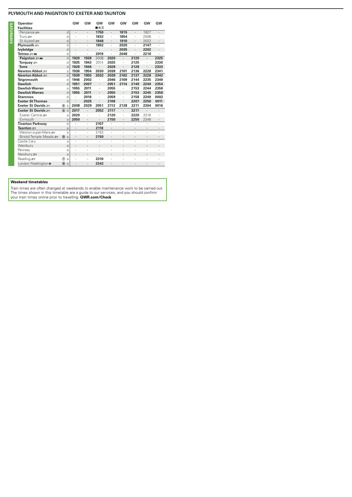| SYFURDAYS | Operator<br><b>Facilities</b> |                  | GW                   | GW                   | GW<br>■日本            | GW                              | GW                   | GW                   | GW                   | GW      |
|-----------|-------------------------------|------------------|----------------------|----------------------|----------------------|---------------------------------|----------------------|----------------------|----------------------|---------|
|           | Penzance s                    | d                |                      | $\cdot$              | 1750                 | ä,                              | 1815                 | ä,                   | 1927                 |         |
|           | Truro $\equiv$                | d                | ï                    | ï                    | 1832                 | ï                               | 1854                 | ä,                   | 2006                 |         |
|           | St Austell s                  | d                | $\ddot{\phantom{0}}$ | $\cdot$              | 1848                 |                                 | 1910                 |                      | 2022                 |         |
|           | Plymouth s                    | $\overline{d}$   |                      |                      | 1952                 | $\cdot$                         | 2020                 |                      | 2147                 | ï       |
|           | lvybridge                     | d                |                      | $\cdot$              |                      | $\centering \label{eq:reduced}$ | 2035                 | $\cdot$              | 2202                 |         |
|           | Totnes.⊞ww                    | d                | ï                    | ٠                    | 2019                 | í,                              | 2048                 | $\ddot{\phantom{0}}$ | 2216                 | ï       |
|           | Paignton = mi                 | d                | 1920                 | 1938                 | 2008                 | 2020                            |                      | 2120                 | l,                   | 2325    |
|           | Torquay stra                  | d                | 1925                 | 1943                 | 2014                 | 2025                            | ï                    | 2125                 | ï                    | 2330    |
|           | <b>Torre</b>                  | d                | 1928                 | 1946                 | ٠                    | 2028                            |                      | 2128                 |                      | 2333    |
|           | Newton Abbot ≅                | a                | 1936                 | 1954                 | 2030                 | 2038                            | 2101                 | 2136                 | 2228                 | 2341    |
|           | Newton Abbot                  | $\mathsf{d}$     | 1939                 | 1955                 | 2032                 | 2039                            | 2102                 | 2137                 | 2228                 | 2342    |
|           | Teignmouth                    | d                | 1946                 | 2002                 | ٠                    | 2046                            | 2109                 | 2144                 | 2235                 | 2349    |
|           | <b>Dawlish</b>                | $\mathsf{d}$     | 1951                 | 2007                 | $\cdot$              | 2051                            | 2114                 | 2149                 | 2240                 | 2354    |
|           | <b>Dawlish Warren</b>         | a                | 1955                 | 2011                 | $\ddot{\phantom{0}}$ | 2055                            | ï                    | 2153                 | 2244                 | 2358    |
|           | <b>Dawlish Warren</b>         | $\mathsf{d}$     | 1955                 | 2011                 |                      | 2055                            |                      | 2153                 | 2245                 | 2358    |
|           | <b>Starcross</b>              | d                | ï                    | 2016                 |                      | 2059                            | ٠                    | 2158                 | 2249                 | 0002    |
|           | <b>Exeter St Thomas</b>       | d                |                      | 2025                 |                      | 2108                            |                      | 2207                 | 2258                 | 0011    |
|           | Exeter St Davids              | $^{\circ}$<br>a  | 2008                 | 2029                 | 2051                 | 2113                            | 2128                 | 2211                 | 2304                 | 0016    |
|           | Exeter St Davids              | 6d               | 2017                 | $\ddot{\phantom{0}}$ | 2052                 | 2117                            | $\ddot{\phantom{0}}$ | 2217                 | $\ddot{\phantom{0}}$ |         |
|           | Fxeter Central                | a                | 2020                 |                      |                      | 2120                            |                      | 2220                 | 2316                 | ï       |
|           | Exmouth                       | a                | 2050                 | ٠                    |                      | 2150                            | ٠                    | 2250                 | 2346                 | ٠       |
|           | <b>Tiverton Parkway</b>       | d                | ï                    |                      | 2107                 |                                 | $\ddot{\phantom{0}}$ |                      |                      |         |
|           | Taunton <i>≅</i>              | a                | $\cdot$              | $\ddot{\phantom{a}}$ | 2118                 | $\cdot$                         | $\ddot{\phantom{a}}$ | $\cdot$              | $\cdot$              | $\cdot$ |
|           | Weston-super-Mare             | a                | ï                    |                      | 2153                 | ï                               |                      |                      | $\cdot$              | ï       |
|           | Bristol Temple Meads          | <b>10</b><br>a   |                      |                      | 2150                 | $\cdot$                         | ٠                    |                      | $\blacksquare$       |         |
|           | Castle Cary                   | a                | ï                    | ٠                    |                      | $\cdot$                         |                      |                      | ï                    | ٠       |
|           | Westbury                      | a                | ٠                    | $\cdot$              | ٠                    | $\cdot$                         | $\cdot$              |                      | $\blacksquare$       |         |
|           | Pewsey                        | a                |                      |                      |                      | ï                               |                      |                      |                      |         |
|           | Newbury s                     | $\overline{a}$   | $\cdot$              | $\cdot$              | $\ddot{\phantom{0}}$ | $\cdot$                         |                      | ٠                    | $\cdot$              | $\cdot$ |
|           | Reading                       | a<br>$\circled7$ |                      | ٠                    | 2310                 | ï                               | ٠                    |                      | $\cdot$              |         |
|           | London Paddington $\Theta$    | $⑤$<br>a         | ï                    | ٠                    | 2342                 | $\ddot{\phantom{0}}$            | ٠                    |                      | ٠                    |         |

#### **Weekend timetables**